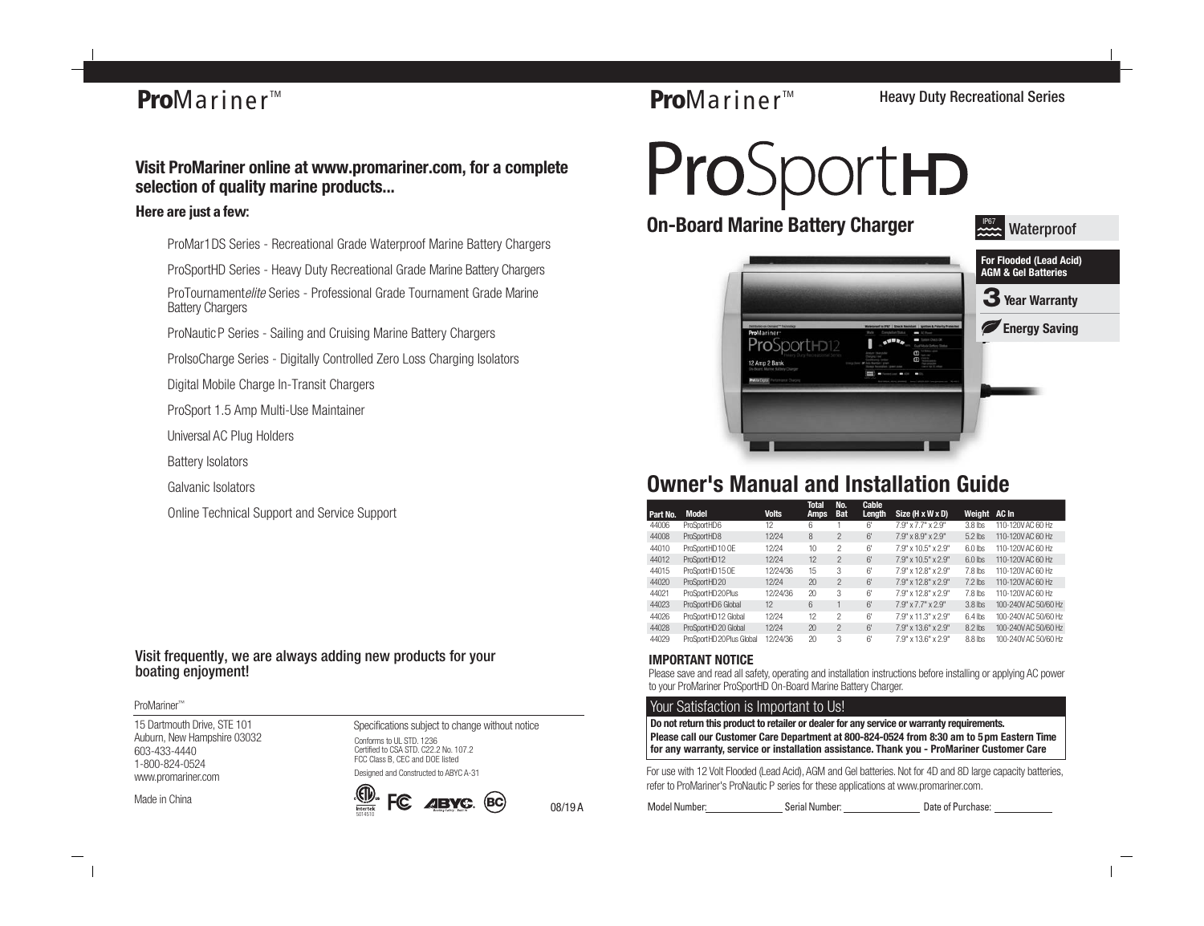# **Pro**Mariner<sup>™</sup>

# **Visit ProMariner online at www.promariner.com, for a complete selection of quality marine products...**

## **Here are just a few:**

ProMar1DS Series - Recreational Grade Waterproof Marine Battery Chargers

ProSportHD Series - Heavy Duty Recreational Grade Marine Battery Chargers

ProTournamentelite Series - Professional Grade Tournament Grade Marine Battery Chargers

ProNautic P Series - Sailing and Cruising Marine Battery Chargers

ProIsoCharge Series - Digitally Controlled Zero Loss Charging Isolators

Digital Mobile Charge In-Transit Chargers

ProSport 1.5 Amp Multi-Use Maintainer

Universal AC Plug Holders

Battery Isolators

Galvanic Isolators

Online Technical Support and Service Support

Visit frequently, we are always adding new products for your boating enjoyment!

#### ProMariner™

15 Dartmouth Drive, STE 101 Auburn, New Hampshire 03032 603-433-4440 1-800-824-0524 www.promariner.com

Made in China

Specifications subject to change without notice Conforms to UL STD, 1236 Certified to CSA STD. C22.2 No. 107.2 FCC Class B, CEC and DOE listed

Designed and Constructed to ABYC A-31





08/19 A

**Pro**Mariner<sup>™</sup>

Heavy Duty Recreational Series

ProSportHD



# **Owner's Manual and Installation Guide**

|          |                           |              | Total       | No.            | Cable  |                     |              |                      |
|----------|---------------------------|--------------|-------------|----------------|--------|---------------------|--------------|----------------------|
| Part No. | <b>Model</b>              | <b>Volts</b> | <b>Amps</b> | <b>Bat</b>     | Length | Size (H x W x D)    | Weight AC In |                      |
| 44006    | ProSportHD6               | 12           | 6           |                | 6'     | 7.9" x 7.7" x 2.9"  | $3.8$ lbs    | 110-120VAC 60 Hz     |
| 44008    | ProSportHD8               | 12/24        | 8           | $\mathcal{P}$  | 6'     | 7.9" x 8.9" x 2.9"  | $5.2$ lbs    | 110-120VAC 60 Hz     |
| 44010    | ProSportHD 10 OE          | 12/24        | 10          | 2              | 6'     | 7.9" x 10.5" x 2.9" | $6.0$ lbs    | 110-120V AC 60 Hz    |
| 44012    | ProSportHD12              | 12/24        | 12          | $\mathfrak{p}$ | 6'     | 7.9" x 10.5" x 2.9" | $6.0$ lbs    | 110-120V AC 60 Hz    |
| 44015    | ProSportHD 15 OE          | 12/24/36     | 15          | 3              | 6'     | 7.9" x 12.8" x 2.9" | 7.8 lbs      | 110-120VAC 60 Hz     |
| 44020    | ProSportHD20              | 12/24        | 20          | $\mathfrak{p}$ | 6'     | 7.9" x 12.8" x 2.9" | $7.2$ lbs    | 110-120V AC 60 Hz    |
| 44021    | ProSportHD 20 Plus        | 12/24/36     | 20          | 3              | 6'     | 7.9" x 12.8" x 2.9" | 7.8 lbs      | 110-120VAC 60 Hz     |
| 44023    | ProSportHD6 Global        | 12           | 6           |                | 6'     | 7.9" x 7.7" x 2.9"  | $3.8$ lbs    | 100-240V AC 50/60 Hz |
| 44026    | ProSportHD12 Global       | 12/24        | 12          | $\mathfrak{D}$ | 6'     | 7.9" x 11.3" x 2.9" | $6.4$ lbs    | 100-240V AC 50/60 Hz |
| 44028    | ProSportHD 20 Global      | 12/24        | 20          | $\mathcal{P}$  | 6'     | 7.9" x 13.6" x 2.9" | 8.2 lbs      | 100-240V AC 50/60 Hz |
| 44029    | ProSportHD 20 Plus Global | 12/24/36     | 20          | 3              | 6'     | 7.9" x 13.6" x 2.9" | $8.8$ lbs    | 100-240V AC 50/60 Hz |

## **IMPORTANT NOTICE**

Please save and read all safety, operating and installation instructions before installing or applying AC power to your ProMariner ProSportHD On-Board Marine Battery Charger.

## Your Satisfaction is Important to Us!

**Please call our Customer Care Department at 800-824-0524 from 8:30 am to 5pm Eastern Time for any warranty, service or installation assistance. Thank you - ProMariner Customer Care Do not return this product to retailer or dealer for any service or warranty requirements.**

For use with 12 Volt Flooded (Lead Acid), AGM and Gel batteries. Not for 4D and 8D large capacity batteries, refer to ProMariner's ProNautic P series for these applications at www.promariner.com.

Model Number: Serial Number: Serial Number: Date of Purchase: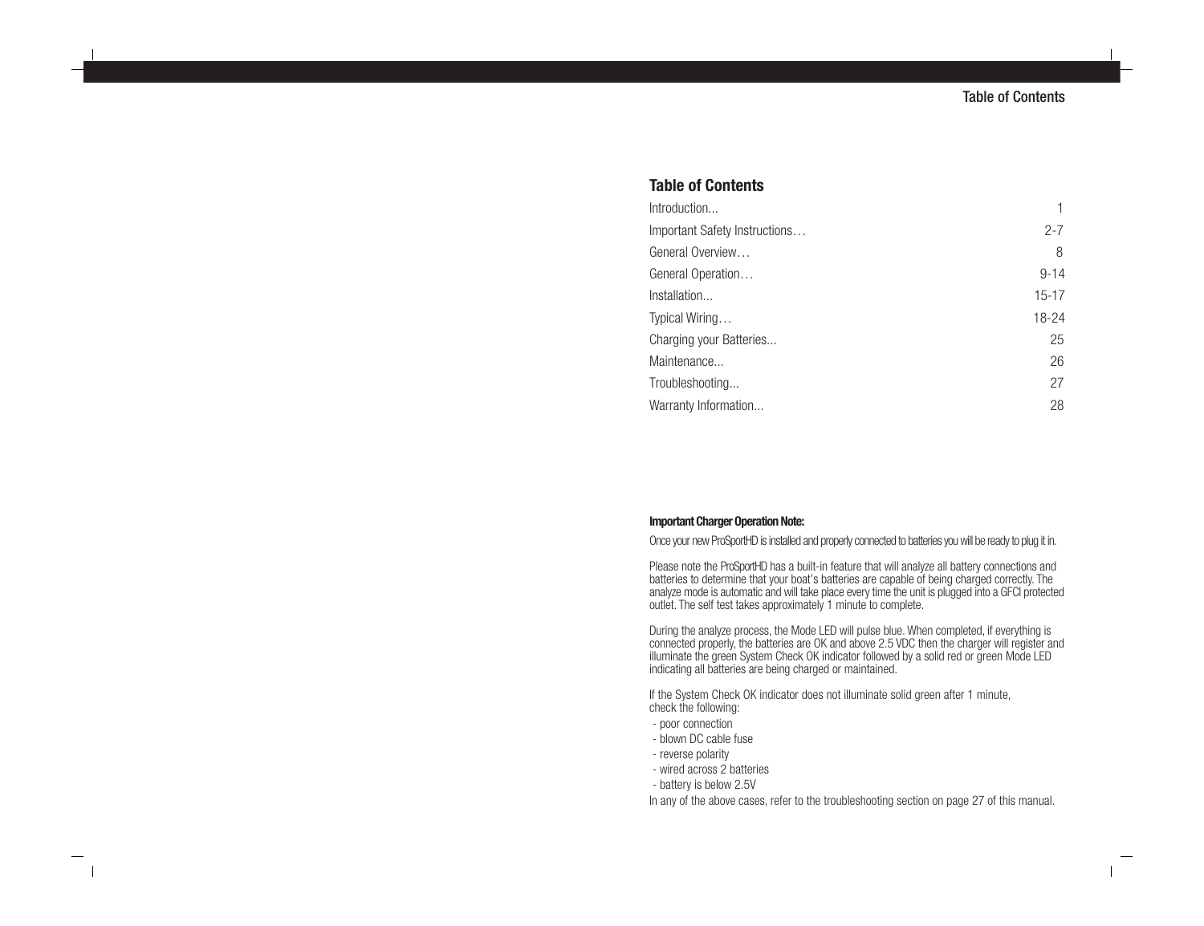## **Table of Contents**

| Introduction                  |          |
|-------------------------------|----------|
| Important Safety Instructions | $2 - 7$  |
| General Overview              | 8        |
| General Operation             | $9 - 14$ |
| Installation                  | $15-17$  |
| Typical Wiring                | 18-24    |
| Charging your Batteries       | 25       |
| Maintenance                   | 26       |
| Troubleshooting               | 27       |
| Warranty Information          | 28       |

#### **Important Charger Operation Note:**

Once your new ProSportHD is installed and properly connected to batteries you will be ready to plug it in.

Please note the ProSportHD has a built-in feature that will analyze all battery connections and batteries to determine that your boat's batteries are capable of being charged correctly. The analyze mode is automatic and will take place every time the unit is plugged into a GFCI protected outlet. The self test takes approximately 1 minute to complete.

During the analyze process, the Mode LED will pulse blue. When completed, if everything is connected properly, the batteries are OK and above 2.5 VDC then the charger will register and illuminate the green System Check OK indicator followed by a solid red or green Mode LED indicating all batteries are being charged or maintained.

If the System Check OK indicator does not illuminate solid green after 1 minute, check the following:

- poor connection
- blown DC cable fuse
- reverse polarity
- wired across 2 batteries
- battery is below 2.5V

In any of the above cases, refer to the troubleshooting section on page 27 of this manual.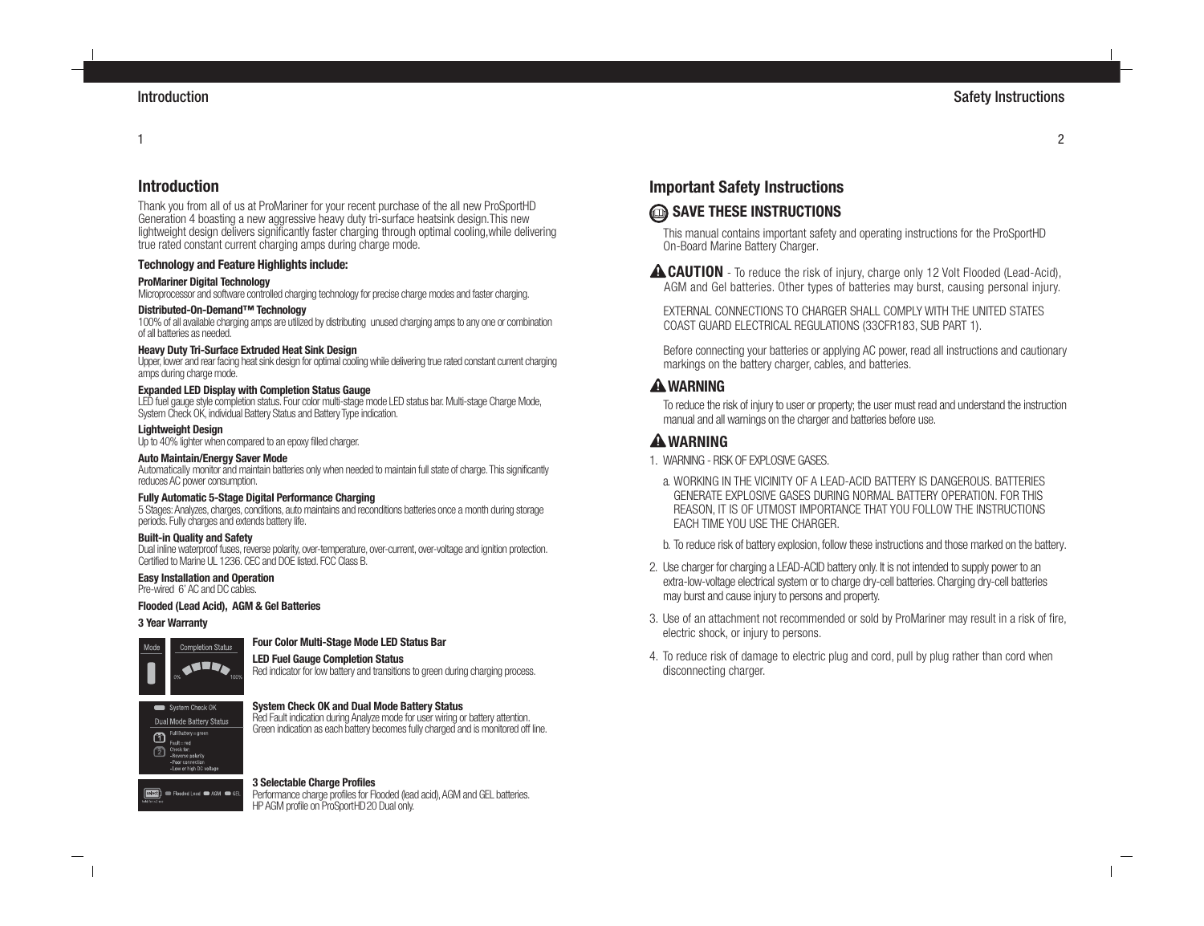#### 1

## **Introduction**

Thank you from all of us at ProMariner for your recent purchase of the all new ProSportHD Generation 4 boasting a new aggressive heavy duty tri-surface heatsink design.This new lightweight design delivers significantly faster charging through optimal cooling,while delivering true rated constant current charging amps during charge mode.

#### **Technology and Feature Highlights include:**

#### **ProMariner Digital Technology**

Microprocessor and software controlled charging technology for precise charge modes and faster charging.

#### **Distributed-On-Demand™ Technology**

100% of all available charging amps are utilized by distributing unused charging amps to any one or combination of all batteries as needed.

#### **Heavy Duty Tri-Surface Extruded Heat Sink Design**

Upper, lower and rear facing heat sink design for optimal cooling while delivering true rated constant current charging amps during charge mode.

#### **Expanded LED Display with Completion Status Gauge**

LED fuel gauge style completion status. Four color multi-stage mode LED status bar. Multi-stage Charge Mode, System Check OK, individual Battery Status and Battery Type indication.

#### **Lightweight Design**

Up to 40% lighter when compared to an epoxy filled charger.

#### **Auto Maintain/Energy Saver Mode**

Automatically monitor and maintain batteries only when needed to maintain full state of charge. This significantly reduces AC power consumption.

#### **Fully Automatic 5-Stage Digital Performance Charging**

5 Stages: Analyzes, charges, conditions, auto maintains and reconditions batteries once a month during storage periods. Fully charges and extends battery life.

#### **Built-in Quality and Safety**

Dual inline waterproof fuses, reverse polarity, over-temperature, over-current, over-voltage and ignition protection. Certified to Marine UL 1236. CEC and DOE listed. FCC Class B.

#### **Easy Installation and Operation**

Pre-wired 6' AC and DC cables.

#### **Flooded (Lead Acid), AGM & Gel Batteries**

#### **3 Year Warranty**



#### **Four Color Multi-Stage Mode LED Status Bar**

**LED Fuel Gauge Completion Status** Red indicator for low battery and transitions to green during charging process.



#### **System Check OK and Dual Mode Battery Status**

Red Fault indication during Analyze mode for user wiring or battery attention. Green indication as each battery becomes fully charged and is monitored off line.

#### **3 Selectable Charge Profiles**

**Select d** Flooded Lead **@** AGM **@** GEI Performance charge profiles for Flooded (lead acid), AGM and GEL batteries. HP AGM profile on ProSportHD20 Dual only.

# **Important Safety Instructions**

# **SAVE THESE INSTRUCTIONS**

This manual contains important safety and operating instructions for the ProSportHD On-Board Marine Battery Charger.

**ACAUTION** - To reduce the risk of injury, charge only 12 Volt Flooded (Lead-Acid), AGM and Gel batteries. Other types of batteries may burst, causing personal injury.

EXTERNAL CONNECTIONS TO CHARGER SHALL COMPLY WITH THE UNITED STATES COAST GUARD ELECTRICAL REGULATIONS (33CFR183, SUB PART 1).

Before connecting your batteries or applying AC power, read all instructions and cautionary markings on the battery charger, cables, and batteries.

## **WARNING**

To reduce the risk of injury to user or property; the user must read and understand the instruction manual and all warnings on the charger and batteries before use.

# **WARNING**

- 1. WARNING RISK OF EXPLOSIVE GASES.
- a. WORKING IN THE VICINITY OF A LEAD-ACID BATTERY IS DANGEROUS. BATTERIES GENERATE EXPLOSIVE GASES DURING NORMAL BATTERY OPERATION. FOR THIS REASON, IT IS OF UTMOST IMPORTANCE THAT YOU FOLLOW THE INSTRUCTIONS EACH TIME YOU USE THE CHARGER.
- b. To reduce risk of battery explosion, follow these instructions and those marked on the battery.
- 2. Use charger for charging a LEAD-ACID battery only. It is not intended to supply power to an extra-low-voltage electrical system or to charge dry-cell batteries. Charging dry-cell batteries may burst and cause injury to persons and property.
- 3. Use of an attachment not recommended or sold by ProMariner may result in a risk of fire, electric shock, or injury to persons.
- 4. To reduce risk of damage to electric plug and cord, pull by plug rather than cord when disconnecting charger.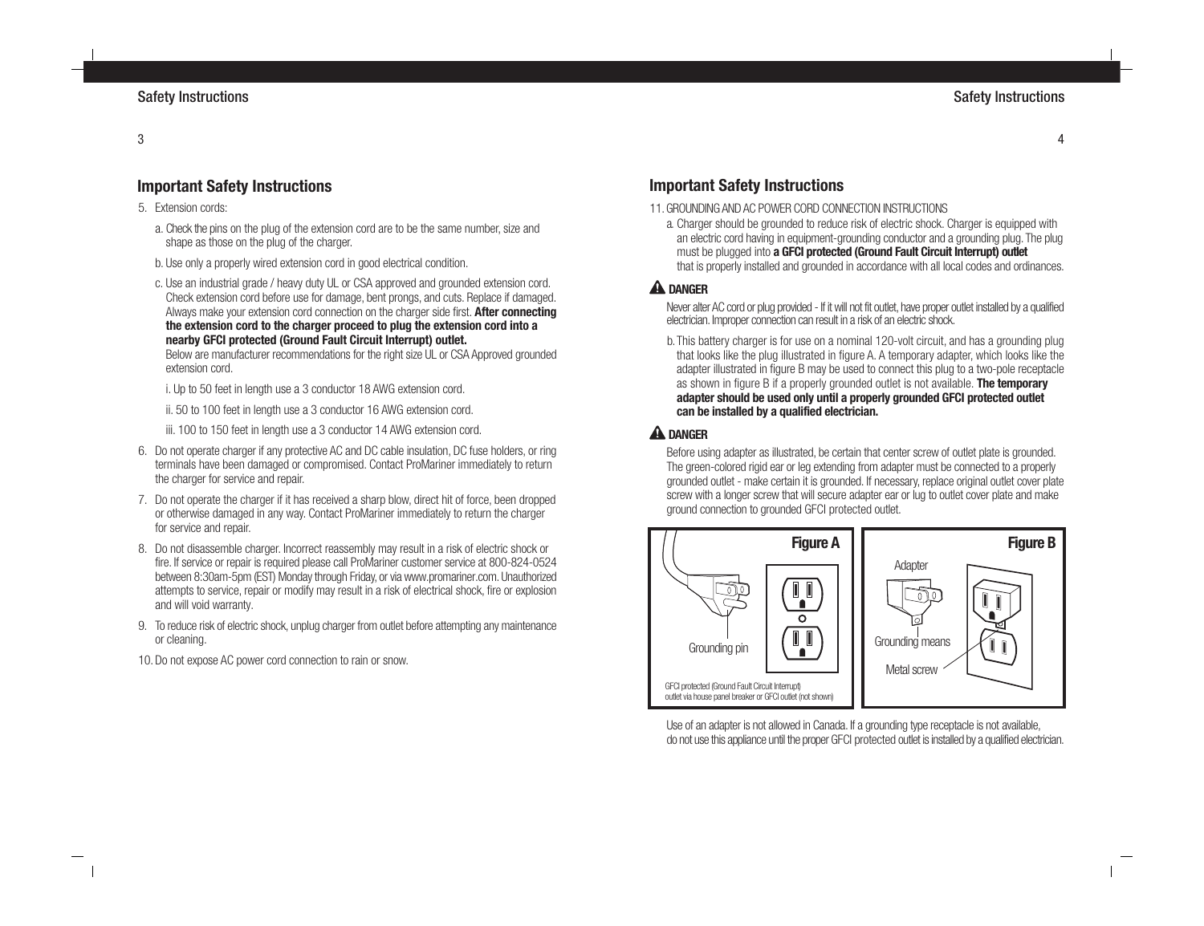# **Important Safety Instructions**

- 5. Extension cords:
	- a. Check the pins on the plug of the extension cord are to be the same number, size and shape as those on the plug of the charger.
	- b. Use only a properly wired extension cord in good electrical condition.
	- c. Use an industrial grade / heavy duty UL or CSA approved and grounded extension cord. Check extension cord before use for damage, bent prongs, and cuts. Replace if damaged. Always make your extension cord connection on the charger side first. **After connecting the extension cord to the charger proceed to plug the extension cord into a nearby GFCI protected (Ground Fault Circuit Interrupt) outlet.**

Below are manufacturer recommendations for the right size UL or CSA Approved grounded extension cord.

i. Up to 50 feet in length use a 3 conductor 18 AWG extension cord.

ii. 50 to 100 feet in length use a 3 conductor 16 AWG extension cord.

iii. 100 to 150 feet in length use a 3 conductor 14 AWG extension cord.

- 6. Do not operate charger if any protective AC and DC cable insulation, DC fuse holders, or ring terminals have been damaged or compromised. Contact ProMariner immediately to return the charger for service and repair.
- 7. Do not operate the charger if it has received a sharp blow, direct hit of force, been dropped or otherwise damaged in any way. Contact ProMariner immediately to return the charger for service and repair.
- 8. Do not disassemble charger. Incorrect reassembly may result in a risk of electric shock or fire. If service or repair is required please call ProMariner customer service at 800-824-0524 between 8:30am-5pm (EST) Monday through Friday, or via www.promariner.com. Unauthorized attempts to service, repair or modify may result in a risk of electrical shock, fire or explosion and will void warranty.
- 9. To reduce risk of electric shock, unplug charger from outlet before attempting any maintenance or cleaning.

10. Do not expose AC power cord connection to rain or snow.

# **Important Safety Instructions**

- 11.GROUNDING AND AC POWER CORD CONNECTION INSTRUCTIONS
	- a. Charger should be grounded to reduce risk of electric shock. Charger is equipped with an electric cord having in equipment-grounding conductor and a grounding plug. The plug must be plugged into **a GFCI protected (Ground Fault Circuit Interrupt) outlet** that is properly installed and grounded in accordance with all local codes and ordinances.

## **A** DANGER

Never alter AC cord or plug provided - If it will not fit outlet, have proper outlet installed by a qualified electrician. Improper connection can result in a risk of an electric shock.

b.This battery charger is for use on a nominal 120-volt circuit, and has a grounding plug that looks like the plug illustrated in figure A. A temporary adapter, which looks like the adapter illustrated in figure B may be used to connect this plug to a two-pole receptacle as shown in figure B if a properly grounded outlet is not available. **The temporary adapter should be used only until a properly grounded GFCI protected outlet can be installed by a qualified electrician.**

## **A** DANGER

Before using adapter as illustrated, be certain that center screw of outlet plate is grounded. The green-colored rigid ear or leg extending from adapter must be connected to a properly grounded outlet - make certain it is grounded. If necessary, replace original outlet cover plate screw with a longer screw that will secure adapter ear or lug to outlet cover plate and make ground connection to grounded GFCI protected outlet.



Use of an adapter is not allowed in Canada. If a grounding type receptacle is not available, do not use this appliance until the proper GFCI protected outlet is installed by a qualified electrician.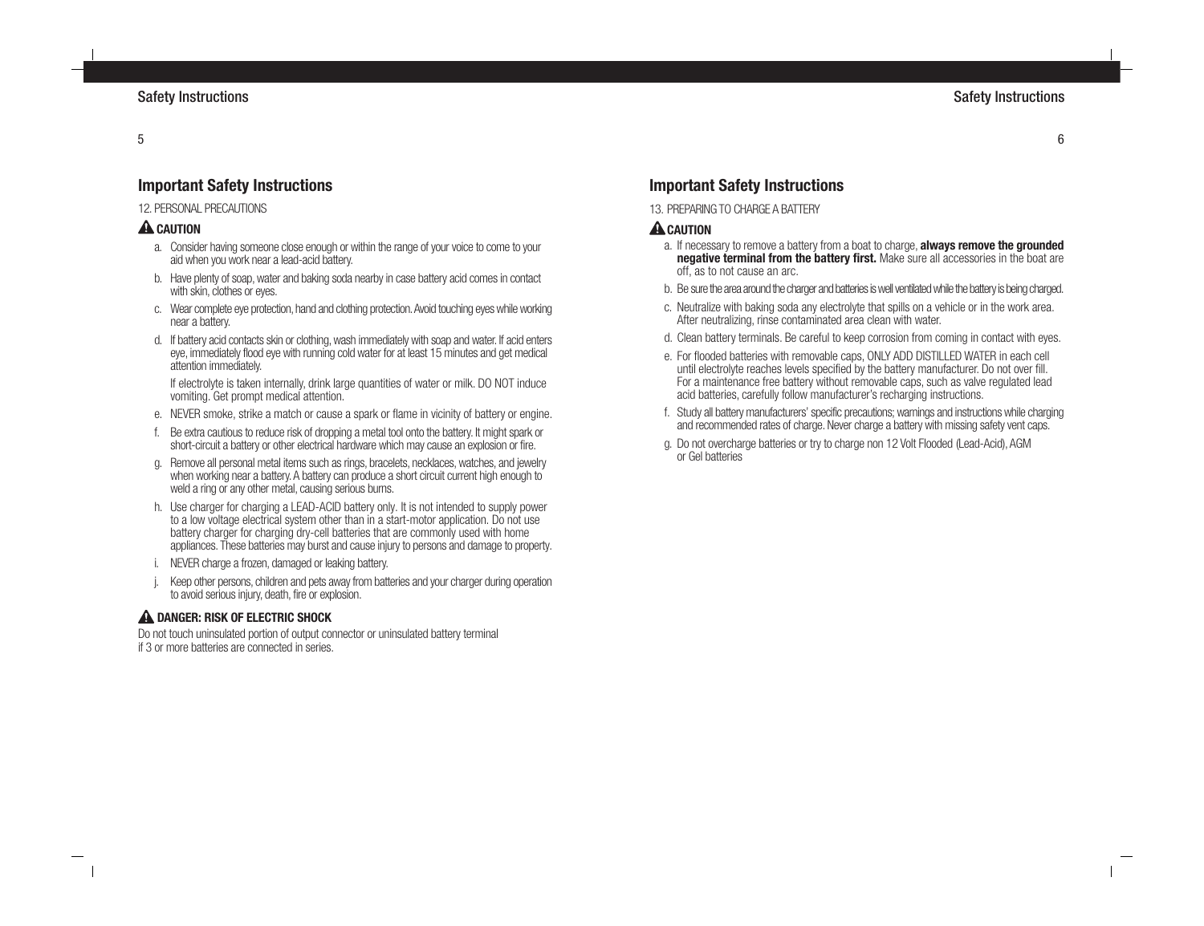# **Important Safety Instructions**

## 12 PERSONAL PRECALITIONS

# **A** CAUTION

- a. Consider having someone close enough or within the range of your voice to come to your aid when you work near a lead-acid battery.
- b. Have plenty of soap, water and baking soda nearby in case battery acid comes in contact with skin, clothes or eyes.
- c. Wear complete eye protection, hand and clothing protection. Avoid touching eyes while working near a battery.
- d. If battery acid contacts skin or clothing, wash immediately with soap and water. If acid enters eye, immediately flood eye with running cold water for at least 15 minutes and get medical attention immediately.

If electrolyte is taken internally, drink large quantities of water or milk. DO NOT induce vomiting. Get prompt medical attention.

- e. NEVER smoke, strike a match or cause a spark or flame in vicinity of battery or engine.
- f. Be extra cautious to reduce risk of dropping a metal tool onto the battery. It might spark or short-circuit a battery or other electrical hardware which may cause an explosion or fire.
- g. Remove all personal metal items such as rings, bracelets, necklaces, watches, and jewelry when working near a battery. A battery can produce a short circuit current high enough to weld a ring or any other metal, causing serious burns.
- h. Use charger for charging a LEAD-ACID battery only. It is not intended to supply power to a low voltage electrical system other than in a start-motor application. Do not use battery charger for charging dry-cell batteries that are commonly used with home appliances. These batteries may burst and cause injury to persons and damage to property.
- NEVER charge a frozen, damaged or leaking battery.
- Keep other persons, children and pets away from batteries and your charger during operation to avoid serious injury, death, fire or explosion.

## **A DANGER: RISK OF ELECTRIC SHOCK**

Do not touch uninsulated portion of output connector or uninsulated battery terminal if 3 or more batteries are connected in series.

# **Important Safety Instructions**

13. PREPARING TO CHARGE A BATTERY

# **A** CAUTION

- a. If necessary to remove a battery from a boat to charge, **always remove the grounded negative terminal from the battery first.** Make sure all accessories in the boat are off, as to not cause an arc.
- b. Be sure the area around the charger and batteries is well ventilated while the battery is being charged.
- c. Neutralize with baking soda any electrolyte that spills on a vehicle or in the work area. After neutralizing, rinse contaminated area clean with water.
- d. Clean battery terminals. Be careful to keep corrosion from coming in contact with eyes.
- e. For flooded batteries with removable caps, ONLY ADD DISTILLED WATER in each cell until electrolyte reaches levels specified by the battery manufacturer. Do not over fill. For a maintenance free battery without removable caps, such as valve regulated lead acid batteries, carefully follow manufacturer's recharging instructions.
- f. Study all battery manufacturers' specific precautions; warnings and instructions while charging and recommended rates of charge. Never charge a battery with missing safety vent caps.
- g. Do not overcharge batteries or try to charge non 12 Volt Flooded (Lead-Acid), AGM or Gel batteries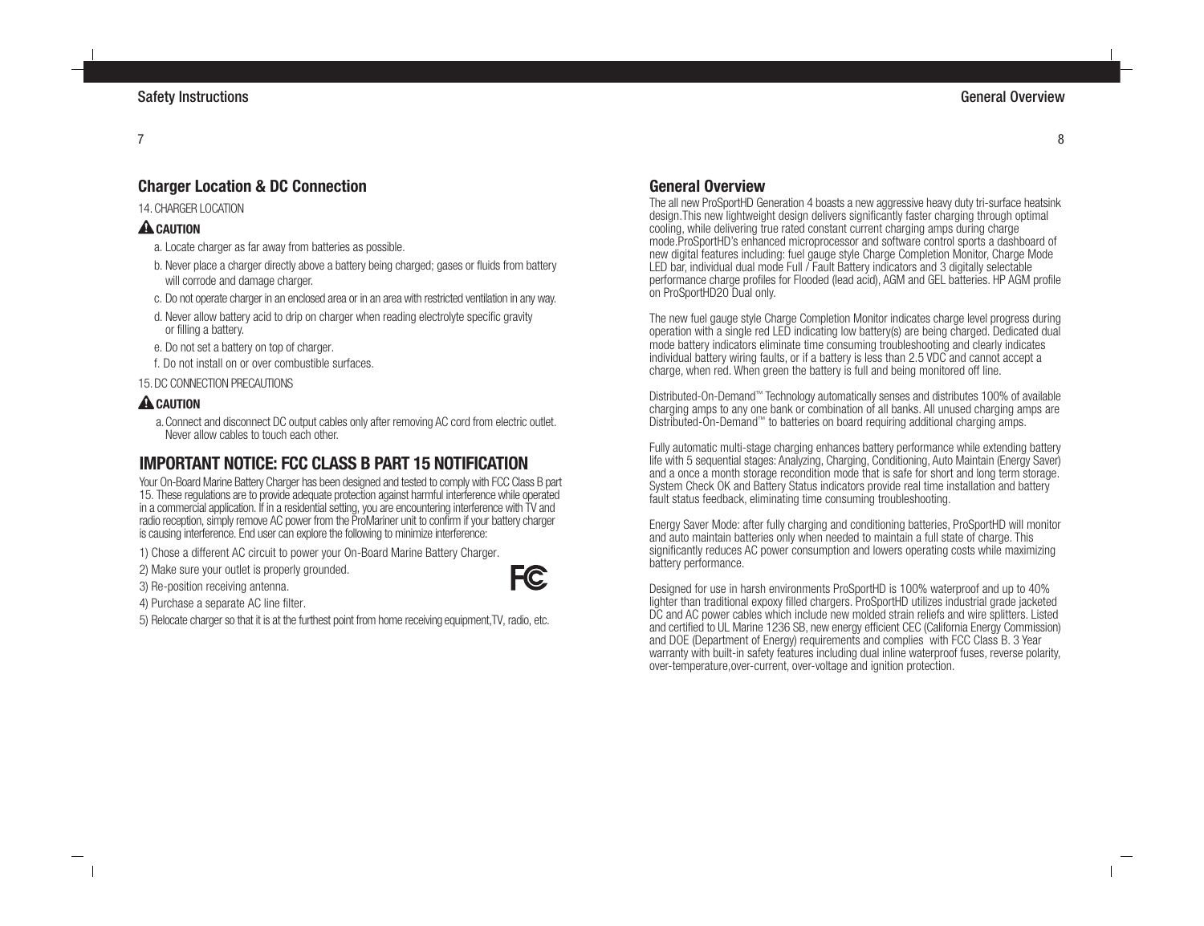# **Charger Location & DC Connection**

## 14. CHARGER LOCATION

# **A** CAUTION

- a. Locate charger as far away from batteries as possible.
- b. Never place a charger directly above a battery being charged; gases or fluids from battery will corrode and damage charger.
- c. Do not operate charger in an enclosed area or in an area with restricted ventilation in any way.
- d. Never allow battery acid to drip on charger when reading electrolyte specific gravity or filling a battery.
- e. Do not set a battery on top of charger.
- f. Do not install on or over combustible surfaces.

## 15.DC CONNECTION PRECAUTIONS

## **A** CAUTION

a.Connect and disconnect DC output cables only after removing AC cord from electric outlet. Never allow cables to touch each other.

# **IMPORTANT NOTICE: FCC CLASS B PART 15 NOTIFICATION**

Your On-Board Marine Battery Charger has been designed and tested to comply with FCC Class B part 15. These regulations are to provide adequate protection against harmful interference while operated in a commercial application. If in a residential setting, you are encountering interference with TV and radio reception, simply remove AC power from the ProMariner unit to confirm if your battery charger is causing interference. End user can explore the following to minimize interference:

**FC** 

- 1) Chose a different AC circuit to power your On-Board Marine Battery Charger.
- 2) Make sure your outlet is properly grounded.
- 3) Re-position receiving antenna.
- 4) Purchase a separate AC line filter.
- 5) Relocate charger so that it is at the furthest point from home receiving equipment,TV, radio, etc.

# **General Overview**

The all new ProSportHD Generation 4 boasts a new aggressive heavy duty tri-surface heatsink design.This new lightweight design delivers significantly faster charging through optimal cooling, while delivering true rated constant current charging amps during charge mode.ProSportHD's enhanced microprocessor and software control sports a dashboard of new digital features including: fuel gauge style Charge Completion Monitor, Charge Mode LED bar, individual dual mode Full / Fault Battery indicators and 3 digitally selectable performance charge profiles for Flooded (lead acid), AGM and GEL batteries. HP AGM profile on ProSportHD20 Dual only.

The new fuel gauge style Charge Completion Monitor indicates charge level progress during operation with a single red LED indicating low battery(s) are being charged. Dedicated dual mode battery indicators eliminate time consuming troubleshooting and clearly indicates individual battery wiring faults, or if a battery is less than 2.5 VDC and cannot accept a charge, when red. When green the battery is full and being monitored off line.

Distributed-On-Demand™ Technology automatically senses and distributes 100% of available charging amps to any one bank or combination of all banks. All unused charging amps are Distributed-On-Demand™ to batteries on board requiring additional charging amps.

Fully automatic multi-stage charging enhances battery performance while extending battery life with 5 sequential stages: Analyzing, Charging, Conditioning, Auto Maintain (Energy Saver) and a once a month storage recondition mode that is safe for short and long term storage. System Check OK and Battery Status indicators provide real time installation and battery fault status feedback, eliminating time consuming troubleshooting.

Energy Saver Mode: after fully charging and conditioning batteries, ProSportHD will monitor and auto maintain batteries only when needed to maintain a full state of charge. This significantly reduces AC power consumption and lowers operating costs while maximizing battery performance.

Designed for use in harsh environments ProSportHD is 100% waterproof and up to 40% lighter than traditional expoxy filled chargers. ProSportHD utilizes industrial grade jacketed DC and AC power cables which include new molded strain reliefs and wire splitters. Listed and certified to UL Marine 1236 SB, new energy efficient CEC (California Energy Commission) and DOE (Department of Energy) requirements and complies with FCC Class B. 3 Year warranty with built-in safety features including dual inline waterproof fuses, reverse polarity, over-temperature,over-current, over-voltage and ignition protection.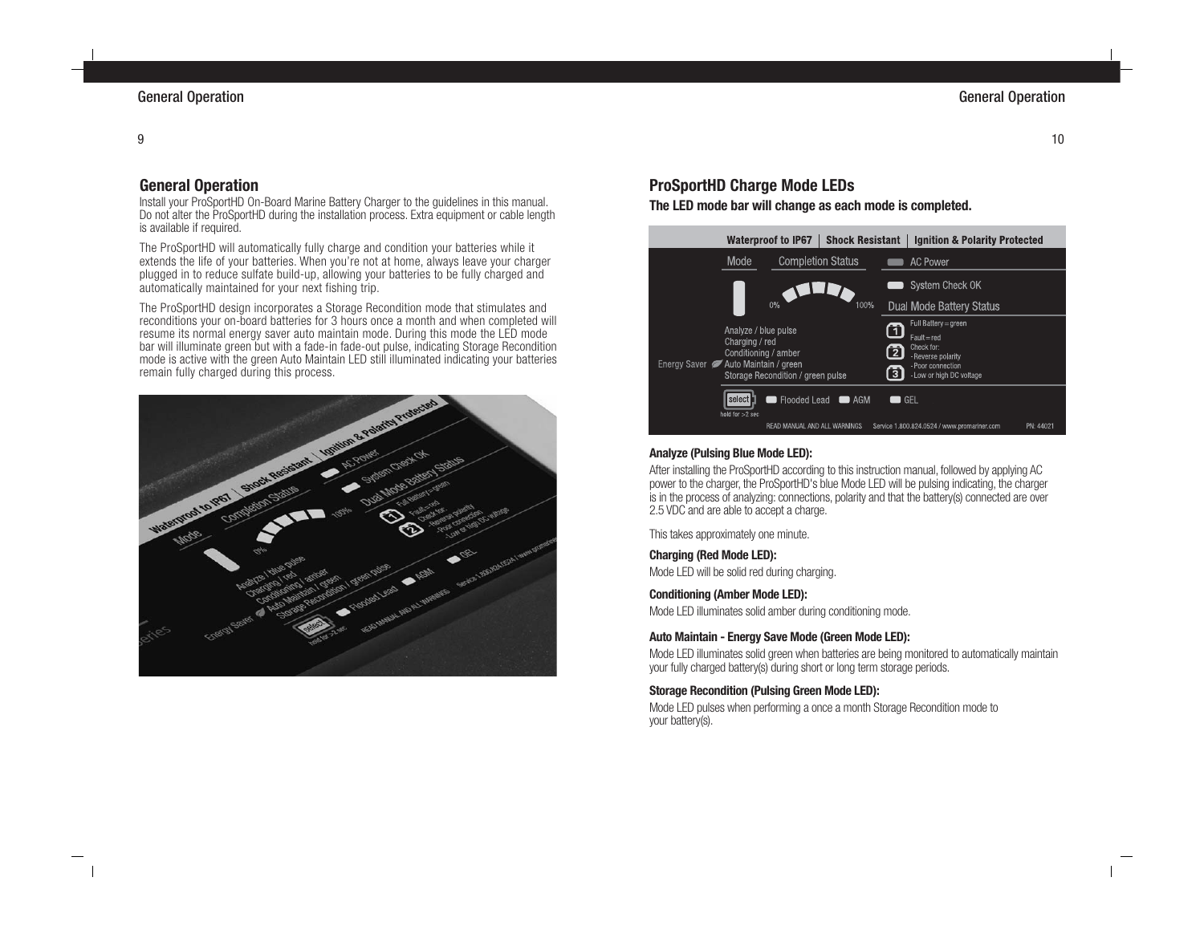# **General Operation**

Install your ProSportHD On-Board Marine Battery Charger to the guidelines in this manual. Do not alter the ProSportHD during the installation process. Extra equipment or cable length is available if required.

The ProSportHD will automatically fully charge and condition your batteries while it extends the life of your batteries. When you're not at home, always leave your charger plugged in to reduce sulfate build-up, allowing your batteries to be fully charged and automatically maintained for your next fishing trip.

The ProSportHD design incorporates a Storage Recondition mode that stimulates and reconditions your on-board batteries for 3 hours once a month and when completed will resume its normal energy saver auto maintain mode. During this mode the LED mode bar will illuminate green but with a fade-in fade-out pulse, indicating Storage Recondition mode is active with the green Auto Maintain LED still illuminated indicating your batteries remain fully charged during this process.



# **ProSportHD Charge Mode LEDs**

**The LED mode bar will change as each mode is completed.**



#### **Analyze (Pulsing Blue Mode LED):**

After installing the ProSportHD according to this instruction manual, followed by applying AC power to the charger, the ProSportHD's blue Mode LED will be pulsing indicating, the charger is in the process of analyzing: connections, polarity and that the battery(s) connected are over 2.5 VDC and are able to accept a charge.

This takes approximately one minute.

#### **Charging (Red Mode LED):**

Mode LED will be solid red during charging.

#### **Conditioning (Amber Mode LED):**

Mode LED illuminates solid amber during conditioning mode.

#### **Auto Maintain - Energy Save Mode (Green Mode LED):**

Mode LED illuminates solid green when batteries are being monitored to automatically maintain your fully charged battery(s) during short or long term storage periods.

#### **Storage Recondition (Pulsing Green Mode LED):**

Mode LED pulses when performing a once a month Storage Recondition mode to your battery(s).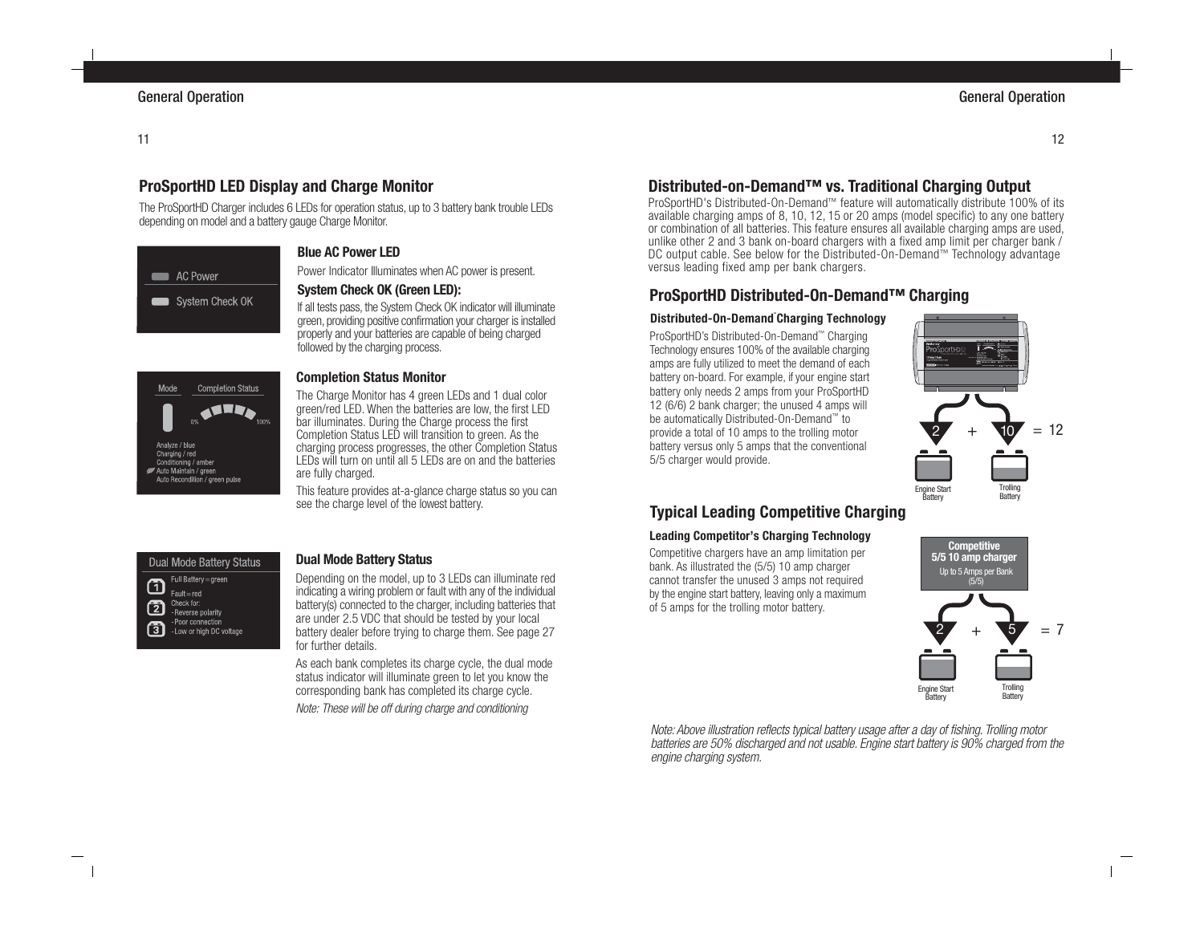# **ProSportHD LED Display and Charge Monitor**

The ProSportHD Charger includes 6 LEDs for operation status, up to 3 battery bank trouble LEDs depending on model and a battery gauge Charge Monitor.



## **Blue AC Power LED**

Power Indicator Illuminates when AC power is present.

## **System Check OK (Green LED):**

If all tests pass, the System Check OK indicator will illuminate green, providing positive confirmation your charger is installed properly and your batteries are capable of being charged followed by the charging process.



#### **Completion Status Monitor**

The Charge Monitor has 4 green LEDs and 1 dual color green/red LED. When the batteries are low, the first LED bar illuminates. During the Charge process the first Completion Status LED will transition to green. As the charging process progresses, the other Completion Status LEDs will turn on until all 5 LEDs are on and the batteries are fully charged.

This feature provides at-a-glance charge status so you can see the charge level of the lowest battery.

#### **Dual Mode Battery Status** Full Battery = green  $\mathbf \Omega$  $Fault = red$ Check for: 囨 -Reverse polarity - Poor connection 団

- Low or high DC voltage

## **Dual Mode Battery Status**

Depending on the model, up to 3 LEDs can illuminate red indicating a wiring problem or fault with any of the individual battery(s) connected to the charger, including batteries that are under 2.5 VDC that should be tested by your local battery dealer before trying to charge them. See page 27 for further details.

As each bank completes its charge cycle, the dual mode status indicator will illuminate green to let you know the corresponding bank has completed its charge cycle.

Note: These will be off during charge and conditioning

# **Distributed-on-Demand™ vs. Traditional Charging Output**

ProSportHD's Distributed-On-Demand™ feature will automatically distribute 100% of its available charging amps of 8, 10, 12, 15 or 20 amps (model specific) to any one battery or combination of all batteries. This feature ensures all available charging amps are used, unlike other 2 and 3 bank on-board chargers with a fixed amp limit per charger bank / DC output cable. See below for the Distributed-On-Demand™ Technology advantage versus leading fixed amp per bank chargers.

# **ProSportHD Distributed-On-Demand™ Charging**

#### **Distributed-On-Demand™ Charging Technology**

ProSportHD's Distributed-On-Demand™ Charging Technology ensures 100% of the available charging amps are fully utilized to meet the demand of each battery on-board. For example, if your engine start battery only needs 2 amps from your ProSportHD 12 (6/6) 2 bank charger; the unused 4 amps will be automatically Distributed-On-Demand™ to provide a total of 10 amps to the trolling motor battery versus only 5 amps that the conventional 5/5 charger would provide.



# **Typical Leading Competitive Charging**

#### **Leading Competitor's Charging Technology**

Competitive chargers have an amp limitation per bank. As illustrated the (5/5) 10 amp charger cannot transfer the unused 3 amps not required by the engine start battery, leaving only a maximum of 5 amps for the trolling motor battery.



Note: Above illustration reflects typical battery usage after a day of fishing. Trolling motor batteries are 50% discharged and not usable. Engine start battery is 90% charged from the engine charging system.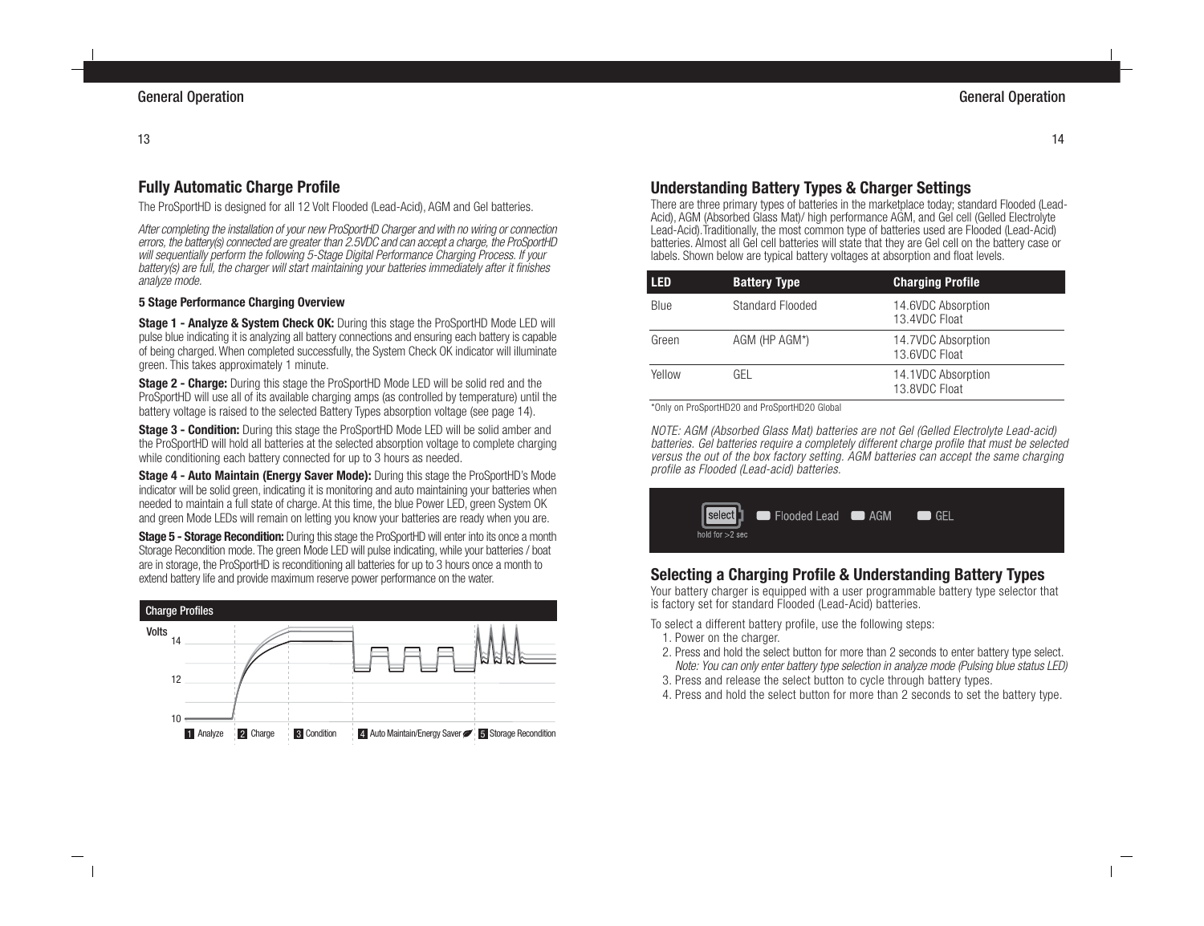# **Fully Automatic Charge Profile**

The ProSportHD is designed for all 12 Volt Flooded (Lead-Acid), AGM and Gel batteries.

After completing the installation of your new ProSportHD Charger and with no wiring or connection errors, the battery(s) connected are greater than 2.5VDC and can accept a charge, the ProSportHD will sequentially perform the following 5-Stage Digital Performance Charging Process. If your battery(s) are full, the charger will start maintaining your batteries immediately after it finishes analyze mode.

## **5 Stage Performance Charging Overview**

**Stage 1 - Analyze & System Check OK:** During this stage the ProSportHD Mode LED will pulse blue indicating it is analyzing all battery connections and ensuring each battery is capable of being charged. When completed successfully, the System Check OK indicator will illuminate green. This takes approximately 1 minute.

**Stage 2 - Charge:** During this stage the ProSportHD Mode LED will be solid red and the ProSportHD will use all of its available charging amps (as controlled by temperature) until the battery voltage is raised to the selected Battery Types absorption voltage (see page 14).

**Stage 3 - Condition:** During this stage the ProSportHD Mode LED will be solid amber and the ProSportHD will hold all batteries at the selected absorption voltage to complete charging while conditioning each battery connected for up to 3 hours as needed.

**Stage 4 - Auto Maintain (Energy Saver Mode):** During this stage the ProSportHD's Mode indicator will be solid green, indicating it is monitoring and auto maintaining your batteries when needed to maintain a full state of charge. At this time, the blue Power LED, green System OK and green Mode LEDs will remain on letting you know your batteries are ready when you are.

**Stage 5 - Storage Recondition:** During this stage the ProSportHD will enter into its once a month Storage Recondition mode. The green Mode LED will pulse indicating, while your batteries / boat are in storage, the ProSportHD is reconditioning all batteries for up to 3 hours once a month to extend battery life and provide maximum reserve power performance on the water.



# **Understanding Battery Types & Charger Settings**

There are three primary types of batteries in the marketplace today; standard Flooded (Lead-Acid), AGM (Absorbed Glass Mat)/ high performance AGM, and Gel cell (Gelled Electrolyte Lead-Acid).Traditionally, the most common type of batteries used are Flooded (Lead-Acid) batteries. Almost all Gel cell batteries will state that they are Gel cell on the battery case or labels. Shown below are typical battery voltages at absorption and float levels.

| LED    | <b>Battery Type</b>     | <b>Charging Profile</b>             |
|--------|-------------------------|-------------------------------------|
| Blue   | <b>Standard Flooded</b> | 14.6VDC Absorption<br>13.4VDC Float |
| Green  | AGM (HP AGM*)           | 14.7VDC Absorption<br>13.6VDC Float |
| Yellow | GFL                     | 14.1VDC Absorption<br>13.8VDC Float |

\*Only on ProSportHD20 and ProSportHD20 Global

NOTE: AGM (Absorbed Glass Mat) batteries are not Gel (Gelled Electrolyte Lead-acid) batteries. Gel batteries require a completely different charge profile that must be selected versus the out of the box factory setting. AGM batteries can accept the same charging profile as Flooded (Lead-acid) batteries.

| select   Flooded Lead <b>@</b> AGM<br>hold for $>2$ sec |  | <b>GFI</b> |  |  |
|---------------------------------------------------------|--|------------|--|--|
|---------------------------------------------------------|--|------------|--|--|

# **Selecting a Charging Profile & Understanding Battery Types**

Your battery charger is equipped with a user programmable battery type selector that is factory set for standard Flooded (Lead-Acid) batteries.

To select a different battery profile, use the following steps:

- 1. Power on the charger.
- 2. Press and hold the select button for more than 2 seconds to enter battery type select. Note: You can only enter battery type selection in analyze mode (Pulsing blue status LED)
- 3. Press and release the select button to cycle through battery types.
- 4. Press and hold the select button for more than 2 seconds to set the battery type.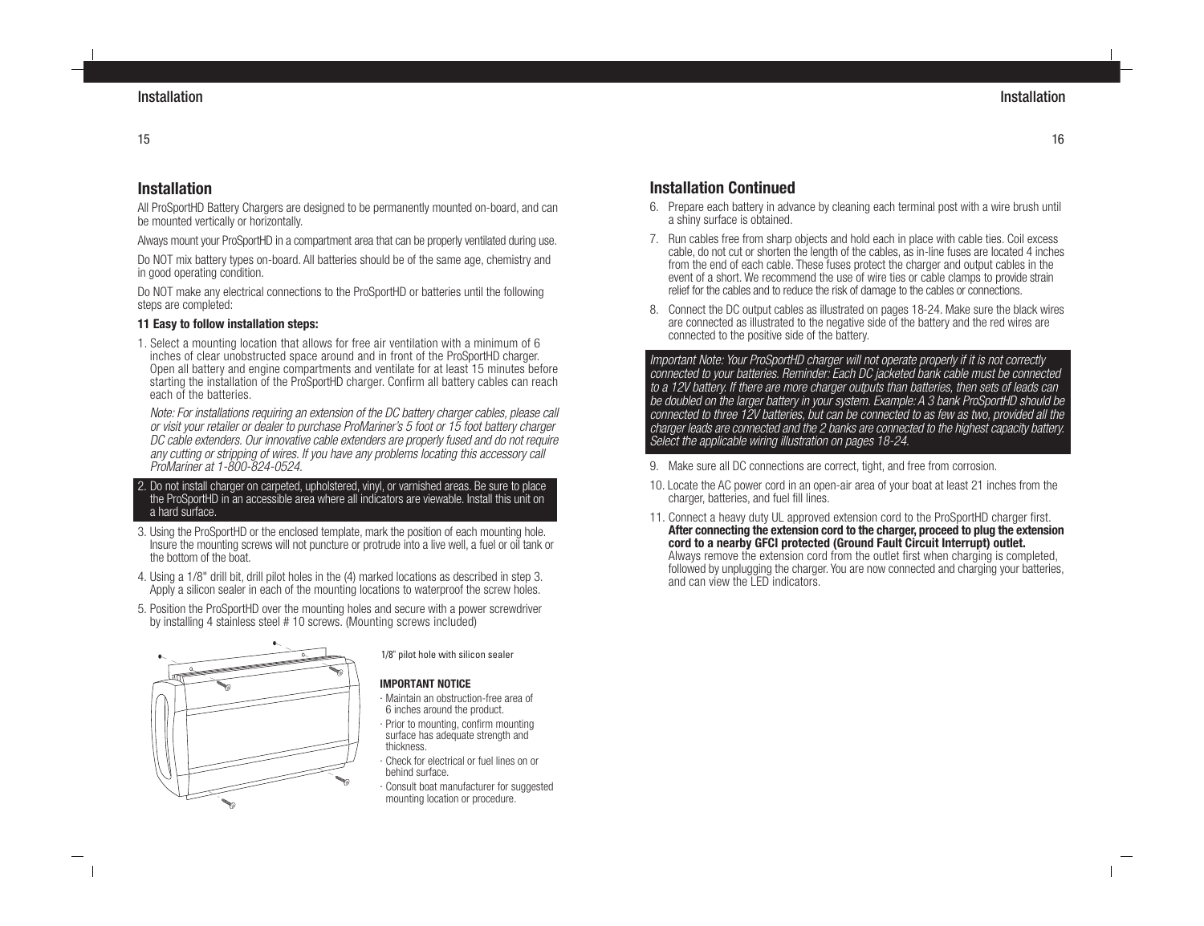## 15

# **Installation**

All ProSportHD Battery Chargers are designed to be permanently mounted on-board, and can be mounted vertically or horizontally.

Always mount your ProSportHD in a compartment area that can be properly ventilated during use.

Do NOT mix battery types on-board. All batteries should be of the same age, chemistry and in good operating condition.

Do NOT make any electrical connections to the ProSportHD or batteries until the following steps are completed:

## **11 Easy to follow installation steps:**

1. Select a mounting location that allows for free air ventilation with a minimum of 6 inches of clear unobstructed space around and in front of the ProSportHD charger. Open all battery and engine compartments and ventilate for at least 15 minutes before starting the installation of the ProSportHD charger. Confirm all battery cables can reach each of the batteries.

Note: For installations requiring an extension of the DC battery charger cables, please call or visit your retailer or dealer to purchase ProMariner's 5 foot or 15 foot battery charger DC cable extenders. Our innovative cable extenders are properly fused and do not require any cutting or stripping of wires. If you have any problems locating this accessory call ProMariner at 1-800-824-0524.

- 2. Do not install charger on carpeted, upholstered, vinyl, or varnished areas. Be sure to place the ProSportHD in an accessible area where all indicators are viewable. Install this unit on a hard surface.
- 3. Using the ProSportHD or the enclosed template, mark the position of each mounting hole. Insure the mounting screws will not puncture or protrude into a live well, a fuel or oil tank or the bottom of the boat.
- 4. Using a 1/8" drill bit, drill pilot holes in the (4) marked locations as described in step 3. Apply a silicon sealer in each of the mounting locations to waterproof the screw holes.
- 5. Position the ProSportHD over the mounting holes and secure with a power screwdriver by installing 4 stainless steel # 10 screws. (Mounting screws included)



1/8" pilot hole with silicon sealer

## **IMPORTANT NOTICE**

- · Maintain an obstruction-free area of 6 inches around the product. · Prior to mounting, confirm mounting
- surface has adequate strength and thickness.
- · Check for electrical or fuel lines on or behind surface.
- Consult boat manufacturer for suggested mounting location or procedure.

# **Installation Continued**

- 6. Prepare each battery in advance by cleaning each terminal post with a wire brush until a shiny surface is obtained.
- 7. Run cables free from sharp objects and hold each in place with cable ties. Coil excess cable, do not cut or shorten the length of the cables, as in-line fuses are located 4 inches from the end of each cable. These fuses protect the charger and output cables in the event of a short. We recommend the use of wire ties or cable clamps to provide strain relief for the cables and to reduce the risk of damage to the cables or connections.
- 8. Connect the DC output cables as illustrated on pages 18-24. Make sure the black wires are connected as illustrated to the negative side of the battery and the red wires are connected to the positive side of the battery.

Important Note: Your ProSportHD charger will not operate properly if it is not correctly connected to your batteries. Reminder: Each DC jacketed bank cable must be connected to a 12V battery. If there are more charger outputs than batteries, then sets of leads can be doubled on the larger battery in your system. Example: A 3 bank ProSportHD should be connected to three 12V batteries, but can be connected to as few as two, provided all the charger leads are connected and the 2 banks are connected to the highest capacity battery. Select the applicable wiring illustration on pages 18-24.

- 9. Make sure all DC connections are correct, tight, and free from corrosion.
- 10. Locate the AC power cord in an open-air area of your boat at least 21 inches from the charger, batteries, and fuel fill lines.
- 11. Connect a heavy duty UL approved extension cord to the ProSportHD charger first. **After connecting the extension cord to the charger, proceed to plug the extension cord to a nearby GFCI protected (Ground Fault Circuit Interrupt) outlet.** Always remove the extension cord from the outlet first when charging is completed, followed by unplugging the charger. You are now connected and charging your batteries, and can view the LED indicators.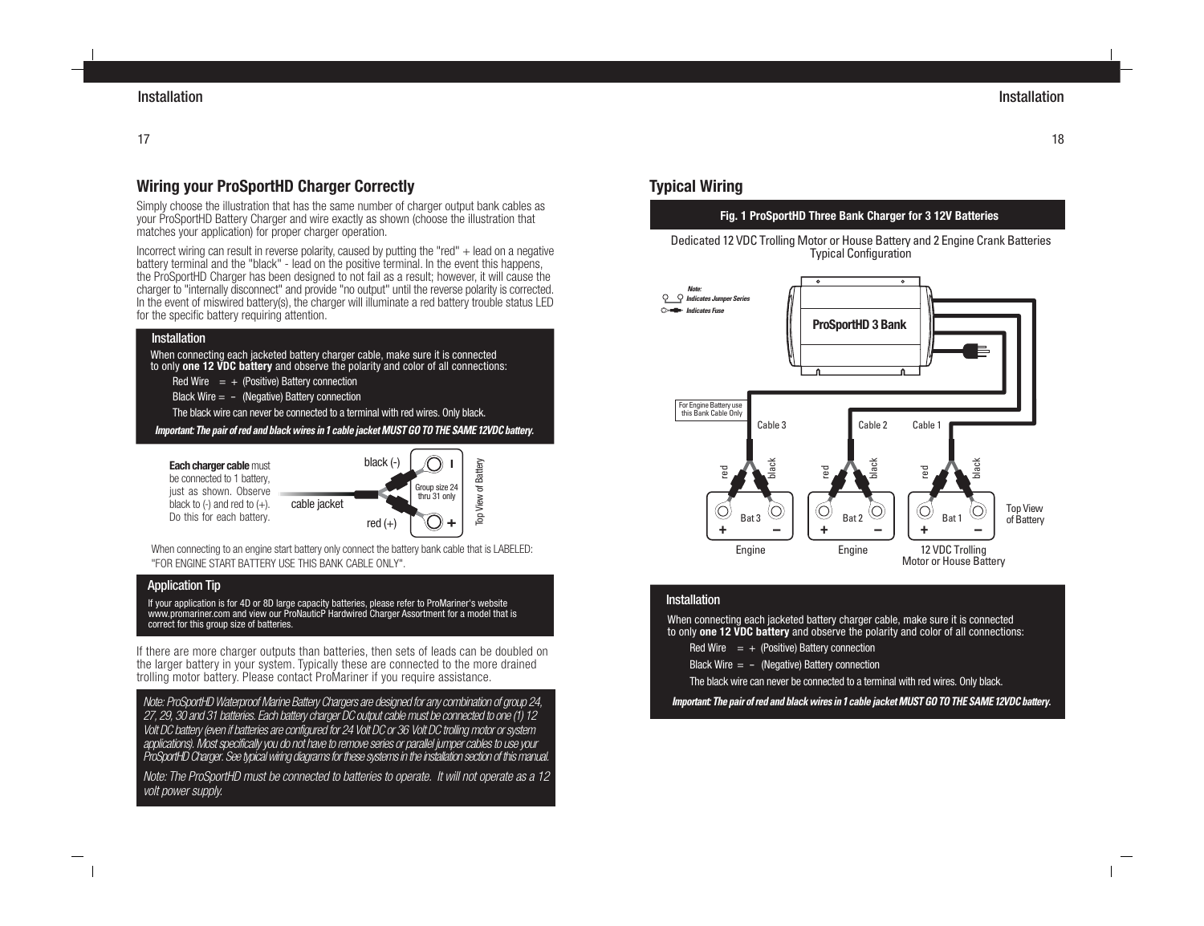# **Wiring your ProSportHD Charger Correctly**

Simply choose the illustration that has the same number of charger output bank cables as your ProSportHD Battery Charger and wire exactly as shown (choose the illustration that matches your application) for proper charger operation.

Incorrect wiring can result in reverse polarity, caused by putting the "red" + lead on a negative battery terminal and the "black" - lead on the positive terminal. In the event this happens, the ProSportHD Charger has been designed to not fail as a result; however, it will cause the charger to "internally disconnect" and provide "no output" until the reverse polarity is corrected. In the event of miswired battery(s), the charger will illuminate a red battery trouble status LED for the specific battery requiring attention.

#### Installation

When connecting each jacketed battery charger cable, make sure it is connected to only **one 12 VDC battery** and observe the polarity and color of all connections:

Red Wire  $= +$  (Positive) Battery connection

Black Wire  $=$  - (Negative) Battery connection

The black wire can never be connected to a terminal with red wires. Only black.

**Important: The pair of red and black wires in 1 cable jacket MUST GO TO THE SAME 12VDC battery.**



When connecting to an engine start battery only connect the battery bank cable that is LABELED: "FOR ENGINE START BATTERY USE THIS BANK CABLE ONLY".

#### Application Tip

If your application is for 4D or 8D large capacity batteries, please refer to ProMariner's website www.promariner.com and view our ProNauticP Hardwired Charger Assortment for a model that is correct for this group size of batteries.

If there are more charger outputs than batteries, then sets of leads can be doubled on the larger battery in your system. Typically these are connected to the more drained trolling motor battery. Please contact ProMariner if you require assistance.

Note: ProSportHD Waterproof Marine Battery Chargers are designed for any combination of group 24, 27, 29, 30 and 31 batteries. Each battery charger DC output cable must be connected to one (1) 12 Volt DC battery (even if batteries are configured for 24 Volt DC or 36 Volt DC trolling motor or system applications). Most specifically you do not have to remove series or parallel jumper cables to use your ProSportHD Charger. See typical wiring diagrams for these systems in the installation section of this manual.

Note: The ProSportHD must be connected to batteries to operate. It will not operate as a 12 volt power supply.

# **Typical Wiring**

## **Fig. 1 ProSportHD Three Bank Charger for 3 12V Batteries**





#### **Installation**

When connecting each jacketed battery charger cable, make sure it is connected to only **one 12 VDC battery** and observe the polarity and color of all connections:

Red Wire  $= +$  (Positive) Battery connection

Black Wire  $= -$  (Negative) Battery connection

The black wire can never be connected to a terminal with red wires. Only black.

#### **Important: The pair of red and black wires in 1 cable jacket MUST GO TO THE SAME 12VDC battery.**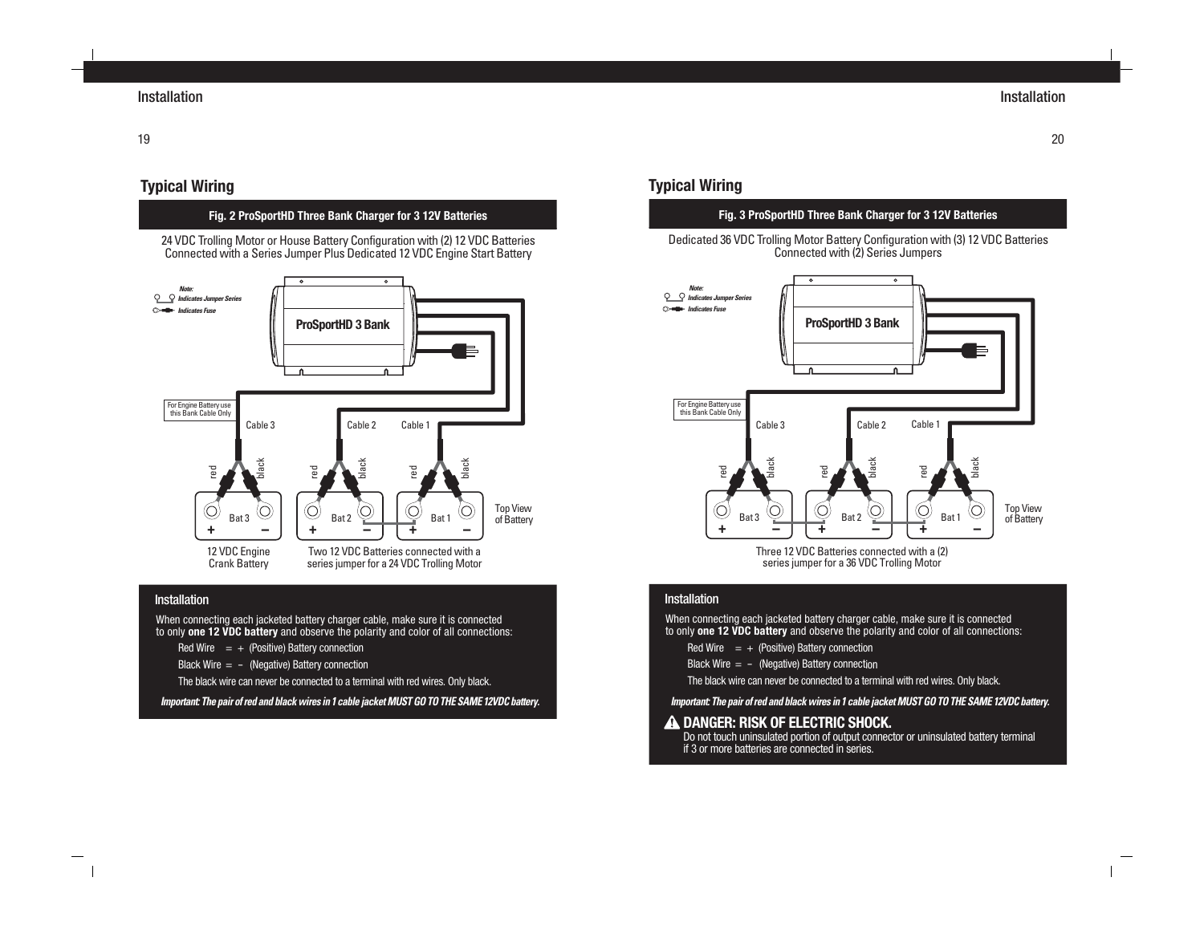# **Typical Wiring**

## **Fig. 2 ProSportHD Three Bank Charger for 3 12V Batteries**

24 VDC Trolling Motor or House Battery Configuration with (2) 12 VDC Batteries Connected with a Series Jumper Plus Dedicated 12 VDC Engine Start Battery



#### **Installation**

When connecting each jacketed battery charger cable, make sure it is connected to only **one 12 VDC battery** and observe the polarity and color of all connections:

Red Wire  $= +$  (Positive) Battery connection

Black Wire  $= -$  (Negative) Battery connection

The black wire can never be connected to a terminal with red wires. Only black.

**Important: The pair of red and black wires in 1 cable jacket MUST GO TO THE SAME 12VDC battery.**

# **Typical Wiring**

## **Fig. 3 ProSportHD Three Bank Charger for 3 12V Batteries**

Dedicated 36 VDC Trolling Motor Battery Configuration with (3) 12 VDC Batteries Connected with (2) Series Jumpers



Three 12 VDC Batteries connected with a (2) series jumper for a 36 VDC Trolling Motor

#### Installation

When connecting each jacketed battery charger cable, make sure it is connected to only **one 12 VDC battery** and observe the polarity and color of all connections:

Red Wire  $= +$  (Positive) Battery connection

Black Wire  $= -$  (Negative) Battery connection

The black wire can never be connected to a terminal with red wires. Only black.

**Important: The pair of red and black wires in 1 cable jacket MUST GO TO THE SAME 12VDC battery.**

#### **A DANGER: RISK OF ELECTRIC SHOCK.**

Do not touch uninsulated portion of output connector or uninsulated battery terminal if 3 or more batteries are connected in series.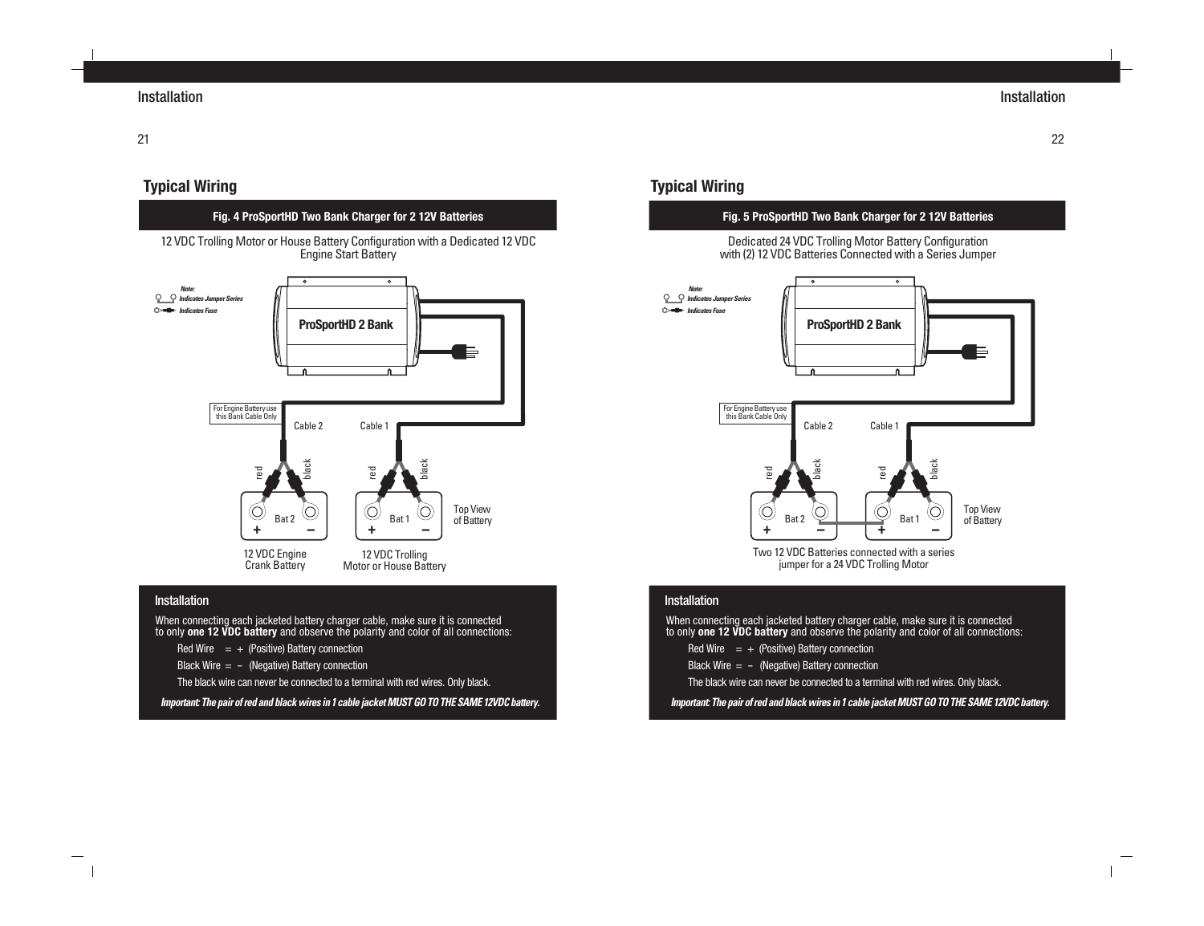22

# **Typical Wiring**

## **Fig. 4 ProSportHD Two Bank Charger for 2 12V Batteries**

12 VDC Trolling Motor or House Battery Configuration with a Dedicated 12 VDC Engine Start Battery



#### **Installation**

When connecting each jacketed battery charger cable, make sure it is connected to only **one 12 VDC battery** and observe the polarity and color of all connections:

Red Wire  $= +$  (Positive) Battery connection

Black Wire  $= -$  (Negative) Battery connection

The black wire can never be connected to a terminal with red wires. Only black.

**Important: The pair of red and black wires in 1 cable jacket MUST GO TO THE SAME 12VDC battery.**

# **Typical Wiring**

## **Fig. 5 ProSportHD Two Bank Charger for 2 12V Batteries**

Dedicated 24 VDC Trolling Motor Battery Configuration with (2) 12 VDC Batteries Connected with a Series Jumper



Two 12 VDC Batteries connected with a series jumper for a 24 VDC Trolling Motor

#### Installation

When connecting each jacketed battery charger cable, make sure it is connected to only **one 12 VDC battery** and observe the polarity and color of all connections:

- Red Wire  $= +$  (Positive) Battery connection
- Black Wire  $= -$  (Negative) Battery connection
- The black wire can never be connected to a terminal with red wires. Only black.

## **Important: The pair of red and black wires in 1 cable jacket MUST GO TO THE SAME 12VDC battery.**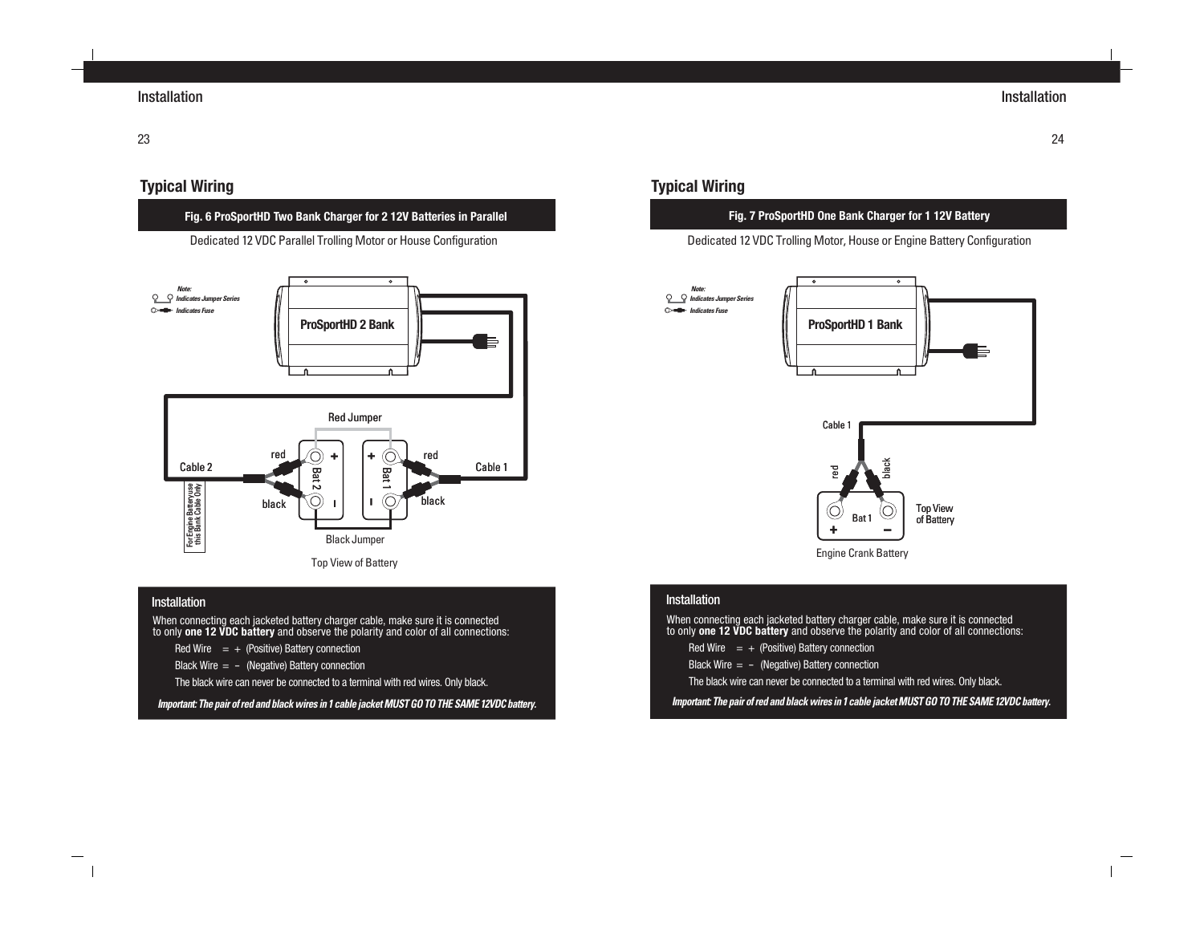# **Typical Wiring**

## **Fig. 6 ProSportHD Two Bank Charger for 2 12V Batteries in Parallel**

Dedicated 12 VDC Parallel Trolling Motor or House Configuration



#### **Installation**

When connecting each jacketed battery charger cable, make sure it is connected to only **one 12 VDC battery** and observe the polarity and color of all connections:

- Red Wire  $= +$  (Positive) Battery connection
- Black Wire  $= -$  (Negative) Battery connection

The black wire can never be connected to a terminal with red wires. Only black.

**Important: The pair of red and black wires in 1 cable jacket MUST GO TO THE SAME 12VDC battery.**

# **Typical Wiring**

## **Fig. 7 ProSportHD One Bank Charger for 1 12V Battery**

Dedicated 12 VDC Trolling Motor, House or Engine Battery Configuration



Engine Crank Battery

#### **Installation**

When connecting each jacketed battery charger cable, make sure it is connected to only **one 12 VDC battery** and observe the polarity and color of all connections:

- Red Wire  $= +$  (Positive) Battery connection
- Black Wire  $= -$  (Negative) Battery connection
- The black wire can never be connected to a terminal with red wires. Only black.

## **Important: The pair of red and black wires in 1 cable jacket MUST GO TO THE SAME 12VDC battery.**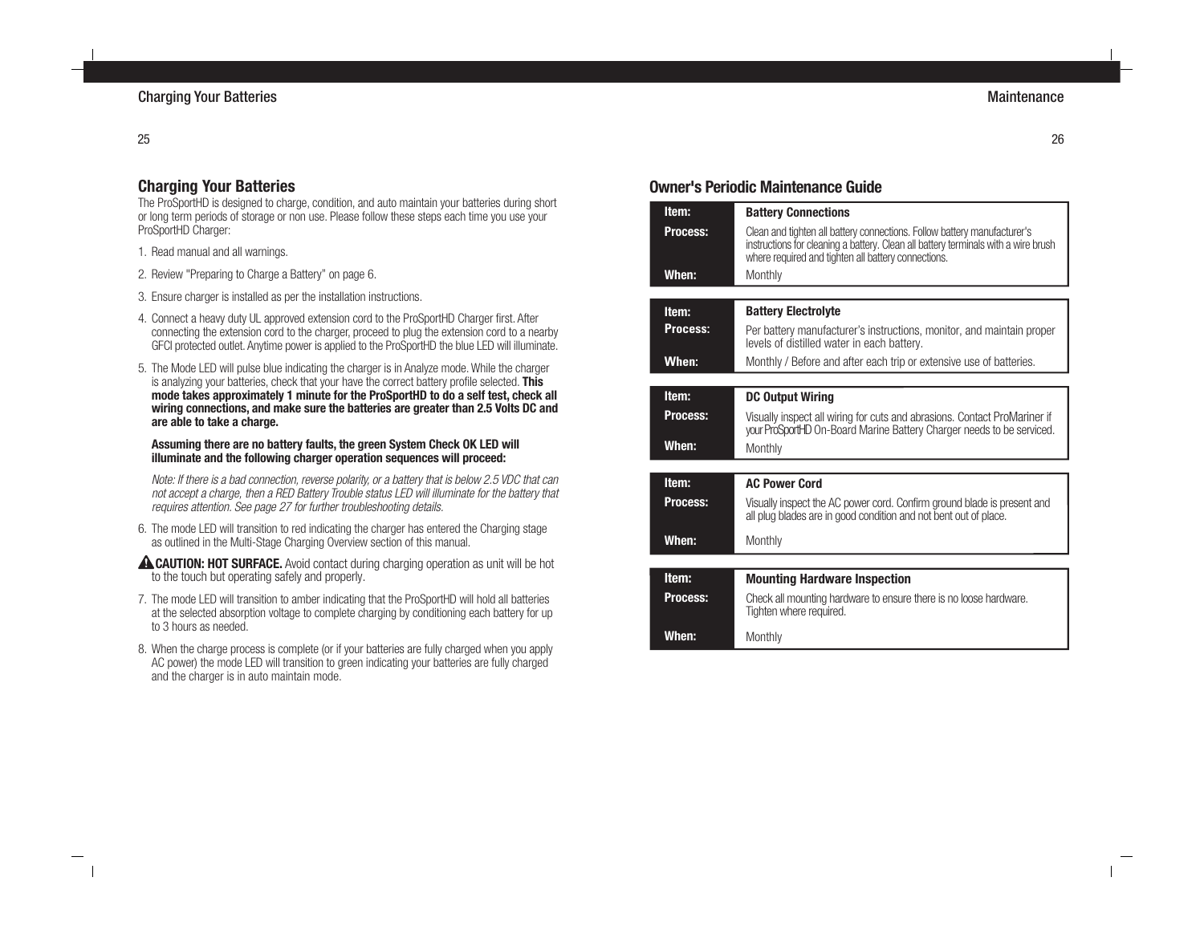## 25

# **Charging Your Batteries**

The ProSportHD is designed to charge, condition, and auto maintain your batteries during short or long term periods of storage or non use. Please follow these steps each time you use your ProSportHD Charger:

- 1. Read manual and all warnings.
- 2. Review "Preparing to Charge a Battery" on page 6.
- 3. Ensure charger is installed as per the installation instructions.
- 4. Connect a heavy duty UL approved extension cord to the ProSportHD Charger first. After connecting the extension cord to the charger, proceed to plug the extension cord to a nearby GFCI protected outlet. Anytime power is applied to the ProSportHD the blue LED will illuminate.
- 5. The Mode LED will pulse blue indicating the charger is in Analyze mode. While the charger is analyzing your batteries, check that your have the correct battery profile selected. **This mode takes approximately 1 minute for the ProSportHD to do a self test, check all wiring connections, and make sure the batteries are greater than 2.5 Volts DC and are able to take a charge.**

#### **Assuming there are no battery faults, the green System Check OK LED will illuminate and the following charger operation sequences will proceed:**

Note: If there is a bad connection, reverse polarity, or a battery that is below 2.5 VDC that can not accept a charge, then a RED Battery Trouble status LED will illuminate for the battery that requires attention. See page 27 for further troubleshooting details.

- 6. The mode LED will transition to red indicating the charger has entered the Charging stage as outlined in the Multi-Stage Charging Overview section of this manual.
- **A CAUTION: HOT SURFACE.** Avoid contact during charging operation as unit will be hot to the touch but operating safely and properly.
- 7. The mode LED will transition to amber indicating that the ProSportHD will hold all batteries at the selected absorption voltage to complete charging by conditioning each battery for up to 3 hours as needed.
- 8. When the charge process is complete (or if your batteries are fully charged when you apply AC power) the mode LED will transition to green indicating your batteries are fully charged and the charger is in auto maintain mode.

# **Owner's Periodic Maintenance Guide**

| Item:           | <b>Battery Connections</b>                                                                                                                                                                                            |
|-----------------|-----------------------------------------------------------------------------------------------------------------------------------------------------------------------------------------------------------------------|
| Process:        | Clean and tighten all battery connections. Follow battery manufacturer's<br>instructions for cleaning a battery. Clean all battery terminals with a wire brush<br>where required and tighten all battery connections. |
| When:           | Monthly                                                                                                                                                                                                               |
|                 |                                                                                                                                                                                                                       |
| Item:           | <b>Battery Electrolyte</b>                                                                                                                                                                                            |
| Process:        | Per battery manufacturer's instructions, monitor, and maintain proper<br>levels of distilled water in each battery.                                                                                                   |
| When:           | Monthly / Before and after each trip or extensive use of batteries.                                                                                                                                                   |
|                 |                                                                                                                                                                                                                       |
| Item:           | <b>DC Output Wiring</b>                                                                                                                                                                                               |
| <b>Process:</b> | Visually inspect all wiring for cuts and abrasions. Contact ProMariner if<br>your ProSportHD On-Board Marine Battery Charger needs to be serviced.                                                                    |
| When:           | Monthly                                                                                                                                                                                                               |
|                 |                                                                                                                                                                                                                       |
| Item:           | <b>AC Power Cord</b>                                                                                                                                                                                                  |
| <b>Process:</b> | Visually inspect the AC power cord. Confirm ground blade is present and<br>all plug blades are in good condition and not bent out of place.                                                                           |
| When:           | Monthly                                                                                                                                                                                                               |
|                 |                                                                                                                                                                                                                       |
| Item:           | <b>Mounting Hardware Inspection</b>                                                                                                                                                                                   |
| <b>Process:</b> | Check all mounting hardware to ensure there is no loose hardware.<br>Tighten where required.                                                                                                                          |
| When:           | Monthly                                                                                                                                                                                                               |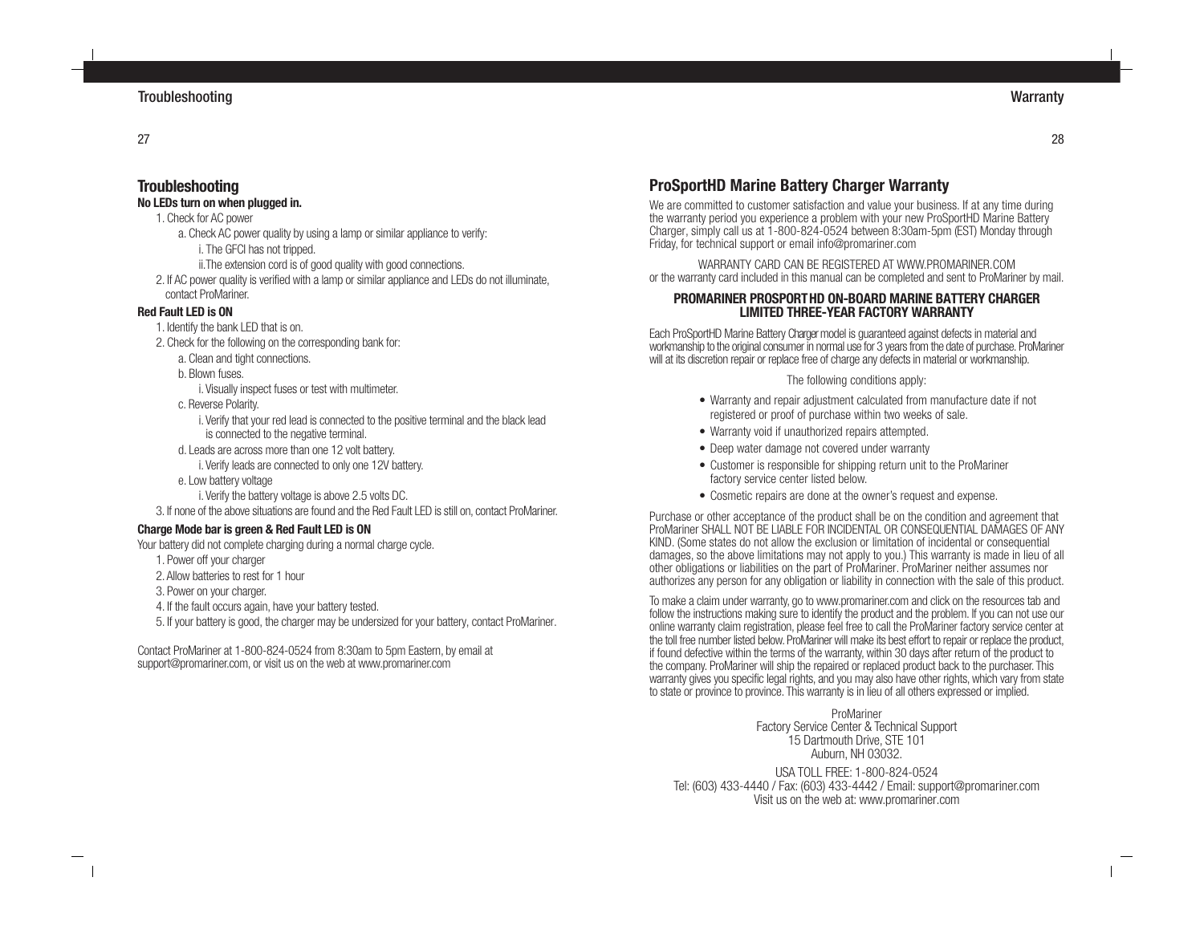27

# **Troubleshooting**

# **No LEDs turn on when plugged in.**

- 1. Check for AC power
	- a. Check AC power quality by using a lamp or similar appliance to verify:
		- i. The GFCI has not tripped.
		- ii.The extension cord is of good quality with good connections.
- 2. If AC power quality is verified with a lamp or similar appliance and LEDs do not illuminate, contact ProMariner.

# **Red Fault LED is ON**

- 1. Identify the bank LED that is on.
- 2. Check for the following on the corresponding bank for:
	- a. Clean and tight connections.
	- b. Blown fuses.
		- i. Visually inspect fuses or test with multimeter.
	- c. Reverse Polarity.
		- i. Verify that your red lead is connected to the positive terminal and the black lead is connected to the negative terminal.
	- d. Leads are across more than one 12 volt battery.
		- i. Verify leads are connected to only one 12V battery.
	- e. Low battery voltage
		- i. Verify the battery voltage is above 2.5 volts DC.
- 3. If none of the above situations are found and the Red Fault LED is still on, contact ProMariner.

# **Charge Mode bar is green & Red Fault LED is ON**

Your battery did not complete charging during a normal charge cycle.

- 1. Power off your charger
- 2. Allow batteries to rest for 1 hour
- 3. Power on your charger.
- 4. If the fault occurs again, have your battery tested.
- 5. If your battery is good, the charger may be undersized for your battery, contact ProMariner.

Contact ProMariner at 1-800-824-0524 from 8:30am to 5pm Eastern, by email at support@promariner.com, or visit us on the web at www.promariner.com

# **ProSportHD Marine Battery Charger Warranty**

We are committed to customer satisfaction and value your business. If at any time during the warranty period you experience a problem with your new ProSportHD Marine Battery Charger, simply call us at 1-800-824-0524 between 8:30am-5pm (EST) Monday through Friday, for technical support or email info@promariner.com

WARRANTY CARD CAN BE REGISTERED AT WWW.PROMARINER.COM or the warranty card included in this manual can be completed and sent to ProMariner by mail.

## **PROMARINER PROSPORTHD ON-BOARD MARINE BATTERY CHARGER LIMITED THREE-YEAR FACTORY WARRANTY**

Each ProSportHD Marine Battery Charger model is guaranteed against defects in material and workmanship to the original consumer in normal use for 3 years from the date of purchase. ProMariner will at its discretion repair or replace free of charge any defects in material or workmanship.

## The following conditions apply:

- Warranty and repair adjustment calculated from manufacture date if not registered or proof of purchase within two weeks of sale.
- Warranty void if unauthorized repairs attempted.
- Deep water damage not covered under warranty
- Customer is responsible for shipping return unit to the ProMariner factory service center listed below.
- Cosmetic repairs are done at the owner's request and expense.

Purchase or other acceptance of the product shall be on the condition and agreement that ProMariner SHALL NOT BE LIABLE FOR INCIDENTAL OR CONSEQUENTIAL DAMAGES OF ANY KIND. (Some states do not allow the exclusion or limitation of incidental or consequential damages, so the above limitations may not apply to you.) This warranty is made in lieu of all other obligations or liabilities on the part of ProMariner. ProMariner neither assumes nor authorizes any person for any obligation or liability in connection with the sale of this product.

To make a claim under warranty, go to www.promariner.com and click on the resources tab and follow the instructions making sure to identify the product and the problem. If you can not use our online warranty claim registration, please feel free to call the ProMariner factory service center at the toll free number listed below. ProMariner will make its best effort to repair or replace the product, if found defective within the terms of the warranty, within 30 days after return of the product to the company. ProMariner will ship the repaired or replaced product back to the purchaser. This warranty gives you specific legal rights, and you may also have other rights, which vary from state to state or province to province. This warranty is in lieu of all others expressed or implied.

> ProMariner Factory Service Center & Technical Support 15 Dartmouth Drive, STE 101 Auburn, NH 03032.

USA TOLL FREE: 1-800-824-0524 Tel: (603) 433-4440 / Fax: (603) 433-4442 / Email: support@promariner.com Visit us on the web at: www.promariner.com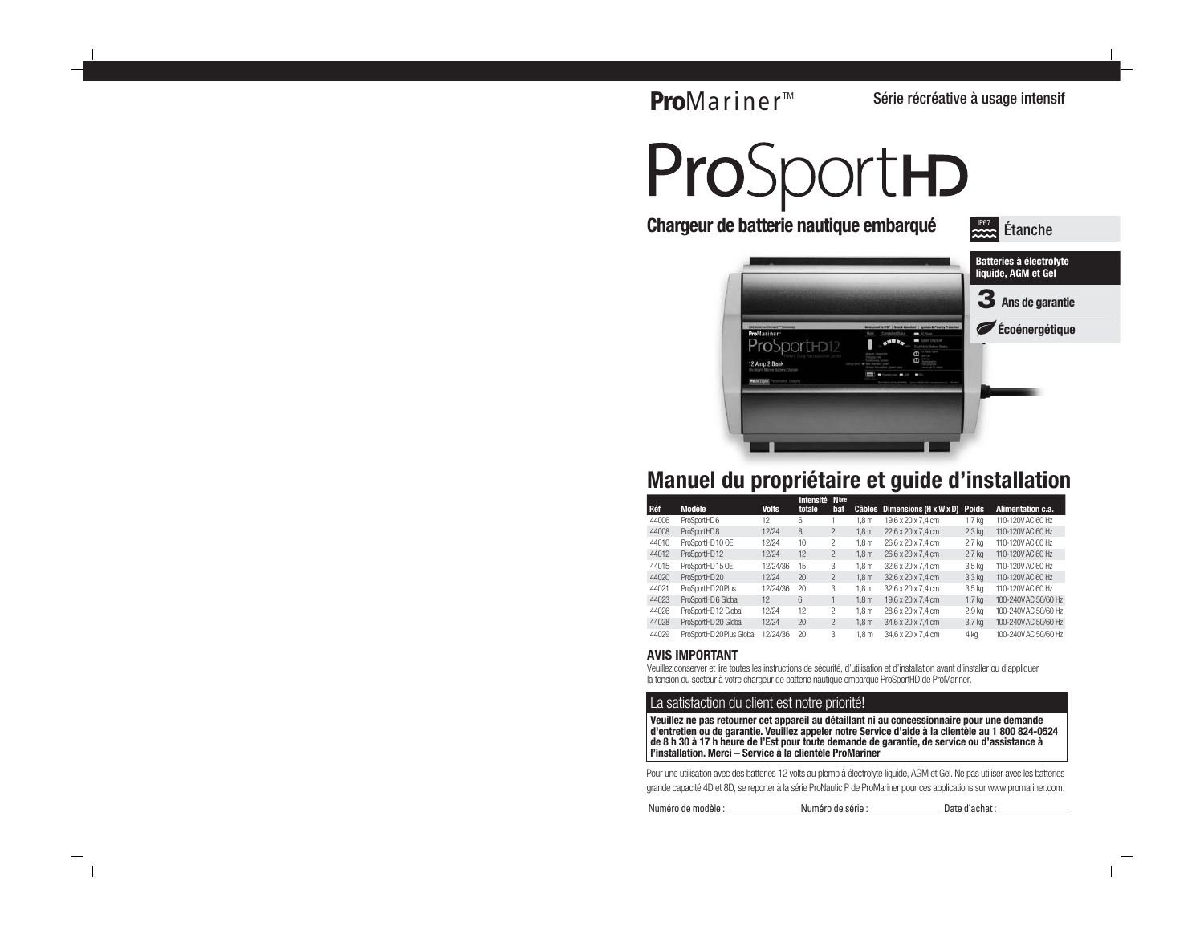# **Pro**Mariner<sup>™</sup>

Série récréative à usage intensif

# ProSportHD



# **Manuel du propriétaire et guide d'installation**

|       |                           |              | <b>Intensité</b> | <b>N</b> bre  |                  |                        |                   |                      |
|-------|---------------------------|--------------|------------------|---------------|------------------|------------------------|-------------------|----------------------|
| Réf   | <b>Modèle</b>             | <b>Volts</b> | totale           | bat           | Câbles           | Dimensions (H x W x D) | <b>Poids</b>      | Alimentation c.a.    |
| 44006 | ProSportHD6               | 12           | 6                |               | 1.8 <sub>m</sub> | 19.6 x 20 x 7.4 cm     | 1.7 <sub>ka</sub> | 110-120V AC 60 Hz    |
| 44008 | ProSportHD8               | 12/24        | 8                | $\mathcal{P}$ | 1.8 <sub>m</sub> | 22,6 x 20 x 7,4 cm     | $2.3$ kg          | 110-120V AC 60 Hz    |
| 44010 | ProSportHD10 OE           | 12/24        | 10               | 2             | 1.8 <sub>m</sub> | 26.6 x 20 x 7.4 cm     | 2.7 <sub>kg</sub> | 110-120V AC 60 Hz    |
| 44012 | ProSportHD12              | 12/24        | 12               | $\mathcal{P}$ | 1.8 <sub>m</sub> | 26,6 x 20 x 7,4 cm     | $2.7$ kg          | 110-120V AC 60 Hz    |
| 44015 | ProSportHD 15 OE          | 12/24/36     | 15               | 3             | 1.8 <sub>m</sub> | 32.6 x 20 x 7.4 cm     | 3.5 <sub>kq</sub> | 110-120V AC 60 Hz    |
| 44020 | ProSportHD20              | 12/24        | 20               | $\mathcal{P}$ | 1.8 <sub>m</sub> | 32.6 x 20 x 7.4 cm     | 3.3 <sub>ka</sub> | 110-120V AC 60 Hz    |
| 44021 | ProSportHD20Plus          | 12/24/36     | 20               | 3             | 1.8 <sub>m</sub> | 32.6 x 20 x 7.4 cm     | 3.5 <sub>kq</sub> | 110-120V AC 60 Hz    |
| 44023 | ProSportHD6 Global        | 12           | 6                |               | 1.8 <sub>m</sub> | 19.6 x 20 x 7.4 cm     | 1.7 <sub>ka</sub> | 100-240V AC 50/60 Hz |
| 44026 | ProSportHD12 Global       | 12/24        | 12               | $\mathcal{P}$ | 1.8 <sub>m</sub> | 28,6 x 20 x 7,4 cm     | 2.9 <sub>kq</sub> | 100-240V AC 50/60 Hz |
| 44028 | ProSportHD 20 Global      | 12/24        | 20               | $\mathcal{P}$ | 1.8 <sub>m</sub> | 34,6 x 20 x 7,4 cm     | 3.7 <sub>kg</sub> | 100-240V AC 50/60 Hz |
| 44029 | ProSportHD 20 Plus Global | 12/24/36     | 20               | 3             | 1.8 <sub>m</sub> | 34.6 x 20 x 7.4 cm     | 4 ka              | 100-240V AC 50/60 Hz |
|       |                           |              |                  |               |                  |                        |                   |                      |

#### **AVIS IMPORTANT**

Veuillez conserver et lire toutes les instructions de sécurité, d'utilisation et d'installation avant d'installer ou d'appliquer la tension du secteur à votre chargeur de batterie nautique embarqué ProSportHD de ProMariner.

#### La satisfaction du client est notre priorité!

**Veuillez ne pas retourner cet appareil au détaillant ni au concessionnaire pour une demande d'entretien ou de garantie. Veuillez appeler notre Service d'aide à la clientèle au 1 800 824-0524 de 8 h 30 à 17 h heure de l'Est pour toute demande de garantie, de service ou d'assistance à l'installation. Merci – Service à la clientèle ProMariner**

Pour une utilisation avec des batteries 12 volts au plomb à électrolyte liquide, AGM et Gel. Ne pas utiliser avec les batteries grande capacité 4D et 8D, se reporter à la série ProNautic P de ProMariner pour ces applications sur www.promariner.com.

Numéro de modèle : Numéro de série : Date d'achat :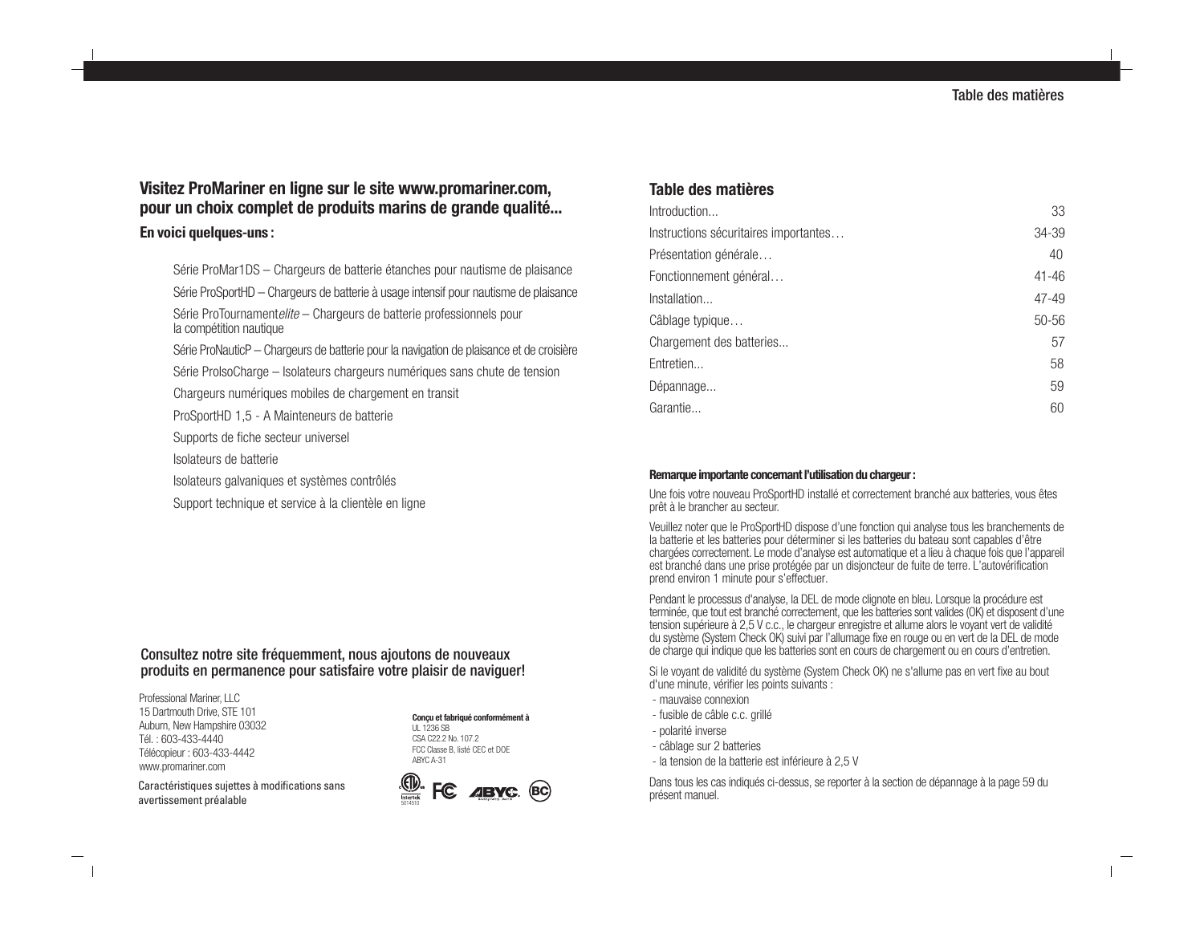# **Visitez ProMariner en ligne sur le site www.promariner.com, pour un choix complet de produits marins de grande qualité...**

## **En voici quelques-uns :**

Série ProMar1DS – Chargeurs de batterie étanches pour nautisme de plaisance Série ProSportHD – Chargeurs de batterie à usage intensif pour nautisme de plaisance Série ProTournamentelite – Chargeurs de batterie professionnels pour la compétition nautique Série ProNauticP – Chargeurs de batterie pour la navigation de plaisance et de croisière

Série ProIsoCharge – Isolateurs chargeurs numériques sans chute de tension

Chargeurs numériques mobiles de chargement en transit

ProSportHD 1,5 - A Mainteneurs de batterie

Supports de fiche secteur universel

Isolateurs de batterie

Isolateurs galvaniques et systèmes contrôlés

Support technique et service à la clientèle en ligne

## Consultez notre site fréquemment, nous ajoutons de nouveaux produits en permanence pour satisfaire votre plaisir de naviguer!

Professional Mariner, LLC 15 Dartmouth Drive, STE 101 Auburn, New Hampshire 03032 Tél. : 603-433-4440 Télécopieur : 603-433-4442 www.promariner.com

#### **Conçu et fabriqué conformément à** UL 1236 SB

CSA C22.2 No. 107.2 FCC Classe B, listé CEC et DOE ABYC A-31



# **Table des matières**

| Introduction                          | 33        |
|---------------------------------------|-----------|
| Instructions sécuritaires importantes | 34-39     |
| Présentation générale                 | 40        |
| Fonctionnement général                | $41 - 46$ |
| Installation                          | $47 - 49$ |
| Câblage typique                       | $50 - 56$ |
| Chargement des batteries              | 57        |
| Entretien                             | 58        |
| Dépannage                             | 59        |
| Garantie                              | 60        |

## **Remarque importante concernant l'utilisation du chargeur :**

Une fois votre nouveau ProSportHD installé et correctement branché aux batteries, vous êtes prêt à le brancher au secteur.

Veuillez noter que le ProSportHD dispose d'une fonction qui analyse tous les branchements de la batterie et les batteries pour déterminer si les batteries du bateau sont capables d'être chargées correctement. Le mode d'analyse est automatique et a lieu à chaque fois que l'appareil est branché dans une prise protégée par un disjoncteur de fuite de terre. L'autovérification prend environ 1 minute pour s'effectuer.

Pendant le processus d'analyse, la DEL de mode clignote en bleu. Lorsque la procédure est terminée, que tout est branché correctement, que les batteries sont valides (OK) et disposent d'une tension supérieure à 2,5 V c.c., le chargeur enregistre et allume alors le voyant vert de validité du système (System Check OK) suivi par l'allumage fixe en rouge ou en vert de la DEL de mode de charge qui indique que les batteries sont en cours de chargement ou en cours d'entretien.

Si le voyant de validité du système (System Check OK) ne s'allume pas en vert fixe au bout d'une minute, vérifier les points suivants :

- mauvaise connexion
- fusible de câble c.c. grillé
- polarité inverse
- câblage sur 2 batteries
- la tension de la batterie est inférieure à 2,5 V

Dans tous les cas indiqués ci-dessus, se reporter à la section de dépannage à la page 59 du présent manuel.

Caractéristiques sujettes à modifications sans avertissement préalable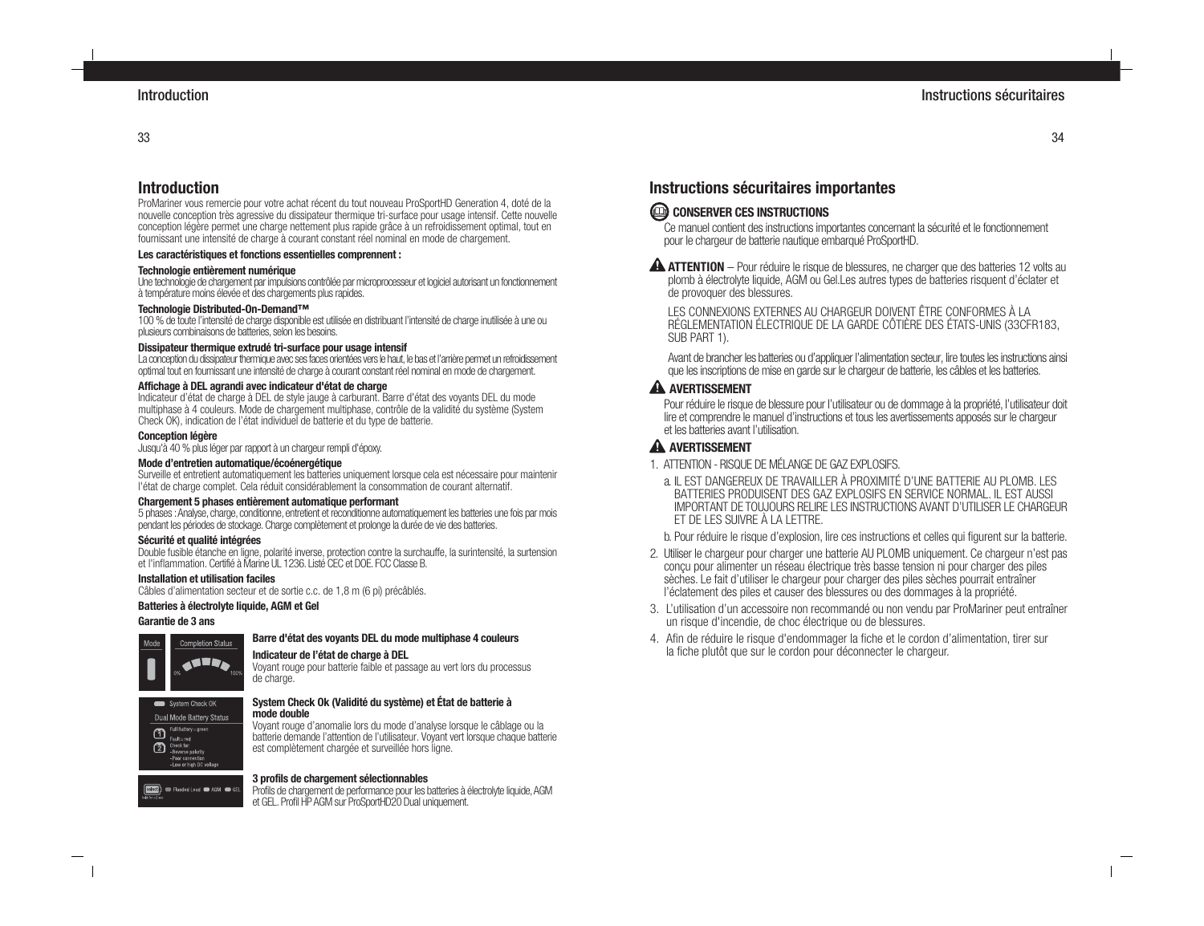33

# **Introduction**

ProMariner vous remercie pour votre achat récent du tout nouveau ProSportHD Generation 4, doté de la nouvelle conception très agressive du dissipateur thermique tri-surface pour usage intensif. Cette nouvelle conception légère permet une charge nettement plus rapide grâce à un refroidissement optimal, tout en fournissant une intensité de charge à courant constant réel nominal en mode de chargement.

#### **Les caractéristiques et fonctions essentielles comprennent :**

#### **Technologie entièrement numérique**

Une technologie de chargement par impulsions contrôlée par microprocesseur et logiciel autorisant un fonctionnement à température moins élevée et des chargements plus rapides.

#### **Technologie Distributed-On-Demand™**

100 % de toute l'intensité de charge disponible est utilisée en distribuant l'intensité de charge inutilisée à une ou plusieurs combinaisons de batteries, selon les besoins.

#### **Dissipateur thermique extrudé tri-surface pour usage intensif**

La conception du dissipateur thermique avec ses faces orientées vers le haut, le bas et l'arrière permet un refroidissement optimal tout en fournissant une intensité de charge à courant constant réel nominal en mode de chargement.

#### **Affichage à DEL agrandi avec indicateur d'état de charge**

Indicateur d'état de charge à DEL de style jauge à carburant. Barre d'état des voyants DEL du mode multiphase à 4 couleurs. Mode de chargement multiphase, contrôle de la validité du système (System Check OK), indication de l'état individuel de batterie et du type de batterie.

#### **Conception légère**

Jusqu'à 40 % plus léger par rapport à un chargeur rempli d'époxy.

#### **Mode d'entretien automatique/écoénergétique**

Surveille et entretient automatiquement les batteries uniquement lorsque cela est nécessaire pour maintenir l'état de charge complet. Cela réduit considérablement la consommation de courant alternatif.

#### **Chargement 5 phases entièrement automatique performant**

5 phases : Analyse, charge, conditionne, entretient et reconditionne automatiquement les batteries une fois par mois pendant les périodes de stockage. Charge complètement et prolonge la durée de vie des batteries.

#### **Sécurité et qualité intégrées**

Double fusible étanche en ligne, polarité inverse, protection contre la surchauffe, la surintensité, la surtension et l'inflammation. Certifié à Marine UL 1236. Listé CEC et DOE. FCC Classe B.

#### **Installation et utilisation faciles**

Câbles d'alimentation secteur et de sortie c.c. de 1,8 m (6 pi) précâblés.

#### **Batteries à électrolyte liquide, AGM et Gel**

#### **Garantie de 3 ans**



#### **Barre d'état des voyants DEL du mode multiphase 4 couleurs**

#### **Indicateur de l'état de charge à DEL**

Voyant rouge pour batterie faible et passage au vert lors du processus de charge.



#### **System Check Ok (Validité du système) et État de batterie à mode double**

Voyant rouge d'anomalie lors du mode d'analyse lorsque le câblage ou la batterie demande l'attention de l'utilisateur. Voyant vert lorsque chaque batterie est complètement chargée et surveillée hors ligne.

#### **3 profils de chargement sélectionnables**

select | Flooded Lead @ AGM @ GEL Profils de chargement de performance pour les batteries à électrolyte liquide, AGM et GEL. Profil HP AGM sur ProSportHD20 Dual uniquement.

# **Instructions sécuritaires importantes**

# CONSERVER CES INSTRUCTIONS

Ce manuel contient des instructions importantes concernant la sécurité et le fonctionnement pour le chargeur de batterie nautique embarqué ProSportHD.

**A ATTENTION** – Pour réduire le risque de blessures, ne charger que des batteries 12 volts au plomb à électrolyte liquide, AGM ou Gel.Les autres types de batteries risquent d'éclater et de provoquer des blessures.

LES CONNEXIONS EXTERNES AU CHARGEUR DOIVENT ÊTRE CONFORMES À LA RÉGLEMENTATION ÉLECTRIQUE DE LA GARDE CÔTIÈRE DES ÉTATS-UNIS (33CFR183, SUB PART 1).

Avant de brancher les batteries ou d'appliquer l'alimentation secteur, lire toutes les instructions ainsi que les inscriptions de mise en garde sur le chargeur de batterie, les câbles et les batteries.

## **A AVERTISSEMENT**

Pour réduire le risque de blessure pour l'utilisateur ou de dommage à la propriété, l'utilisateur doit lire et comprendre le manuel d'instructions et tous les avertissements apposés sur le chargeur et les batteries avant l'utilisation.

## **A AVERTISSEMENT**

- 1. ATTENTION RISQUE DE MÉLANGE DE GAZ EXPLOSIES.
	- a. IL EST DANGEREUX DE TRAVAILLER À PROXIMITÉ D'UNE BATTERIE AU PLOMB. LES BATTERIES PRODUISENT DES GAZ EXPLOSIFS EN SERVICE NORMAL. IL EST AUSSI IMPORTANT DE TOUJOURS RELIRE LES INSTRUCTIONS AVANT D'UTILISER LE CHARGEUR ET DE LES SUIVRE À LA LETTRE.

b. Pour réduire le risque d'explosion, lire ces instructions et celles qui figurent sur la batterie.

- 2. Utiliser le chargeur pour charger une batterie AU PLOMB uniquement. Ce chargeur n'est pas conçu pour alimenter un réseau électrique très basse tension ni pour charger des piles sèches. Le fait d'utiliser le chargeur pour charger des piles sèches pourrait entraîner l'éclatement des piles et causer des blessures ou des dommages à la propriété.
- 3. L'utilisation d'un accessoire non recommandé ou non vendu par ProMariner peut entraîner un risque d'incendie, de choc électrique ou de blessures.
- 4. Afin de réduire le risque d'endommager la fiche et le cordon d'alimentation, tirer sur la fiche plutôt que sur le cordon pour déconnecter le chargeur.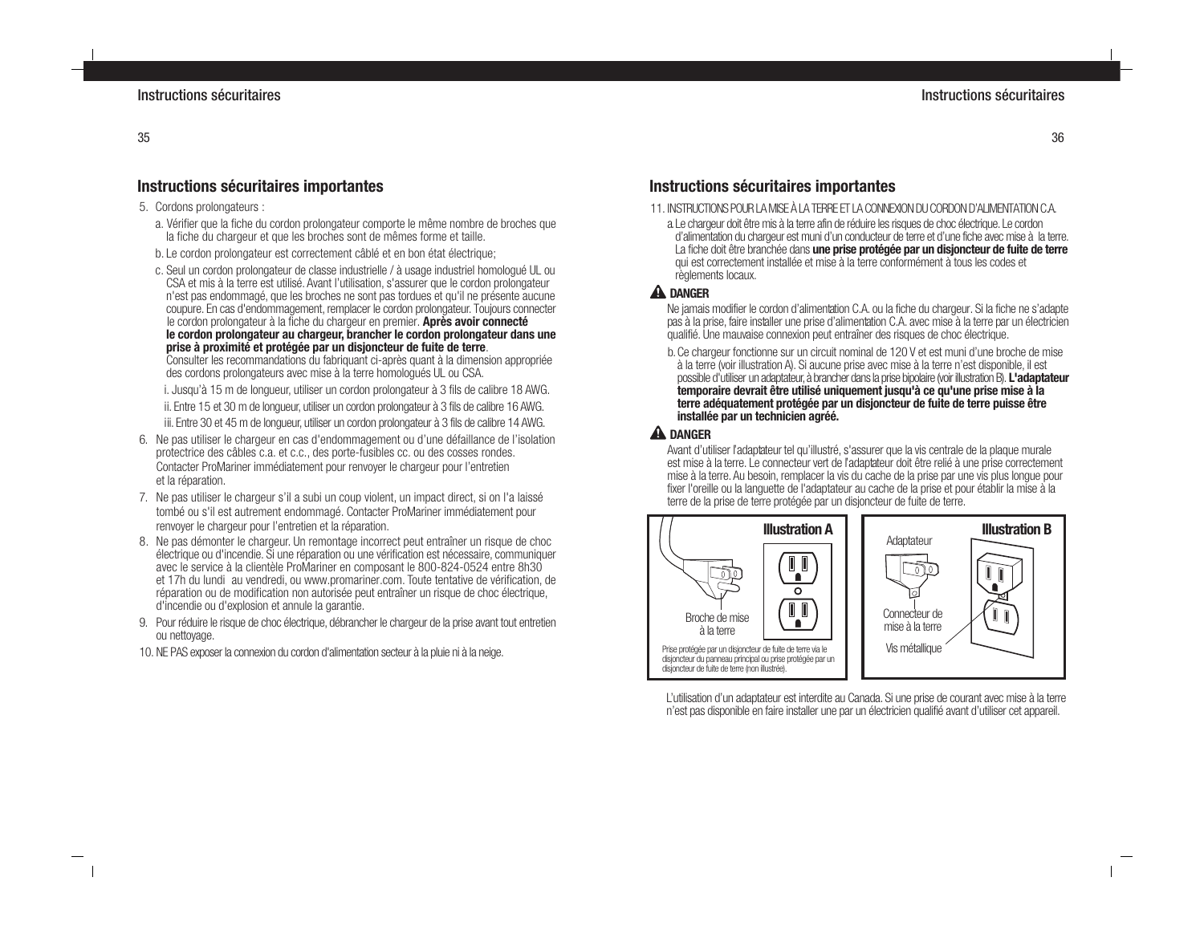# **Instructions sécuritaires importantes**

- 5. Cordons prolongateurs :
	- a. Vérifier que la fiche du cordon prolongateur comporte le même nombre de broches que la fiche du chargeur et que les broches sont de mêmes forme et taille.
	- b. Le cordon prolongateur est correctement câblé et en bon état électrique;
	- c. Seul un cordon prolongateur de classe industrielle / à usage industriel homologué UL ou CSA et mis à la terre est utilisé. Avant l'utilisation, s'assurer que le cordon prolongateur n'est pas endommagé, que les broches ne sont pas tordues et qu'il ne présente aucune coupure. En cas d'endommagement, remplacer le cordon prolongateur. Toujours connecter le cordon prolongateur à la fiche du chargeur en premier. **Après avoir connecté le cordon prolongateur au chargeur, brancher le cordon prolongateur dans une prise à proximité et protégée par un disjoncteur de fuite de terre**.

Consulter les recommandations du fabriquant ci-après quant à la dimension appropriée des cordons prolongateurs avec mise à la terre homologués UL ou CSA.

i. Jusqu'à 15 m de longueur, utiliser un cordon prolongateur à 3 fils de calibre 18 AWG. ii. Entre 15 et 30 m de longueur, utiliser un cordon prolongateur à 3 fils de calibre 16 AWG.

iii. Entre 30 et 45 m de longueur, utiliser un cordon prolongateur à 3 fils de calibre 14 AWG.

- 6. Ne pas utiliser le chargeur en cas d'endommagement ou d'une défaillance de l'isolation protectrice des câbles c.a. et c.c., des porte-fusibles cc. ou des cosses rondes. Contacter ProMariner immédiatement pour renvoyer le chargeur pour l'entretien et la réparation.
- 7. Ne pas utiliser le chargeur s'il a subi un coup violent, un impact direct, si on l'a laissé tombé ou s'il est autrement endommagé. Contacter ProMariner immédiatement pour renvoyer le chargeur pour l'entretien et la réparation.
- 8. Ne pas démonter le chargeur. Un remontage incorrect peut entraîner un risque de choc électrique ou d'incendie. Si une réparation ou une vérification est nécessaire, communiquer avec le service à la clientèle ProMariner en composant le 800-824-0524 entre 8h30 et 17h du lundi au vendredi, ou www.promariner.com. Toute tentative de vérification, de réparation ou de modification non autorisée peut entraîner un risque de choc électrique, d'incendie ou d'explosion et annule la garantie.
- 9. Pour réduire le risque de choc électrique, débrancher le chargeur de la prise avant tout entretien ou nettoyage.
- 10. NE PAS exposer la connexion du cordon d'alimentation secteur à la pluie ni à la neige.

# **Instructions sécuritaires importantes**

- 11. INSTRUCTIONS POUR LA MISE À LA TERRE ET LA CONNEXION DU CORDON D'ALIMENTATION C.A.
	- a.Le chargeur doit être mis à la terre afin de réduire les risques de choc électrique. Le cordon d'alimentation du chargeur est muni d'un conducteur de terre et d'une fiche avec mise à la terre. La fiche doit être branchée dans **une prise protégée par un disjoncteur de fuite de terre** qui est correctement installée et mise à la terre conformément à tous les codes et règlements locaux.

# **A** DANGER

Ne jamais modifier le cordon d'alimentation C.A. ou la fiche du chargeur. Si la fiche ne s'adapte pas à la prise, faire installer une prise d'alimentation C.A. avec mise à la terre par un électricien qualifié. Une mauvaise connexion peut entraîner des risques de choc électrique.

b.Ce chargeur fonctionne sur un circuit nominal de 120 V et est muni d'une broche de mise à la terre (voir illustration A). Si aucune prise avec mise à la terre n'est disponible, il est possible d'utiliser un adaptateur, à brancher dans la prise bipolaire (voir illustration B). **L'adaptateur temporaire devrait être utilisé uniquement jusqu'à ce qu'une prise mise à la terre adéquatement protégée par un disjoncteur de fuite de terre puisse être installée par un technicien agréé.**

# **A** DANGER

Avant d'utiliser l'adaptateur tel qu'illustré, s'assurer que la vis centrale de la plaque murale est mise à la terre. Le connecteur vert de l'adaptateur doit être relié à une prise correctement mise à la terre. Au besoin, remplacer la vis du cache de la prise par une vis plus longue pour fixer l'oreille ou la languette de l'adaptateur au cache de la prise et pour établir la mise à la terre de la prise de terre protégée par un disjoncteur de fuite de terre.



L'utilisation d'un adaptateur est interdite au Canada. Si une prise de courant avec mise à la terre n'est pas disponible en faire installer une par un électricien qualifié avant d'utiliser cet appareil.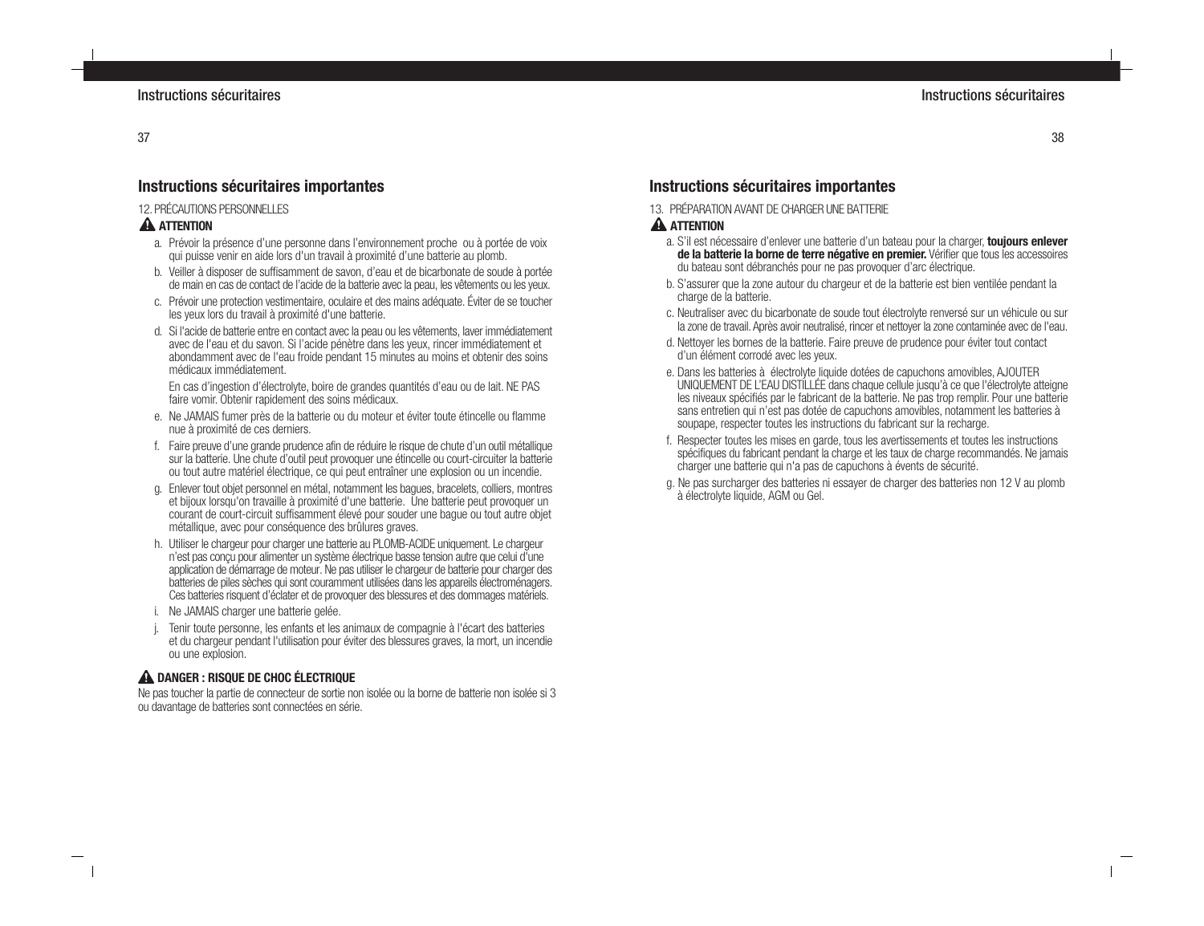# **Instructions sécuritaires importantes**

## 12. PRÉCAUTIONS PERSONNELLES

## **A** ATTENTION

- a. Prévoir la présence d'une personne dans l'environnement proche ou à portée de voix qui puisse venir en aide lors d'un travail à proximité d'une batterie au plomb.
- b. Veiller à disposer de suffisamment de savon, d'eau et de bicarbonate de soude à portée de main en cas de contact de l'acide de la batterie avec la peau, les vêtements ou les yeux.
- c. Prévoir une protection vestimentaire, oculaire et des mains adéquate. Éviter de se toucher les yeux lors du travail à proximité d'une batterie.
- d. Si l'acide de batterie entre en contact avec la peau ou les vêtements, laver immédiatement avec de l'eau et du savon. Si l'acide pénètre dans les yeux, rincer immédiatement et abondamment avec de l'eau froide pendant 15 minutes au moins et obtenir des soins médicaux immédiatement.

En cas d'ingestion d'électrolyte, boire de grandes quantités d'eau ou de lait. NE PAS faire vomir. Obtenir rapidement des soins médicaux.

- e. Ne JAMAIS fumer près de la batterie ou du moteur et éviter toute étincelle ou flamme nue à proximité de ces derniers.
- f. Faire preuve d'une grande prudence afin de réduire le risque de chute d'un outil métallique sur la batterie. Une chute d'outil peut provoquer une étincelle ou court-circuiter la batterie ou tout autre matériel électrique, ce qui peut entraîner une explosion ou un incendie.
- g. Enlever tout objet personnel en métal, notamment les bagues, bracelets, colliers, montres et bijoux lorsqu'on travaille à proximité d'une batterie. Une batterie peut provoquer un courant de court-circuit suffisamment élevé pour souder une bague ou tout autre objet métallique, avec pour conséquence des brûlures graves.
- h. Utiliser le chargeur pour charger une batterie au PLOMB-ACIDE uniquement. Le chargeur n'est pas conçu pour alimenter un système électrique basse tension autre que celui d'une application de démarrage de moteur. Ne pas utiliser le chargeur de batterie pour charger des batteries de piles sèches qui sont couramment utilisées dans les appareils électroménagers. Ces batteries risquent d'éclater et de provoquer des blessures et des dommages matériels.
- i. Ne JAMAIS charger une batterie gelée.
- Tenir toute personne, les enfants et les animaux de compagnie à l'écart des batteries et du chargeur pendant l'utilisation pour éviter des blessures graves, la mort, un incendie ou une explosion.

## **A DANGER : RISQUE DE CHOC ÉLECTRIQUE**

Ne pas toucher la partie de connecteur de sortie non isolée ou la borne de batterie non isolée si 3 ou davantage de batteries sont connectées en série.

# **Instructions sécuritaires importantes**

13. PRÉPARATION AVANT DE CHARGER UNE BATTERIE

# **A** ATTENTION

- a. S'il est nécessaire d'enlever une batterie d'un bateau pour la charger, **toujours enlever de la batterie la borne de terre négative en premier.** Vérifier que tous les accessoires du bateau sont débranchés pour ne pas provoquer d'arc électrique.
- b. S'assurer que la zone autour du chargeur et de la batterie est bien ventilée pendant la charge de la batterie.
- c. Neutraliser avec du bicarbonate de soude tout électrolyte renversé sur un véhicule ou sur la zone de travail. Après avoir neutralisé, rincer et nettoyer la zone contaminée avec de l'eau.
- d. Nettoyer les bornes de la batterie. Faire preuve de prudence pour éviter tout contact d'un élément corrodé avec les yeux.
- e. Dans les batteries à électrolyte liquide dotées de capuchons amovibles, AJOUTER UNIQUEMENT DE L'EAU DISTILLÉE dans chaque cellule jusqu'à ce que l'électrolyte atteigne les niveaux spécifiés par le fabricant de la batterie. Ne pas trop remplir. Pour une batterie sans entretien qui n'est pas dotée de capuchons amovibles, notamment les batteries à soupape, respecter toutes les instructions du fabricant sur la recharge.
- f. Respecter toutes les mises en garde, tous les avertissements et toutes les instructions spécifiques du fabricant pendant la charge et les taux de charge recommandés. Ne jamais charger une batterie qui n'a pas de capuchons à évents de sécurité.
- g. Ne pas surcharger des batteries ni essayer de charger des batteries non 12 V au plomb à électrolyte liquide, AGM ou Gel.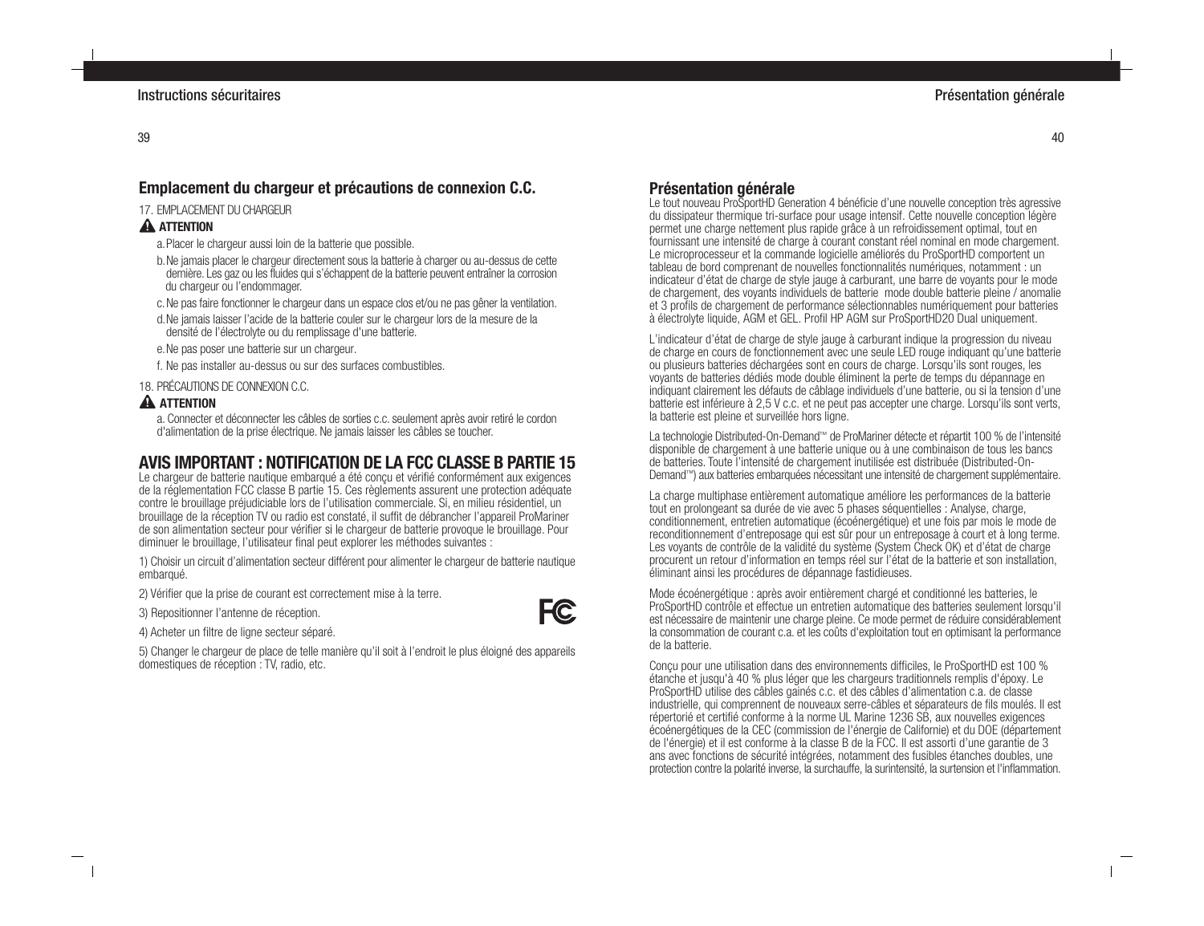# **Emplacement du chargeur et précautions de connexion C.C.**

#### 17. EMPLACEMENT DI LCHARGELIR

## **A** ATTENTION

- a.Placer le chargeur aussi loin de la batterie que possible.
- b.Ne jamais placer le chargeur directement sous la batterie à charger ou au-dessus de cette dernière. Les gaz ou les fluides qui s'échappent de la batterie peuvent entraîner la corrosion du chargeur ou l'endommager.
- c.Ne pas faire fonctionner le chargeur dans un espace clos et/ou ne pas gêner la ventilation.
- d.Ne jamais laisser l'acide de la batterie couler sur le chargeur lors de la mesure de la densité de l'électrolyte ou du remplissage d'une batterie.
- e.Ne pas poser une batterie sur un chargeur.
- f. Ne pas installer au-dessus ou sur des surfaces combustibles.

18. PRÉCAUTIONS DE CONNEXION C.C.

## **A** ATTENTION

a. Connecter et déconnecter les câbles de sorties c.c. seulement après avoir retiré le cordon d'alimentation de la prise électrique. Ne jamais laisser les câbles se toucher.

# **AVIS IMPORTANT : NOTIFICATION DE LA FCC CLASSE B PARTIE 15**

Le chargeur de batterie nautique embarqué a été concu et vérifié conformément aux exigences de la réglementation FCC classe B partie 15. Ces règlements assurent une protection adéquate contre le brouillage préjudiciable lors de l'utilisation commerciale. Si, en milieu résidentiel, un brouillage de la réception TV ou radio est constaté, il suffit de débrancher l'appareil ProMariner de son alimentation secteur pour vérifier si le chargeur de batterie provoque le brouillage. Pour diminuer le brouillage, l'utilisateur final peut explorer les méthodes suivantes :

1) Choisir un circuit d'alimentation secteur différent pour alimenter le chargeur de batterie nautique embarqué.

2) Vérifier que la prise de courant est correctement mise à la terre.

3) Repositionner l'antenne de réception.



4) Acheter un filtre de ligne secteur séparé.

5) Changer le chargeur de place de telle manière qu'il soit à l'endroit le plus éloigné des appareils domestiques de réception : TV, radio, etc.

# **Présentation générale**

Le tout nouveau ProSportHD Generation 4 bénéficie d'une nouvelle conception très agressive du dissipateur thermique tri-surface pour usage intensif. Cette nouvelle conception légère permet une charge nettement plus rapide grâce à un refroidissement optimal, tout en fournissant une intensité de charge à courant constant réel nominal en mode chargement. Le microprocesseur et la commande logicielle améliorés du ProSportHD comportent un tableau de bord comprenant de nouvelles fonctionnalités numériques, notamment : un indicateur d'état de charge de style jauge à carburant, une barre de voyants pour le mode de chargement, des voyants individuels de batterie mode double batterie pleine / anomalie et 3 profils de chargement de performance sélectionnables numériquement pour batteries à électrolyte liquide, AGM et GEL. Profil HP AGM sur ProSportHD20 Dual uniquement.

L'indicateur d'état de charge de style jauge à carburant indique la progression du niveau de charge en cours de fonctionnement avec une seule LED rouge indiquant qu'une batterie ou plusieurs batteries déchargées sont en cours de charge. Lorsqu'ils sont rouges, les voyants de batteries dédiés mode double éliminent la perte de temps du dépannage en indiquant clairement les défauts de câblage individuels d'une batterie, ou si la tension d'une batterie est inférieure à 2,5 V c.c. et ne peut pas accepter une charge. Lorsqu'ils sont verts, la batterie est pleine et surveillée hors ligne.

La technologie Distributed-On-Demand™ de ProMariner détecte et répartit 100 % de l'intensité disponible de chargement à une batterie unique ou à une combinaison de tous les bancs de batteries. Toute l'intensité de chargement inutilisée est distribuée (Distributed-On-Demand™) aux batteries embarquées nécessitant une intensité de chargement supplémentaire.

La charge multiphase entièrement automatique améliore les performances de la batterie tout en prolongeant sa durée de vie avec 5 phases séquentielles : Analyse, charge, conditionnement, entretien automatique (écoénergétique) et une fois par mois le mode de reconditionnement d'entreposage qui est sûr pour un entreposage à court et à long terme. Les voyants de contrôle de la validité du système (System Check OK) et d'état de charge procurent un retour d'information en temps réel sur l'état de la batterie et son installation, éliminant ainsi les procédures de dépannage fastidieuses.

Mode écoénergétique : après avoir entièrement chargé et conditionné les batteries, le ProSportHD contrôle et effectue un entretien automatique des batteries seulement lorsqu'il est nécessaire de maintenir une charge pleine. Ce mode permet de réduire considérablement la consommation de courant c.a. et les coûts d'exploitation tout en optimisant la performance de la batterie.

Conçu pour une utilisation dans des environnements difficiles, le ProSportHD est 100 % étanche et jusqu'à 40 % plus léger que les chargeurs traditionnels remplis d'époxy. Le ProSportHD utilise des câbles gainés c.c. et des câbles d'alimentation c.a. de classe industrielle, qui comprennent de nouveaux serre-câbles et séparateurs de fils moulés. Il est répertorié et certifié conforme à la norme UL Marine 1236 SB, aux nouvelles exigences écoénergétiques de la CEC (commission de l'énergie de Californie) et du DOE (département de l'énergie) et il est conforme à la classe B de la FCC. Il est assorti d'une garantie de 3 ans avec fonctions de sécurité intégrées, notamment des fusibles étanches doubles, une protection contre la polarité inverse, la surchauffe, la surintensité, la surtension et l'inflammation.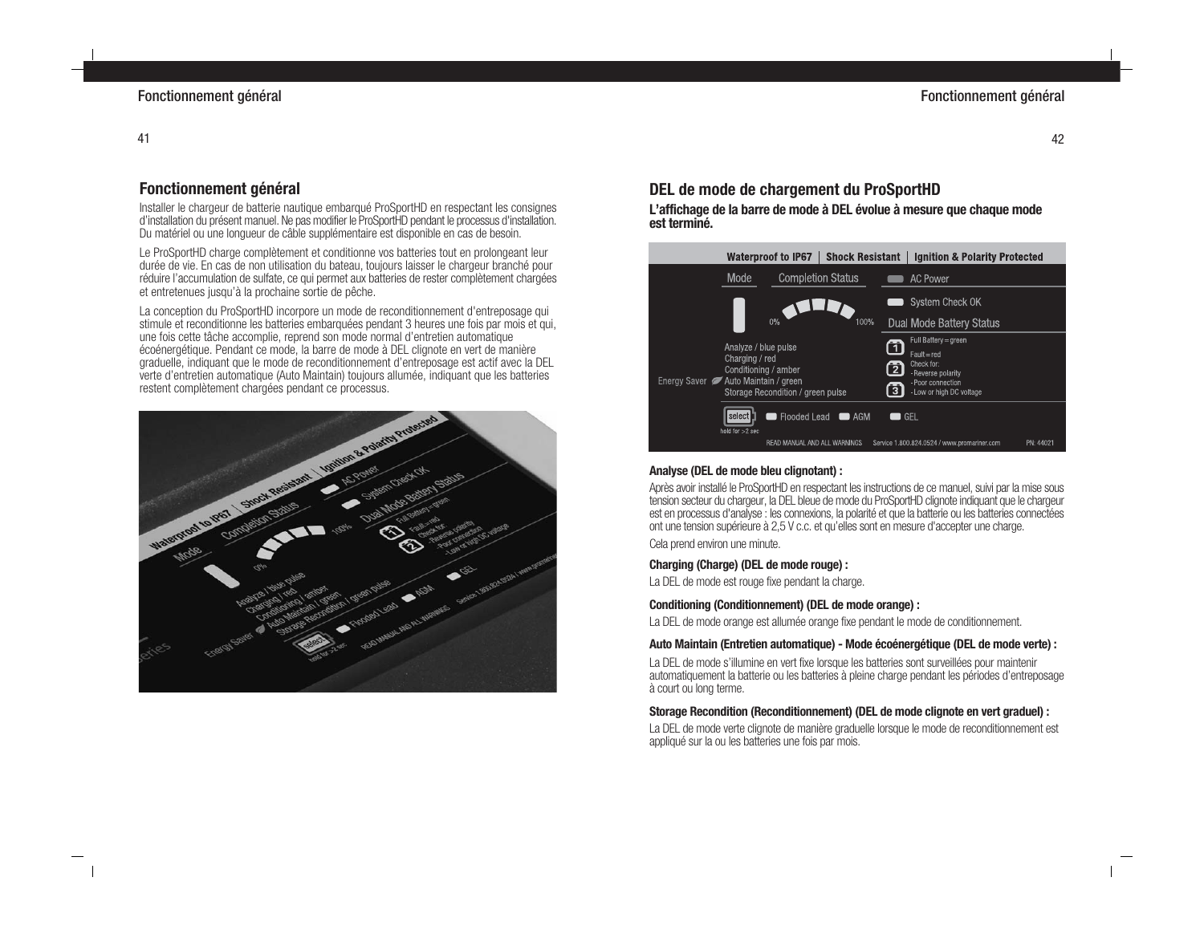# **Fonctionnement général**

Installer le chargeur de batterie nautique embarqué ProSportHD en respectant les consignes d'installation du présent manuel. Ne pas modifier le ProSportHD pendant le processus d'installation. Du matériel ou une longueur de câble supplémentaire est disponible en cas de besoin.

Le ProSportHD charge complètement et conditionne vos batteries tout en prolongeant leur durée de vie. En cas de non utilisation du bateau, toujours laisser le chargeur branché pour réduire l'accumulation de sulfate, ce qui permet aux batteries de rester complètement chargées et entretenues jusqu'à la prochaine sortie de pêche.

La conception du ProSportHD incorpore un mode de reconditionnement d'entreposage qui stimule et reconditionne les batteries embarquées pendant 3 heures une fois par mois et qui, une fois cette tâche accomplie, reprend son mode normal d'entretien automatique écoénergétique. Pendant ce mode, la barre de mode à DEL clignote en vert de manière graduelle, indiquant que le mode de reconditionnement d'entreposage est actif avec la DEL verte d'entretien automatique (Auto Maintain) toujours allumée, indiquant que les batteries restent complètement chargées pendant ce processus.



# **DEL de mode de chargement du ProSportHD**

**L'affichage de la barre de mode à DEL évolue à mesure que chaque mode est terminé.**



#### **Analyse (DEL de mode bleu clignotant) :**

Après avoir installé le ProSportHD en respectant les instructions de ce manuel, suivi par la mise sous tension secteur du chargeur, la DEL bleue de mode du ProSportHD clignote indiquant que le chargeur est en processus d'analyse : les connexions, la polarité et que la batterie ou les batteries connectées ont une tension supérieure à 2,5 V c.c. et qu'elles sont en mesure d'accepter une charge.

Cela prend environ une minute.

## **Charging (Charge) (DEL de mode rouge) :**

La DEL de mode est rouge fixe pendant la charge.

## **Conditioning (Conditionnement) (DEL de mode orange) :**

La DEL de mode orange est allumée orange fixe pendant le mode de conditionnement.

#### **Auto Maintain (Entretien automatique) - Mode écoénergétique (DEL de mode verte) :**

La DEL de mode s'illumine en vert fixe lorsque les batteries sont surveillées pour maintenir automatiquement la batterie ou les batteries à pleine charge pendant les périodes d'entreposage à court ou long terme.

## **Storage Recondition (Reconditionnement) (DEL de mode clignote en vert graduel) :**

La DEL de mode verte clignote de manière graduelle lorsque le mode de reconditionnement est appliqué sur la ou les batteries une fois par mois.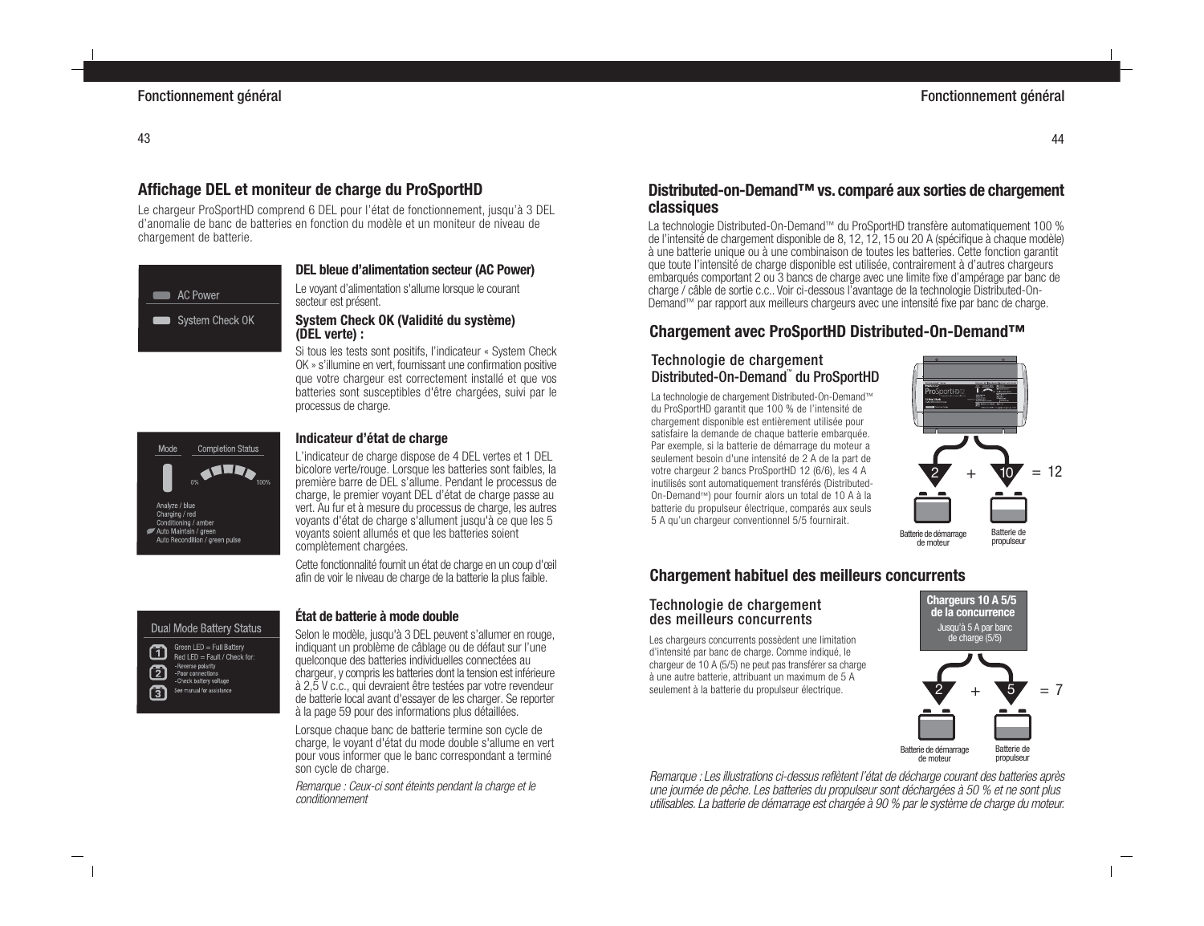# **Affichage DEL et moniteur de charge du ProSportHD**

Le chargeur ProSportHD comprend 6 DEL pour l'état de fonctionnement, jusqu'à 3 DEL d'anomalie de banc de batteries en fonction du modèle et un moniteur de niveau de chargement de batterie.



# **DEL bleue d'alimentation secteur (AC Power)**

Le voyant d'alimentation s'allume lorsque le courant secteur est présent.

#### **System Check OK (Validité du système) (DEL verte) :**

Si tous les tests sont positifs, l'indicateur « System Check OK » s'illumine en vert, fournissant une confirmation positive que votre chargeur est correctement installé et que vos batteries sont susceptibles d'être chargées, suivi par le processus de charge.



#### **Indicateur d'état de charge**

L'indicateur de charge dispose de 4 DEL vertes et 1 DEL bicolore verte/rouge. Lorsque les batteries sont faibles, la première barre de DEL s'allume. Pendant le processus de charge, le premier voyant DEL d'état de charge passe au vert. Au fur et à mesure du processus de charge, les autres voyants d'état de charge s'allument jusqu'à ce que les 5 voyants soient allumés et que les batteries soient complètement chargées.

Cette fonctionnalité fournit un état de charge en un coup d'œil afin de voir le niveau de charge de la batterie la plus faible.

# **Dual Mode Battery Status**

Green LED = Full Battery 而 Red LED = Fault / Check for: - Reverse polarity 侸 - Poor connections - Check battery voltage ក្ខា See manual for assistance

#### **État de batterie à mode double**

Selon le modèle, jusqu'à 3 DEL peuvent s'allumer en rouge, indiquant un problème de câblage ou de défaut sur l'une quelconque des batteries individuelles connectées au chargeur, y compris les batteries dont la tension est inférieure à 2,5 V c.c., qui devraient être testées par votre revendeur de batterie local avant d'essayer de les charger. Se reporter à la page 59 pour des informations plus détaillées.

Lorsque chaque banc de batterie termine son cycle de charge, le voyant d'état du mode double s'allume en vert pour vous informer que le banc correspondant a terminé son cycle de charge.

Remarque : Ceux-ci sont éteints pendant la charge et le conditionnement

## **Distributed-on-Demand™ vs. comparé aux sorties de chargement classiques**

La technologie Distributed-On-Demand™ du ProSportHD transfère automatiquement 100 % de l'intensité de chargement disponible de 8, 12, 12, 15 ou 20 A (spécifique à chaque modèle) à une batterie unique ou à une combinaison de toutes les batteries. Cette fonction garantit que toute l'intensité de charge disponible est utilisée, contrairement à d'autres chargeurs embarqués comportant 2 ou 3 bancs de charge avec une limite fixe d'ampérage par banc de charge / câble de sortie c.c.. Voir ci-dessous l'avantage de la technologie Distributed-On-Demand™ par rapport aux meilleurs chargeurs avec une intensité fixe par banc de charge.

# **Chargement avec ProSportHD Distributed-On-Demand™**

## Technologie de chargement Distributed-On-Demand™ du ProSportHD

La technologie de chargement Distributed-On-Demand™ du ProSportHD garantit que 100 % de l'intensité de chargement disponible est entièrement utilisée pour satisfaire la demande de chaque batterie embarquée. Par exemple, si la batterie de démarrage du moteur a seulement besoin d'une intensité de 2 A de la part de votre chargeur 2 bancs ProSportHD 12 (6/6), les 4 A inutilisés sont automatiquement transférés (Distributed-On-Demand™) pour fournir alors un total de 10 A à la batterie du propulseur électrique, comparés aux seuls 5 A qu'un chargeur conventionnel 5/5 fournirait.



**Chargement habituel des meilleurs concurrents**

#### Technologie de chargement des meilleurs concurrents

Les chargeurs concurrents possèdent une limitation d'intensité par banc de charge. Comme indiqué, le chargeur de 10 A (5/5) ne peut pas transférer sa charge à une autre batterie, attribuant un maximum de 5 A seulement à la batterie du propulseur électrique.



Remarque : Les illustrations ci-dessus reflètent l'état de décharge courant des batteries après une journée de pêche. Les batteries du propulseur sont déchargées à 50 % et ne sont plus utilisables. La batterie de démarrage est chargée à 90 % par le système de charge du moteur.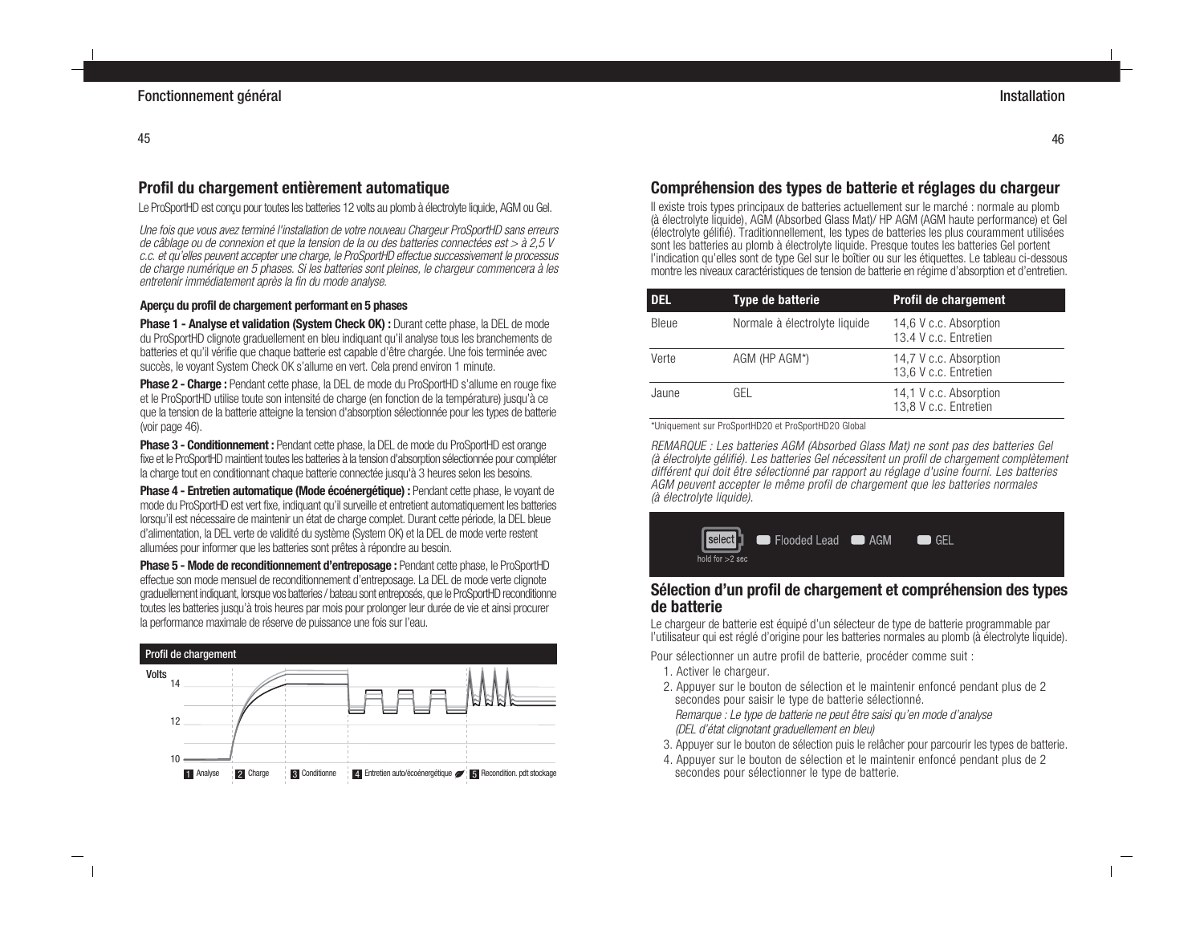# **Profil du chargement entièrement automatique**

Le ProSportHD est conçu pour toutes les batteries 12 volts au plomb à électrolyte liquide, AGM ou Gel.

Une fois que vous avez terminé l'installation de votre nouveau Chargeur ProSportHD sans erreurs de câblage ou de connexion et que la tension de la ou des batteries connectées est > à 2,5 V c.c. et qu'elles peuvent accepter une charge, le ProSportHD effectue successivement le processus de charge numérique en 5 phases. Si les batteries sont pleines, le chargeur commencera à les entretenir immédiatement après la fin du mode analyse.

## **Aperçu du profil de chargement performant en 5 phases**

**Phase 1 - Analyse et validation (System Check OK) :** Durant cette phase, la DEL de mode du ProSportHD clignote graduellement en bleu indiquant qu'il analyse tous les branchements de batteries et qu'il vérifie que chaque batterie est capable d'être chargée. Une fois terminée avec succès, le voyant System Check OK s'allume en vert. Cela prend environ 1 minute.

**Phase 2 - Charge :** Pendant cette phase, la DEL de mode du ProSportHD s'allume en rouge fixe et le ProSportHD utilise toute son intensité de charge (en fonction de la température) jusqu'à ce que la tension de la batterie atteigne la tension d'absorption sélectionnée pour les types de batterie (voir page 46).

**Phase 3 - Conditionnement :** Pendant cette phase, la DEL de mode du ProSportHD est orange fixe et le ProSportHD maintient toutes les batteries à la tension d'absorption sélectionnée pour compléter la charge tout en conditionnant chaque batterie connectée jusqu'à 3 heures selon les besoins.

**Phase 4 - Entretien automatique (Mode écoénergétique) :** Pendant cette phase, le voyant de mode du ProSportHD est vert fixe, indiquant qu'il surveille et entretient automatiquement les batteries lorsqu'il est nécessaire de maintenir un état de charge complet. Durant cette période, la DEL bleue d'alimentation, la DEL verte de validité du système (System OK) et la DEL de mode verte restent allumées pour informer que les batteries sont prêtes à répondre au besoin.

**Phase 5 - Mode de reconditionnement d'entreposage :** Pendant cette phase, le ProSportHD effectue son mode mensuel de reconditionnement d'entreposage. La DEL de mode verte clignote graduellement indiquant, lorsque vos batteries / bateau sont entreposés, que le ProSportHD reconditionne toutes les batteries jusqu'à trois heures par mois pour prolonger leur durée de vie et ainsi procurer la performance maximale de réserve de puissance une fois sur l'eau.



# **Compréhension des types de batterie et réglages du chargeur**

Il existe trois types principaux de batteries actuellement sur le marché : normale au plomb (à électrolyte liquide), AGM (Absorbed Glass Mat)/ HP AGM (AGM haute performance) et Gel (électrolyte gélifié). Traditionnellement, les types de batteries les plus couramment utilisées sont les batteries au plomb à électrolyte liquide. Presque toutes les batteries Gel portent l'indication qu'elles sont de type Gel sur le boîtier ou sur les étiquettes. Le tableau ci-dessous montre les niveaux caractéristiques de tension de batterie en régime d'absorption et d'entretien.

| <b>DEL</b> | Type de batterie              | <b>Profil de chargement</b>                     |
|------------|-------------------------------|-------------------------------------------------|
| Bleue      | Normale à électrolyte liquide | 14,6 V c.c. Absorption<br>13.4 V c.c. Entretien |
| Verte      | AGM (HP AGM*)                 | 14,7 V c.c. Absorption<br>13,6 V c.c. Entretien |
| Jaune      | GFL                           | 14,1 V c.c. Absorption<br>13,8 V c.c. Entretien |

\*Uniquement sur ProSportHD20 et ProSportHD20 Global

REMARQUE : Les batteries AGM (Absorbed Glass Mat) ne sont pas des batteries Gel (à électrolyte gélifié). Les batteries Gel nécessitent un profil de chargement complètement différent qui doit être sélectionné par rapport au réglage d'usine fourni. Les batteries AGM peuvent accepter le même profil de chargement que les batteries normales (à électrolyte liquide).



## **Sélection d'un profil de chargement et compréhension des types de batterie**

Le chargeur de batterie est équipé d'un sélecteur de type de batterie programmable par l'utilisateur qui est réglé d'origine pour les batteries normales au plomb (à électrolyte liquide).

Pour sélectionner un autre profil de batterie, procéder comme suit :

- 1. Activer le chargeur.
- 2. Appuyer sur le bouton de sélection et le maintenir enfoncé pendant plus de 2 secondes pour saisir le type de batterie sélectionné.

Remarque : Le type de batterie ne peut être saisi qu'en mode d'analyse (DEL d'état clignotant graduellement en bleu)

- 3. Appuyer sur le bouton de sélection puis le relâcher pour parcourir les types de batterie.
- 4. Appuyer sur le bouton de sélection et le maintenir enfoncé pendant plus de 2 secondes pour sélectionner le type de batterie.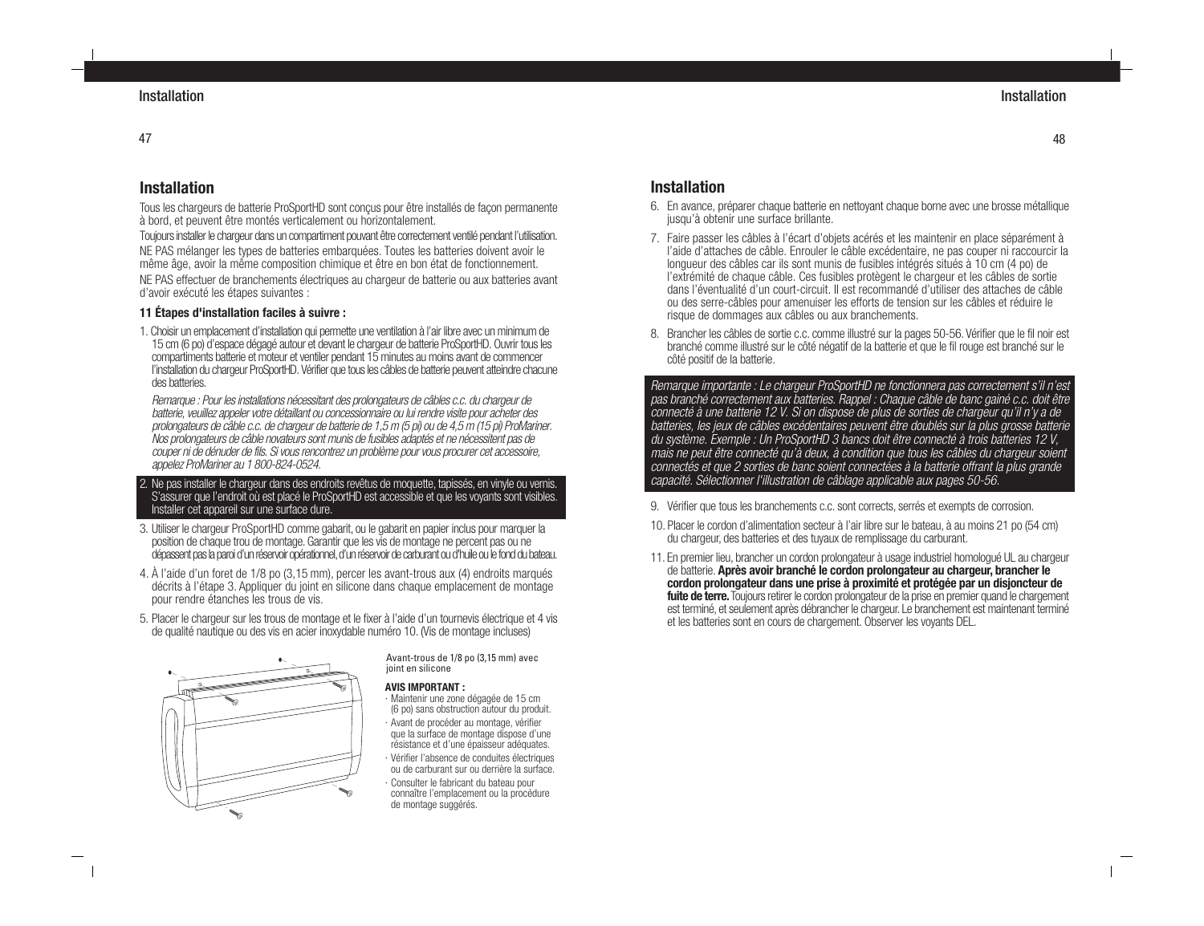# **Installation**

Tous les chargeurs de batterie ProSportHD sont conçus pour être installés de façon permanente à bord, et peuvent être montés verticalement ou horizontalement.

Toujours installer le chargeur dans un compartiment pouvant être correctement ventilé pendant l'utilisation. NE PAS mélanger les types de batteries embarquées. Toutes les batteries doivent avoir le même âge, avoir la même composition chimique et être en bon état de fonctionnement. NE PAS effectuer de branchements électriques au chargeur de batterie ou aux batteries avant d'avoir exécuté les étapes suivantes :

## **11 Étapes d'installation faciles à suivre :**

1. Choisir un emplacement d'installation qui permette une ventilation à l'air libre avec un minimum de 15 cm (6 po) d'espace dégagé autour et devant le chargeur de batterie ProSportHD. Ouvrir tous les compartiments batterie et moteur et ventiler pendant 15 minutes au moins avant de commencer l'installation du chargeur ProSportHD. Vérifier que tous les câbles de batterie peuvent atteindre chacune des batteries.

Remarque : Pour les installations nécessitant des prolongateurs de câbles c.c. du chargeur de batterie, veuillez appeler votre détaillant ou concessionnaire ou lui rendre visite pour acheter des prolongateurs de câble c.c. de chargeur de batterie de 1,5 m (5 pi) ou de 4,5 m (15 pi) ProMariner. Nos prolongateurs de câble novateurs sont munis de fusibles adaptés et ne nécessitent pas de couper ni de dénuder de fils. Si vous rencontrez un problème pour vous procurer cet accessoire, appelez ProMariner au 1 800-824-0524.

#### 2. Ne pas installer le chargeur dans des endroits revêtus de moquette, tapissés, en vinyle ou vernis. S'assurer que l'endroit où est placé le ProSportHD est accessible et que les voyants sont visibles. Installer cet appareil sur une surface dure.

- 3. Utiliser le chargeur ProSportHD comme gabarit, ou le gabarit en papier inclus pour marquer la position de chaque trou de montage. Garantir que les vis de montage ne percent pas ou ne dépassent pas la paroi d'un réservoir opérationnel, d'un réservoir de carburant ou d'huile ou le fond du bateau.
- 4. À l'aide d'un foret de 1/8 po (3,15 mm), percer les avant-trous aux (4) endroits marqués décrits à l'étape 3. Appliquer du joint en silicone dans chaque emplacement de montage pour rendre étanches les trous de vis.
- 5. Placer le chargeur sur les trous de montage et le fixer à l'aide d'un tournevis électrique et 4 vis de qualité nautique ou des vis en acier inoxydable numéro 10. (Vis de montage incluses)



Avant-trous de 1/8 po (3,15 mm) avec joint en silicone

#### **AVIS IMPORTANT :**

- · Maintenir une zone dégagée de 15 cm (6 po) sans obstruction autour du produit. · Avant de procéder au montage, vérifier
- que la surface de montage dispose d'une résistance et d'une épaisseur adéquates. · Vérifier l'absence de conduites électriques
- ou de carburant sur ou derrière la surface. · Consulter le fabricant du bateau pour connaître l'emplacement ou la procédure de montage suggérés.

# **Installation**

- 6. En avance, préparer chaque batterie en nettoyant chaque borne avec une brosse métallique jusqu'à obtenir une surface brillante.
- 7. Faire passer les câbles à l'écart d'objets acérés et les maintenir en place séparément à l'aide d'attaches de câble. Enrouler le câble excédentaire, ne pas couper ni raccourcir la longueur des câbles car ils sont munis de fusibles intégrés situés à 10 cm (4 po) de l'extrémité de chaque câble. Ces fusibles protègent le chargeur et les câbles de sortie dans l'éventualité d'un court-circuit. Il est recommandé d'utiliser des attaches de câble ou des serre-câbles pour amenuiser les efforts de tension sur les câbles et réduire le risque de dommages aux câbles ou aux branchements.
- 8. Brancher les câbles de sortie c.c. comme illustré sur la pages 50-56. Vérifier que le fil noir est branché comme illustré sur le côté négatif de la batterie et que le fil rouge est branché sur le côté positif de la batterie.

Remarque importante : Le chargeur ProSportHD ne fonctionnera pas correctement s'il n'est pas branché correctement aux batteries. Rappel : Chaque câble de banc gainé c.c. doit être connecté à une batterie 12 V. Si on dispose de plus de sorties de chargeur qu'il n'y a de batteries, les jeux de câbles excédentaires peuvent être doublés sur la plus grosse batterie du système. Exemple : Un ProSportHD 3 bancs doit être connecté à trois batteries 12 V, mais ne peut être connecté qu'à deux, à condition que tous les câbles du chargeur soient connectés et que 2 sorties de banc soient connectées à la batterie offrant la plus grande capacité. Sélectionner l'illustration de câblage applicable aux pages 50-56.

- 9. Vérifier que tous les branchements c.c. sont corrects, serrés et exempts de corrosion.
- 10. Placer le cordon d'alimentation secteur à l'air libre sur le bateau, à au moins 21 po (54 cm) du chargeur, des batteries et des tuyaux de remplissage du carburant.
- 11. En premier lieu, brancher un cordon prolongateur à usage industriel homologué UL au chargeur de batterie. **Après avoir branché le cordon prolongateur au chargeur, brancher le cordon prolongateur dans une prise à proximité et protégée par un disjoncteur de fuite de terre.** Toujours retirer le cordon prolongateur de la prise en premier quand le chargement est terminé, et seulement après débrancher le chargeur. Le branchement est maintenant terminé et les batteries sont en cours de chargement. Observer les voyants DEL.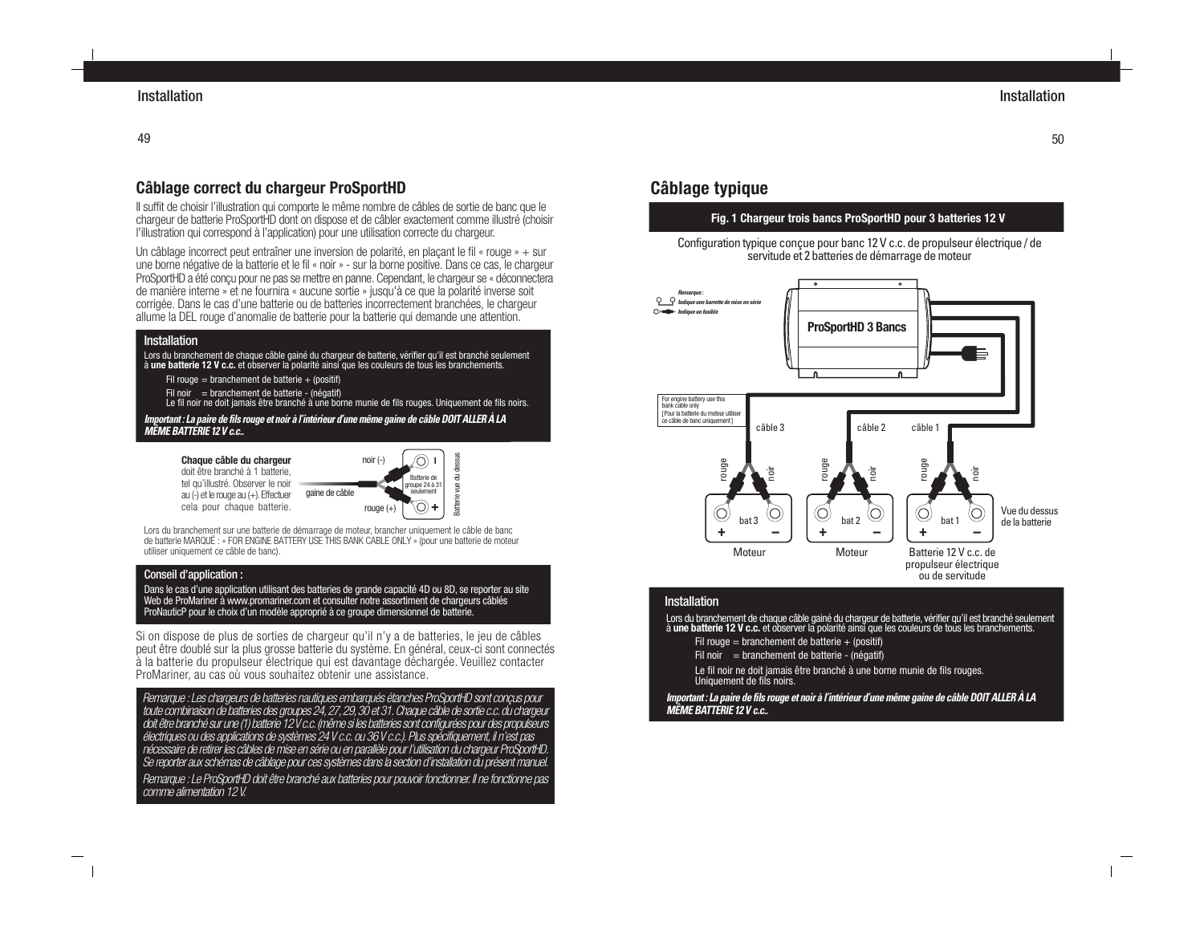# **Câblage correct du chargeur ProSportHD**

Il suffit de choisir l'illustration qui comporte le même nombre de câbles de sortie de banc que le chargeur de batterie ProSportHD dont on dispose et de câbler exactement comme illustré (choisir l'illustration qui correspond à l'application) pour une utilisation correcte du chargeur.

Un câblage incorrect peut entraîner une inversion de polarité, en plaçant le fil « rouge » + sur une borne négative de la batterie et le fil « noir » - sur la borne positive. Dans ce cas, le chargeur ProSportHD a été conçu pour ne pas se mettre en panne. Cependant, le chargeur se « déconnectera de manière interne » et ne fournira « aucune sortie » jusqu'à ce que la polarité inverse soit corrigée. Dans le cas d'une batterie ou de batteries incorrectement branchées, le chargeur allume la DEL rouge d'anomalie de batterie pour la batterie qui demande une attention.

#### **Installation**

Lors du branchement de chaque câble gainé du chargeur de batterie, vérifier qu'il est branché seulement à **une batterie 12 V c.c.** et observer la polarité ainsi que les couleurs de tous les branchements.

Fil rouge = branchement de batterie + (positif)

Fil noir  $=$  branchement de batterie - (négatif)

Le fil noir ne doit jamais être branché à une borne munie de fils rouges. Uniquement de fils noirs. **Important : La paire de fils rouge et noir à l'intérieur d'une même gaine de câble DOIT ALLER À LA**

#### **MÊME BATTERIE 12 V c.c..**

**Chaque câble du chargeur** doit être branché à 1 batterie, tel qu'illustré. Observer le noir au (-) et le rouge au (+). Effectuer



Lors du branchement sur une batterie de démarrage de moteur, brancher uniquement le câble de banc de batterie MARQUÉ : « FOR ENGINE BATTERY USE THIS BANK CABLE ONLY » (pour une batterie de moteur utiliser uniquement ce câble de banc).

#### Conseil d'application :

Dans le cas d'une application utilisant des batteries de grande capacité 4D ou 8D, se reporter au site Web de ProMariner à www.promariner.com et consulter notre assortiment de chargeurs câblés ProNauticP pour le choix d'un modèle approprié à ce groupe dimensionnel de batterie.

Si on dispose de plus de sorties de chargeur qu'il n'y a de batteries, le jeu de câbles peut être doublé sur la plus grosse batterie du système. En général, ceux-ci sont connectés à la batterie du propulseur électrique qui est davantage déchargée. Veuillez contacter ProMariner, au cas où vous souhaitez obtenir une assistance.

Remarque : Les chargeurs de batteries nautiques embarqués étanches ProSportHD sont conçus pour toute combinaison de batteries des groupes 24, 27, 29, 30 et 31. Chaque câble de sortie c.c. du chargeur doit être branché sur une (1) batterie 12 V c.c. (même si les batteries sont configurées pour des propulseurs électriques ou des applications de systèmes 24 V c.c. ou 36 V c.c.). Plus spécifiquement, il n'est pas nécessaire de retirer les câbles de mise en série ou en parallèle pour l'utilisation du chargeur ProSportHD. Se reporter aux schémas de câblage pour ces systèmes dans la section d'installation du présent manuel.

Remarque : Le ProSportHD doit être branché aux batteries pour pouvoir fonctionner. Il ne fonctionne pas comme alimentation 12 V.

# **Câblage typique**

## **Fig. 1 Chargeur trois bancs ProSportHD pour 3 batteries 12 V**

Configuration typique conçue pour banc 12 V c.c. de propulseur électrique / de servitude et 2 batteries de démarrage de moteur



#### Installation

Lors du branchement de chaque câble gainé du chargeur de batterie, vérifier qu'il est branché seulement à **une batterie 12 V c.c.** et observer la polarité ainsi que les couleurs de tous les branchements.

- Fil rouge = branchement de batterie  $+$  (positif)
- Fil noir  $=$  branchement de batterie (négatif)
- Le fil noir ne doit jamais être branché à une borne munie de fils rouges. Uniquement de fils noirs.

**Important : La paire de fils rouge et noir à l'intérieur d'une même gaine de câble DOIT ALLER À LA MÊME BATTERIE 12 V c.c..**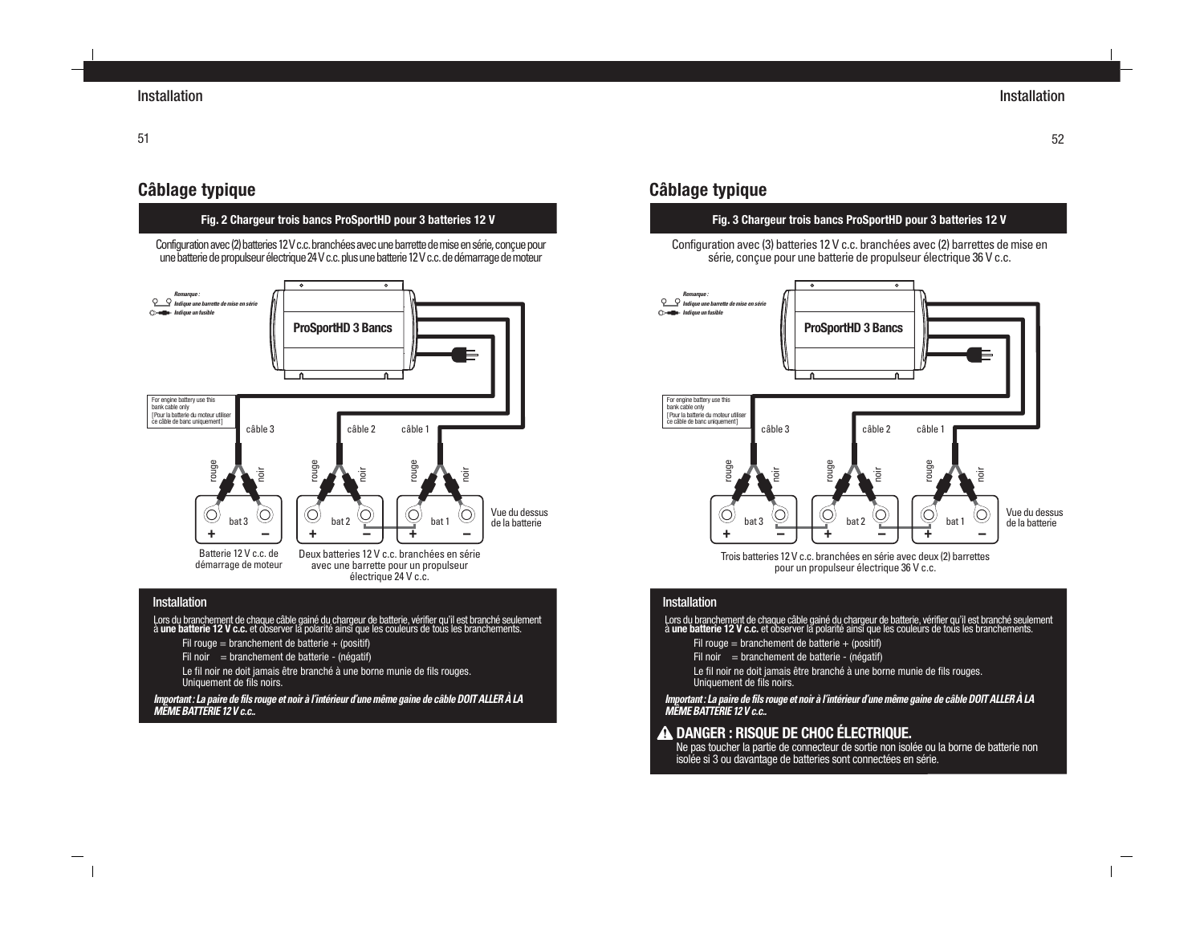# **Câblage typique**

#### **Fig. 2 Chargeur trois bancs ProSportHD pour 3 batteries 12 V**

Configuration avec (2) batteries 12 V c.c. branchées avec une barrette de mise en série, conçue pour une batterie de propulseur électrique 24 V c.c. plus une batterie 12 V c.c. de démarrage de moteur



#### Installation

- Lors du branchement de chaque câble gainé du chargeur de batterie, vérifier qu'il est branché seulement<br>à **une batterie 12 V c.c.** et observer la polarité ainsi que les couleurs de tous les branchements.
	- Fil rouge = branchement de batterie  $+$  (positif)
	- Fil noir  $=$  branchement de batterie (négatif)
	- Le fil noir ne doit jamais être branché à une borne munie de fils rouges. Uniquement de fils noirs.

**Important : La paire de fils rouge et noir à l'intérieur d'une même gaine de câble DOIT ALLER À LA MÊME BATTERIE 12 V c.c..**

# **Câblage typique**

#### **Fig. 3 Chargeur trois bancs ProSportHD pour 3 batteries 12 V**

Configuration avec (3) batteries 12 V c.c. branchées avec (2) barrettes de mise en série, conçue pour une batterie de propulseur électrique 36 V c.c.



Trois batteries 12 V c.c. branchées en série avec deux (2) barrettes pour un propulseur électrique 36 V c.c.

#### Installation

Lors du branchement de chaque câble gainé du chargeur de batterie, vérifier qu'il est branché seulement<br>à **une batterie 12 V c.c.** et observer la polarité ainsi que les couleurs de tous les branchements.

- Fil rouge = branchement de batterie + (positif)
- Fil noir  $=$  branchement de batterie (négatif)
- Le fil noir ne doit jamais être branché à une borne munie de fils rouges. Uniquement de fils noirs.

**Important : La paire de fils rouge et noir à l'intérieur d'une même gaine de câble DOIT ALLER À LA MÊME BATTERIE 12 V c.c..**

## **DANGER : RISQUE DE CHOC ÉLECTRIQUE.**

Ne pas toucher la partie de connecteur de sortie non isolée ou la borne de batterie non isolée si 3 ou davantage de batteries sont connectées en série.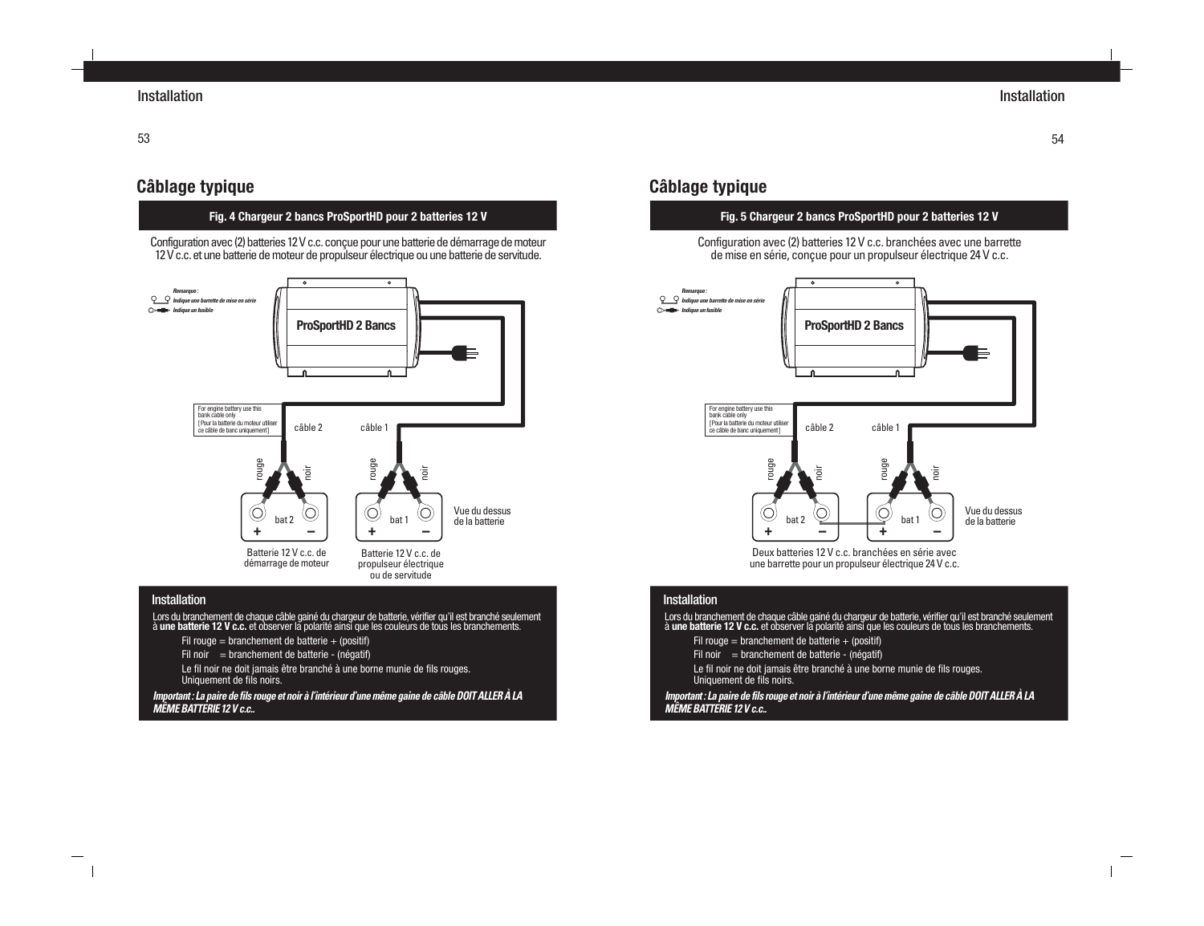# **Câblage typique**

#### **Fig. 4 Chargeur 2 bancs ProSportHD pour 2 batteries 12 V**

Configuration avec (2) batteries 12 V c.c. conçue pour une batterie de démarrage de moteur 12 V c.c. et une batterie de moteur de propulseur électrique ou une batterie de servitude.



#### **Installation**

- Lors du branchement de chaque câble gainé du chargeur de batterie, vérifier qu'il est branché seulement<br>à **une batterie 12 V c.c.** et observer la polarité ainsi que les couleurs de tous les branchements.
	- Fil rouge = branchement de batterie + (positif)
	- Fil noir  $=$  branchement de batterie (négatif)

Le fil noir ne doit jamais être branché à une borne munie de fils rouges. Uniquement de fils noirs.

**Important : La paire de fils rouge et noir à l'intérieur d'une même gaine de câble DOIT ALLER À LA MÊME BATTERIE 12 V c.c..**

# **Câblage typique**

## **Fig. 5 Chargeur 2 bancs ProSportHD pour 2 batteries 12 V**

Configuration avec (2) batteries 12 V c.c. branchées avec une barrette de mise en série, conçue pour un propulseur électrique 24 V c.c.



Deux batteries 12 V c.c. branchées en série avec une barrette pour un propulseur électrique 24 V c.c.

#### **Installation**

Lors du branchement de chaque câble gainé du chargeur de batterie, vérifier qu'il est branché seulement<br>à **une batterie 12 V c.c.** et observer la polarité ainsi que les couleurs de tous les branchements.

- Fil rouge = branchement de batterie  $+$  (positif)
- Fil noir  $=$  branchement de batterie (négatif)
- Le fil noir ne doit jamais être branché à une borne munie de fils rouges. Uniquement de fils noirs.

**Important : La paire de fils rouge et noir à l'intérieur d'une même gaine de câble DOIT ALLER À LA MÊME BATTERIE 12 V c.c..**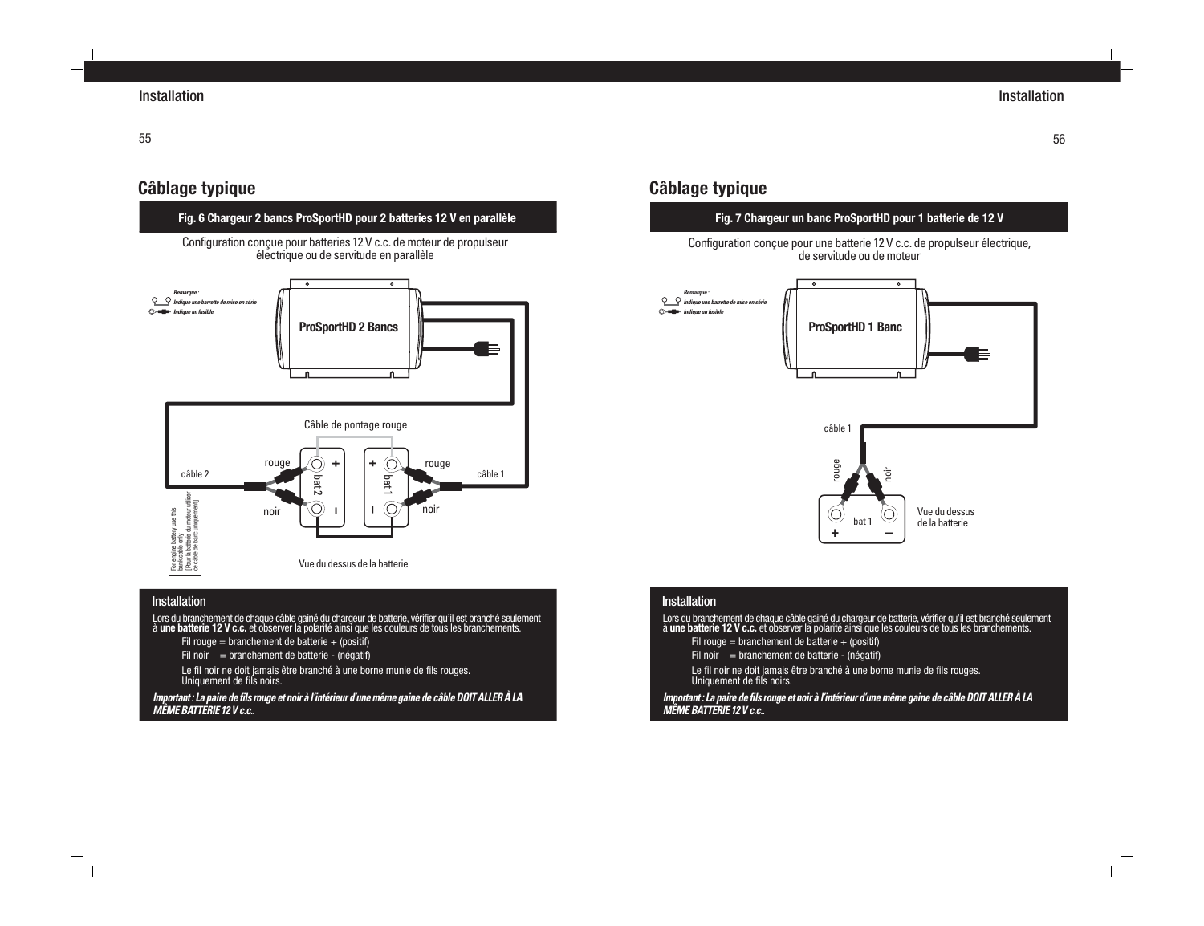56

# **Câblage typique**

**Fig. 6 Chargeur 2 bancs ProSportHD pour 2 batteries 12 V en parallèle**

Configuration conçue pour batteries 12 V c.c. de moteur de propulseur électrique ou de servitude en parallèle



#### Installation

- Lors du branchement de chaque câble gainé du chargeur de batterie, vérifier qu'il est branché seulement<br>à **une batterie 12 V c.c.** et observer la polarité ainsi que les couleurs de tous les branchements.
	- Fil rouge = branchement de batterie + (positif)
	- Fil noir  $=$  branchement de batterie (négatif)
	- Le fil noir ne doit jamais être branché à une borne munie de fils rouges. Uniquement de fils noirs.

**Important : La paire de fils rouge et noir à l'intérieur d'une même gaine de câble DOIT ALLER À LA MÊME BATTERIE 12 V c.c..**

# **Câblage typique**

## **Fig. 7 Chargeur un banc ProSportHD pour 1 batterie de 12 V**

Configuration conçue pour une batterie 12 V c.c. de propulseur électrique, de servitude ou de moteur



#### **Installation**

Lors du branchement de chaque câble gainé du chargeur de batterie, vérifier qu'il est branché seulement<br>à **une batterie 12 V c.c.** et observer la polarité ainsi que les couleurs de tous les branchements. Fil rouge = branchement de batterie + (positif) Fil noir  $=$  branchement de batterie - (négatif) Le fil noir ne doit jamais être branché à une borne munie de fils rouges. Uniquement de fils noirs. **Important : La paire de fils rouge et noir à l'intérieur d'une même gaine de câble DOIT ALLER À LA MÊME BATTERIE 12 V c.c..**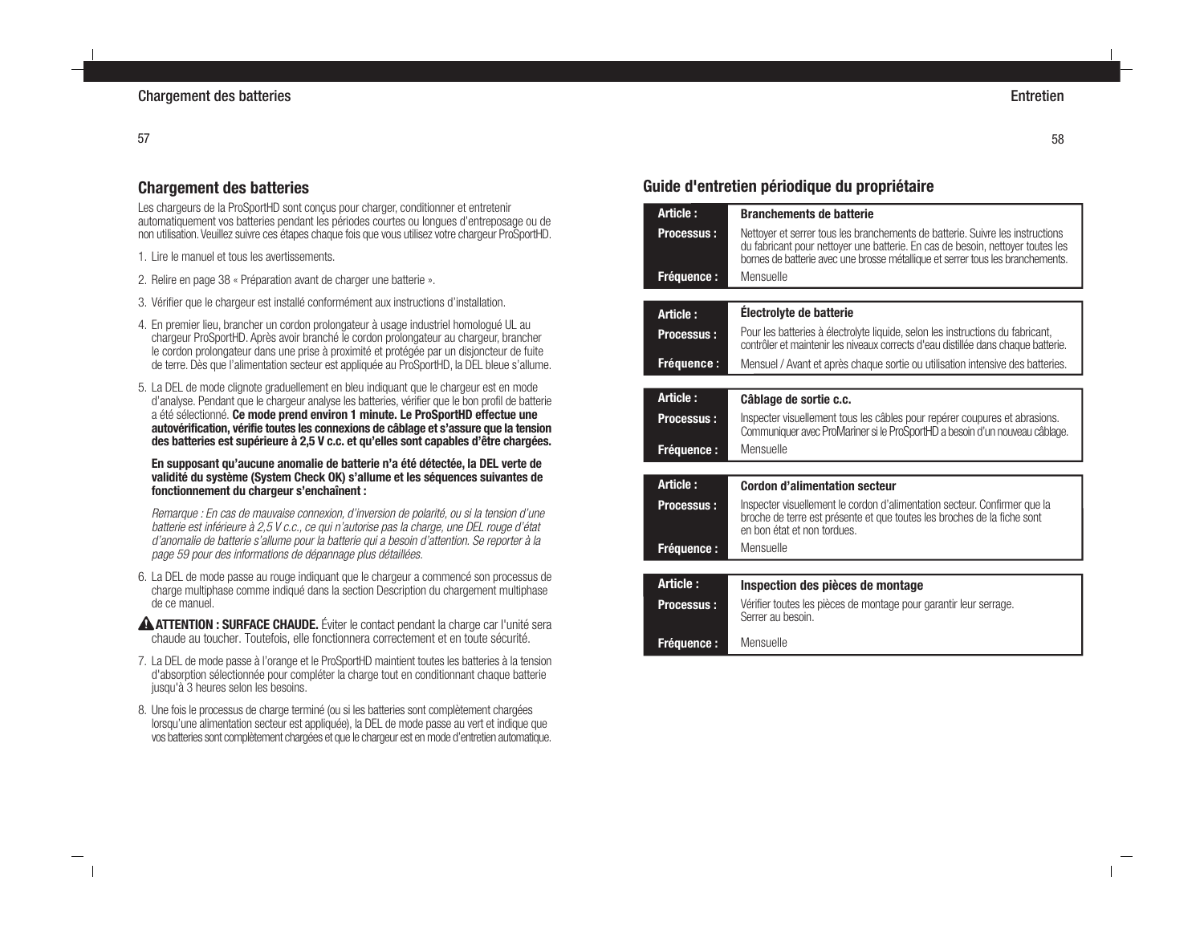#### 57

## **Chargement des batteries**

Les chargeurs de la ProSportHD sont conçus pour charger, conditionner et entretenir automatiquement vos batteries pendant les périodes courtes ou longues d'entreposage ou de non utilisation. Veuillez suivre ces étapes chaque fois que vous utilisez votre chargeur ProSportHD.

1. Lire le manuel et tous les avertissements.

- 2. Relire en page 38 « Préparation avant de charger une batterie ».
- 3. Vérifier que le chargeur est installé conformément aux instructions d'installation.
- 4. En premier lieu, brancher un cordon prolongateur à usage industriel homologué UL au chargeur ProSportHD. Après avoir branché le cordon prolongateur au chargeur, brancher le cordon prolongateur dans une prise à proximité et protégée par un disjoncteur de fuite de terre. Dès que l'alimentation secteur est appliquée au ProSportHD, la DEL bleue s'allume.
- 5. La DEL de mode clignote graduellement en bleu indiquant que le chargeur est en mode d'analyse. Pendant que le chargeur analyse les batteries, vérifier que le bon profil de batterie a été sélectionné. **Ce mode prend environ 1 minute. Le ProSportHD effectue une autovérification, vérifie toutes les connexions de câblage et s'assure que la tension des batteries est supérieure à 2,5 V c.c. et qu'elles sont capables d'être chargées.**

**En supposant qu'aucune anomalie de batterie n'a été détectée, la DEL verte de validité du système (System Check OK) s'allume et les séquences suivantes de fonctionnement du chargeur s'enchaînent :**

Remarque : En cas de mauvaise connexion, d'inversion de polarité, ou si la tension d'une batterie est inférieure à 2,5 V c.c., ce qui n'autorise pas la charge, une DEL rouge d'état d'anomalie de batterie s'allume pour la batterie qui a besoin d'attention. Se reporter à la page 59 pour des informations de dépannage plus détaillées.

- 6. La DEL de mode passe au rouge indiquant que le chargeur a commencé son processus de charge multiphase comme indiqué dans la section Description du chargement multiphase de ce manuel.
- **ATTENTION : SURFACE CHAUDE.** Éviter le contact pendant la charge car l'unité sera chaude au toucher. Toutefois, elle fonctionnera correctement et en toute sécurité.
- 7. La DEL de mode passe à l'orange et le ProSportHD maintient toutes les batteries à la tension d'absorption sélectionnée pour compléter la charge tout en conditionnant chaque batterie jusqu'à 3 heures selon les besoins.
- 8. Une fois le processus de charge terminé (ou si les batteries sont complètement chargées lorsqu'une alimentation secteur est appliquée), la DEL de mode passe au vert et indique que vos batteries sont complètement chargées et que le chargeur est en mode d'entretien automatique.

# **Guide d'entretien périodique du propriétaire**

| Article:          | <b>Branchements de batterie</b>                                                                                                                                                                                                                   |
|-------------------|---------------------------------------------------------------------------------------------------------------------------------------------------------------------------------------------------------------------------------------------------|
| <b>Processus:</b> | Nettover et serrer tous les branchements de batterie. Suivre les instructions<br>du fabricant pour nettoyer une batterie. En cas de besoin, nettoyer toutes les<br>bornes de batterie avec une brosse métallique et serrer tous les branchements. |
| <b>Fréquence:</b> | Mensuelle                                                                                                                                                                                                                                         |
|                   |                                                                                                                                                                                                                                                   |
| Article:          | Électrolyte de batterie                                                                                                                                                                                                                           |
| <b>Processus:</b> | Pour les batteries à électrolyte liquide, selon les instructions du fabricant,<br>contrôler et maintenir les niveaux corrects d'eau distillée dans chaque batterie.                                                                               |
| <b>Fréquence:</b> | Mensuel / Avant et après chaque sortie ou utilisation intensive des batteries.                                                                                                                                                                    |
|                   |                                                                                                                                                                                                                                                   |
| Article:          | Câblage de sortie c.c.                                                                                                                                                                                                                            |
| <b>Processus:</b> | Inspecter visuellement tous les câbles pour repérer coupures et abrasions.<br>Communiquer avec ProMariner si le ProSportHD a besoin d'un nouveau câblage.                                                                                         |
| <b>Fréquence:</b> | Mensuelle                                                                                                                                                                                                                                         |
|                   |                                                                                                                                                                                                                                                   |
| Article:          | <b>Cordon d'alimentation secteur</b>                                                                                                                                                                                                              |
| <b>Processus:</b> | Inspecter visuellement le cordon d'alimentation secteur. Confirmer que la<br>broche de terre est présente et que toutes les broches de la fiche sont<br>en bon état et non tordues.                                                               |
| <b>Fréquence:</b> | Mensuelle                                                                                                                                                                                                                                         |
|                   |                                                                                                                                                                                                                                                   |
| Article:          | Inspection des pièces de montage                                                                                                                                                                                                                  |
| <b>Processus:</b> | Vérifier toutes les pièces de montage pour garantir leur serrage.<br>Serrer au besoin.                                                                                                                                                            |
| <b>Fréquence:</b> | Mensuelle                                                                                                                                                                                                                                         |